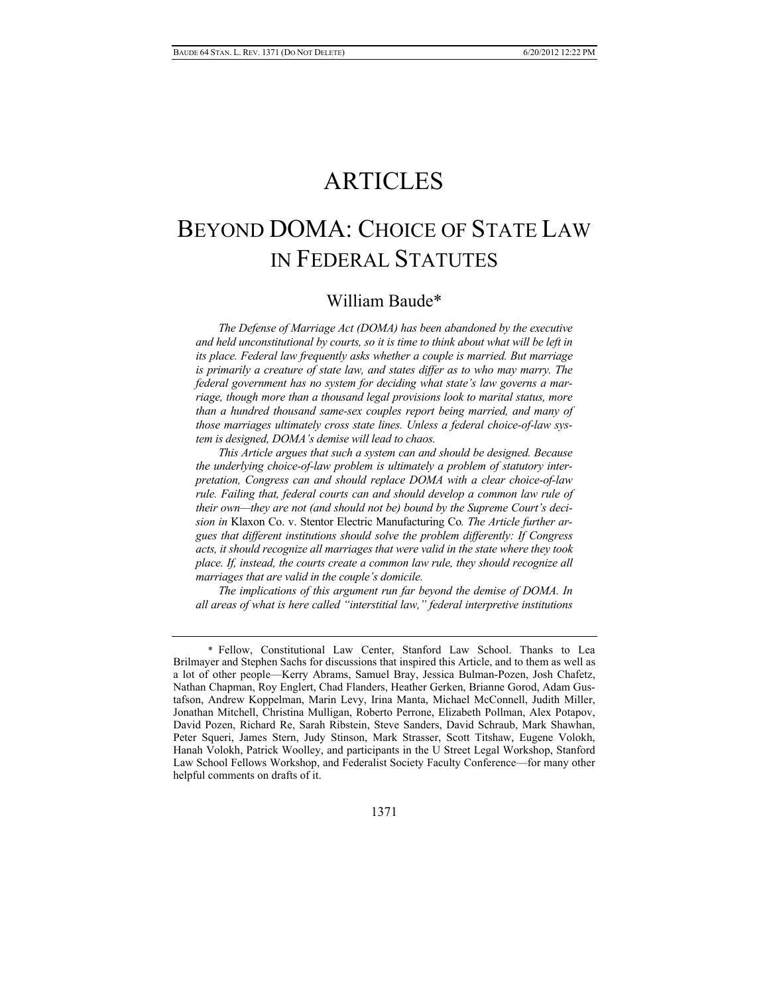# ARTICLES

# BEYOND DOMA: CHOICE OF STATE LAW IN FEDERAL STATUTES

## William Baude\*

*The Defense of Marriage Act (DOMA) has been abandoned by the executive and held unconstitutional by courts, so it is time to think about what will be left in its place. Federal law frequently asks whether a couple is married. But marriage is primarily a creature of state law, and states differ as to who may marry. The federal government has no system for deciding what state's law governs a marriage, though more than a thousand legal provisions look to marital status, more than a hundred thousand same-sex couples report being married, and many of those marriages ultimately cross state lines. Unless a federal choice-of-law system is designed, DOMA's demise will lead to chaos.* 

*This Article argues that such a system can and should be designed. Because the underlying choice-of-law problem is ultimately a problem of statutory interpretation, Congress can and should replace DOMA with a clear choice-of-law rule. Failing that, federal courts can and should develop a common law rule of their own—they are not (and should not be) bound by the Supreme Court's decision in* Klaxon Co. v. Stentor Electric Manufacturing Co*. The Article further argues that different institutions should solve the problem differently: If Congress acts, it should recognize all marriages that were valid in the state where they took place. If, instead, the courts create a common law rule, they should recognize all marriages that are valid in the couple's domicile.* 

*The implications of this argument run far beyond the demise of DOMA. In all areas of what is here called "interstitial law," federal interpretive institutions* 

 <sup>\*</sup> Fellow, Constitutional Law Center, Stanford Law School. Thanks to Lea Brilmayer and Stephen Sachs for discussions that inspired this Article, and to them as well as a lot of other people—Kerry Abrams, Samuel Bray, Jessica Bulman-Pozen, Josh Chafetz, Nathan Chapman, Roy Englert, Chad Flanders, Heather Gerken, Brianne Gorod, Adam Gustafson, Andrew Koppelman, Marin Levy, Irina Manta, Michael McConnell, Judith Miller, Jonathan Mitchell, Christina Mulligan, Roberto Perrone, Elizabeth Pollman, Alex Potapov, David Pozen, Richard Re, Sarah Ribstein, Steve Sanders, David Schraub, Mark Shawhan, Peter Squeri, James Stern, Judy Stinson, Mark Strasser, Scott Titshaw, Eugene Volokh, Hanah Volokh, Patrick Woolley, and participants in the U Street Legal Workshop, Stanford Law School Fellows Workshop, and Federalist Society Faculty Conference—for many other helpful comments on drafts of it.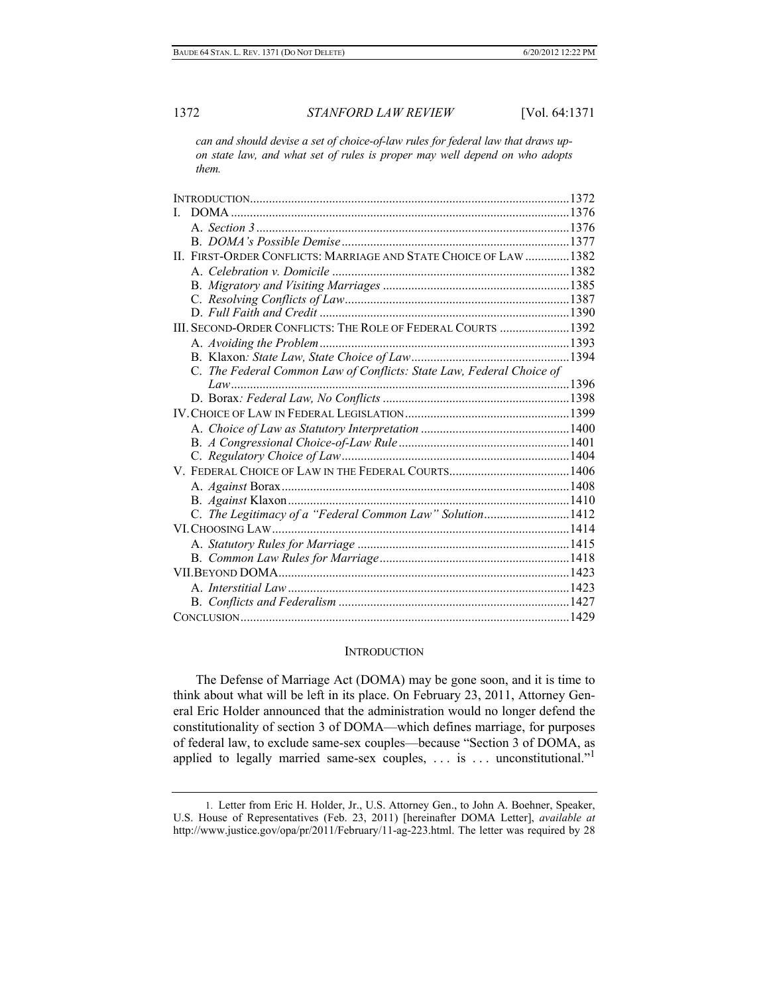*can and should devise a set of choice-of-law rules for federal law that draws upon state law, and what set of rules is proper may well depend on who adopts them.* 

| DOMA.<br>L                                                           |
|----------------------------------------------------------------------|
|                                                                      |
|                                                                      |
| II. FIRST-ORDER CONFLICTS: MARRIAGE AND STATE CHOICE OF LAW  1382    |
|                                                                      |
|                                                                      |
|                                                                      |
|                                                                      |
| III. SECOND-ORDER CONFLICTS: THE ROLE OF FEDERAL COURTS  1392        |
|                                                                      |
|                                                                      |
| C. The Federal Common Law of Conflicts: State Law, Federal Choice of |
|                                                                      |
|                                                                      |
|                                                                      |
|                                                                      |
|                                                                      |
|                                                                      |
|                                                                      |
|                                                                      |
|                                                                      |
| C. The Legitimacy of a "Federal Common Law" Solution1412             |
|                                                                      |
|                                                                      |
|                                                                      |
|                                                                      |
|                                                                      |
|                                                                      |
|                                                                      |

#### **INTRODUCTION**

The Defense of Marriage Act (DOMA) may be gone soon, and it is time to think about what will be left in its place. On February 23, 2011, Attorney General Eric Holder announced that the administration would no longer defend the constitutionality of section 3 of DOMA—which defines marriage, for purposes of federal law, to exclude same-sex couples—because "Section 3 of DOMA, as applied to legally married same-sex couples,  $\ldots$  is  $\ldots$  unconstitutional."

 <sup>1.</sup> Letter from Eric H. Holder, Jr., U.S. Attorney Gen., to John A. Boehner, Speaker, U.S. House of Representatives (Feb. 23, 2011) [hereinafter DOMA Letter], *available at*  http://www.justice.gov/opa/pr/2011/February/11-ag-223.html. The letter was required by 28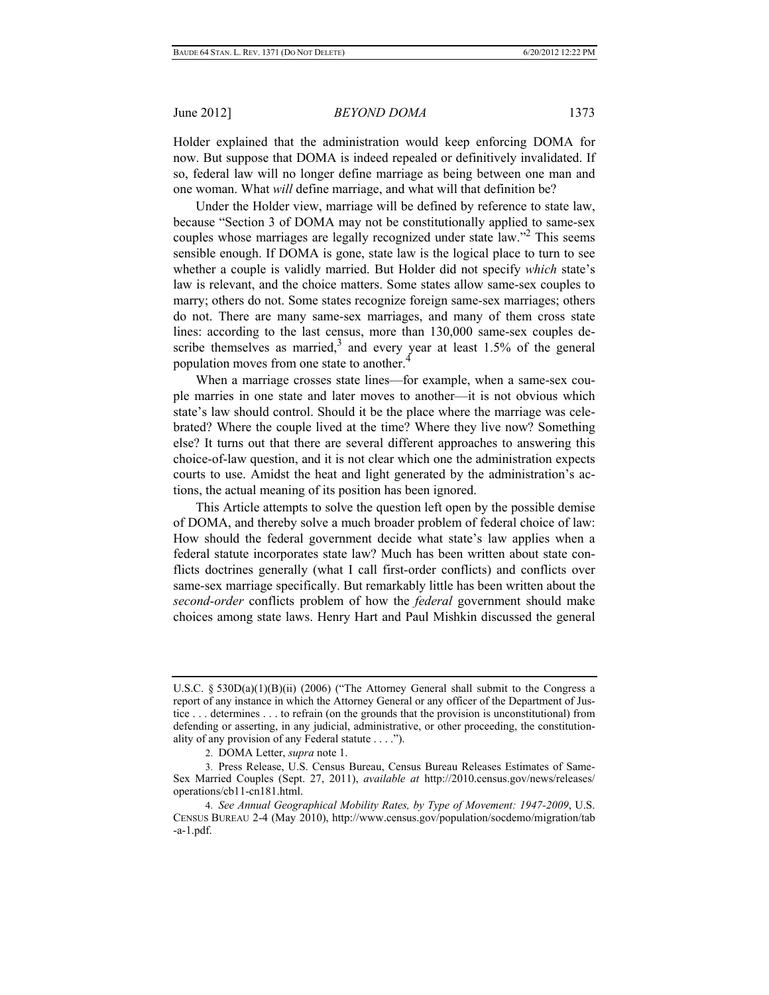Holder explained that the administration would keep enforcing DOMA for now. But suppose that DOMA is indeed repealed or definitively invalidated. If so, federal law will no longer define marriage as being between one man and one woman. What *will* define marriage, and what will that definition be?

Under the Holder view, marriage will be defined by reference to state law, because "Section 3 of DOMA may not be constitutionally applied to same-sex couples whose marriages are legally recognized under state law."2 This seems sensible enough. If DOMA is gone, state law is the logical place to turn to see whether a couple is validly married. But Holder did not specify *which* state's law is relevant, and the choice matters. Some states allow same-sex couples to marry; others do not. Some states recognize foreign same-sex marriages; others do not. There are many same-sex marriages, and many of them cross state lines: according to the last census, more than 130,000 same-sex couples describe themselves as married,<sup>3</sup> and every year at least  $1.5\%$  of the general population moves from one state to another.<sup>4</sup>

When a marriage crosses state lines—for example, when a same-sex couple marries in one state and later moves to another—it is not obvious which state's law should control. Should it be the place where the marriage was celebrated? Where the couple lived at the time? Where they live now? Something else? It turns out that there are several different approaches to answering this choice-of-law question, and it is not clear which one the administration expects courts to use. Amidst the heat and light generated by the administration's actions, the actual meaning of its position has been ignored.

This Article attempts to solve the question left open by the possible demise of DOMA, and thereby solve a much broader problem of federal choice of law: How should the federal government decide what state's law applies when a federal statute incorporates state law? Much has been written about state conflicts doctrines generally (what I call first-order conflicts) and conflicts over same-sex marriage specifically. But remarkably little has been written about the *second-order* conflicts problem of how the *federal* government should make choices among state laws. Henry Hart and Paul Mishkin discussed the general

U.S.C.  $\S$  530D(a)(1)(B)(ii) (2006) ("The Attorney General shall submit to the Congress a report of any instance in which the Attorney General or any officer of the Department of Justice . . . determines . . . to refrain (on the grounds that the provision is unconstitutional) from defending or asserting, in any judicial, administrative, or other proceeding, the constitutionality of any provision of any Federal statute . . . .").

 <sup>2.</sup> DOMA Letter, *supra* note 1.

 <sup>3.</sup> Press Release, U.S. Census Bureau, Census Bureau Releases Estimates of Same-Sex Married Couples (Sept. 27, 2011), *available at* http://2010.census.gov/news/releases/ operations/cb11-cn181.html.

 <sup>4.</sup> *See Annual Geographical Mobility Rates, by Type of Movement: 1947-2009*, U.S. CENSUS BUREAU 2-4 (May 2010), http://www.census.gov/population/socdemo/migration/tab -a-1.pdf.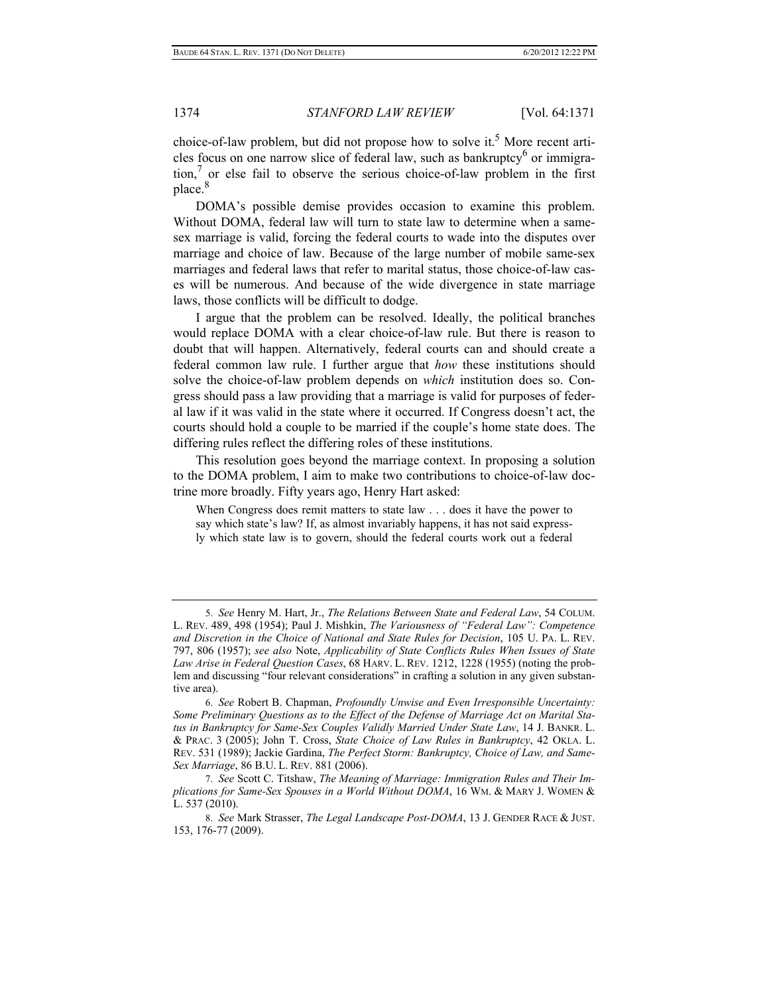choice-of-law problem, but did not propose how to solve it.<sup>5</sup> More recent articles focus on one narrow slice of federal law, such as bankruptcy<sup>6</sup> or immigration,7 or else fail to observe the serious choice-of-law problem in the first place.<sup>8</sup>

DOMA's possible demise provides occasion to examine this problem. Without DOMA, federal law will turn to state law to determine when a samesex marriage is valid, forcing the federal courts to wade into the disputes over marriage and choice of law. Because of the large number of mobile same-sex marriages and federal laws that refer to marital status, those choice-of-law cases will be numerous. And because of the wide divergence in state marriage laws, those conflicts will be difficult to dodge.

I argue that the problem can be resolved. Ideally, the political branches would replace DOMA with a clear choice-of-law rule. But there is reason to doubt that will happen. Alternatively, federal courts can and should create a federal common law rule. I further argue that *how* these institutions should solve the choice-of-law problem depends on *which* institution does so. Congress should pass a law providing that a marriage is valid for purposes of federal law if it was valid in the state where it occurred. If Congress doesn't act, the courts should hold a couple to be married if the couple's home state does. The differing rules reflect the differing roles of these institutions.

This resolution goes beyond the marriage context. In proposing a solution to the DOMA problem, I aim to make two contributions to choice-of-law doctrine more broadly. Fifty years ago, Henry Hart asked:

When Congress does remit matters to state law . . . does it have the power to say which state's law? If, as almost invariably happens, it has not said expressly which state law is to govern, should the federal courts work out a federal

 6. *See* Robert B. Chapman, *Profoundly Unwise and Even Irresponsible Uncertainty: Some Preliminary Questions as to the Effect of the Defense of Marriage Act on Marital Status in Bankruptcy for Same-Sex Couples Validly Married Under State Law*, 14 J. BANKR. L. & PRAC. 3 (2005); John T. Cross, *State Choice of Law Rules in Bankruptcy*, 42 OKLA. L. REV. 531 (1989); Jackie Gardina, *The Perfect Storm: Bankruptcy, Choice of Law, and Same-Sex Marriage*, 86 B.U. L. REV. 881 (2006).

 <sup>5.</sup> *See* Henry M. Hart, Jr., *The Relations Between State and Federal Law*, 54 COLUM. L. REV. 489, 498 (1954); Paul J. Mishkin, *The Variousness of "Federal Law": Competence and Discretion in the Choice of National and State Rules for Decision*, 105 U. PA. L. REV. 797, 806 (1957); *see also* Note, *Applicability of State Conflicts Rules When Issues of State Law Arise in Federal Question Cases*, 68 HARV. L. REV. 1212, 1228 (1955) (noting the problem and discussing "four relevant considerations" in crafting a solution in any given substantive area).

 <sup>7.</sup> *See* Scott C. Titshaw, *The Meaning of Marriage: Immigration Rules and Their Implications for Same-Sex Spouses in a World Without DOMA*, 16 WM. & MARY J. WOMEN & L. 537 (2010).

 <sup>8.</sup> *See* Mark Strasser, *The Legal Landscape Post-DOMA*, 13 J. GENDER RACE & JUST. 153, 176-77 (2009).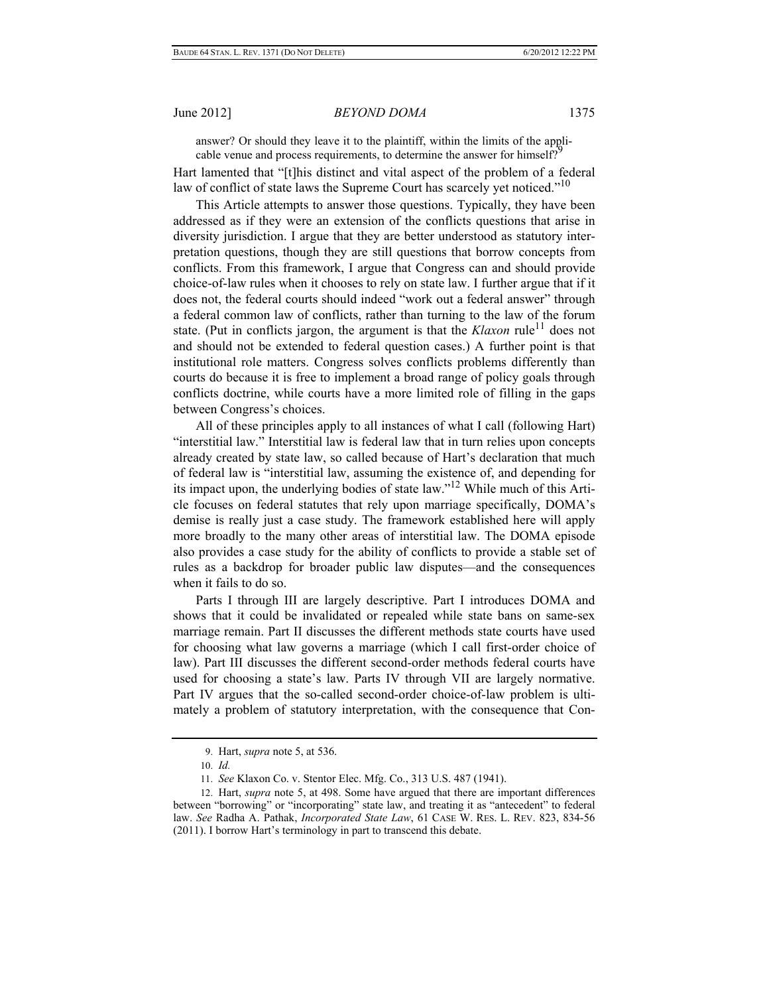answer? Or should they leave it to the plaintiff, within the limits of the applicable venue and process requirements, to determine the answer for himself?

Hart lamented that "[t]his distinct and vital aspect of the problem of a federal law of conflict of state laws the Supreme Court has scarcely yet noticed."<sup>10</sup>

 This Article attempts to answer those questions. Typically, they have been addressed as if they were an extension of the conflicts questions that arise in diversity jurisdiction. I argue that they are better understood as statutory interpretation questions, though they are still questions that borrow concepts from conflicts. From this framework, I argue that Congress can and should provide choice-of-law rules when it chooses to rely on state law. I further argue that if it does not, the federal courts should indeed "work out a federal answer" through a federal common law of conflicts, rather than turning to the law of the forum state. (Put in conflicts jargon, the argument is that the  $Klaxon$  rule<sup>11</sup> does not and should not be extended to federal question cases.) A further point is that institutional role matters. Congress solves conflicts problems differently than courts do because it is free to implement a broad range of policy goals through conflicts doctrine, while courts have a more limited role of filling in the gaps between Congress's choices.

 All of these principles apply to all instances of what I call (following Hart) "interstitial law." Interstitial law is federal law that in turn relies upon concepts already created by state law, so called because of Hart's declaration that much of federal law is "interstitial law, assuming the existence of, and depending for its impact upon, the underlying bodies of state law."12 While much of this Article focuses on federal statutes that rely upon marriage specifically, DOMA's demise is really just a case study. The framework established here will apply more broadly to the many other areas of interstitial law. The DOMA episode also provides a case study for the ability of conflicts to provide a stable set of rules as a backdrop for broader public law disputes—and the consequences when it fails to do so.

Parts I through III are largely descriptive. Part I introduces DOMA and shows that it could be invalidated or repealed while state bans on same-sex marriage remain. Part II discusses the different methods state courts have used for choosing what law governs a marriage (which I call first-order choice of law). Part III discusses the different second-order methods federal courts have used for choosing a state's law. Parts IV through VII are largely normative. Part IV argues that the so-called second-order choice-of-law problem is ultimately a problem of statutory interpretation, with the consequence that Con-

 <sup>9.</sup> Hart, *supra* note 5, at 536.

 <sup>10.</sup> *Id.*

 <sup>11.</sup> *See* Klaxon Co. v. Stentor Elec. Mfg. Co., 313 U.S. 487 (1941).

 <sup>12.</sup> Hart, *supra* note 5, at 498. Some have argued that there are important differences between "borrowing" or "incorporating" state law, and treating it as "antecedent" to federal law. *See* Radha A. Pathak, *Incorporated State Law*, 61 CASE W. RES. L. REV. 823, 834-56 (2011). I borrow Hart's terminology in part to transcend this debate.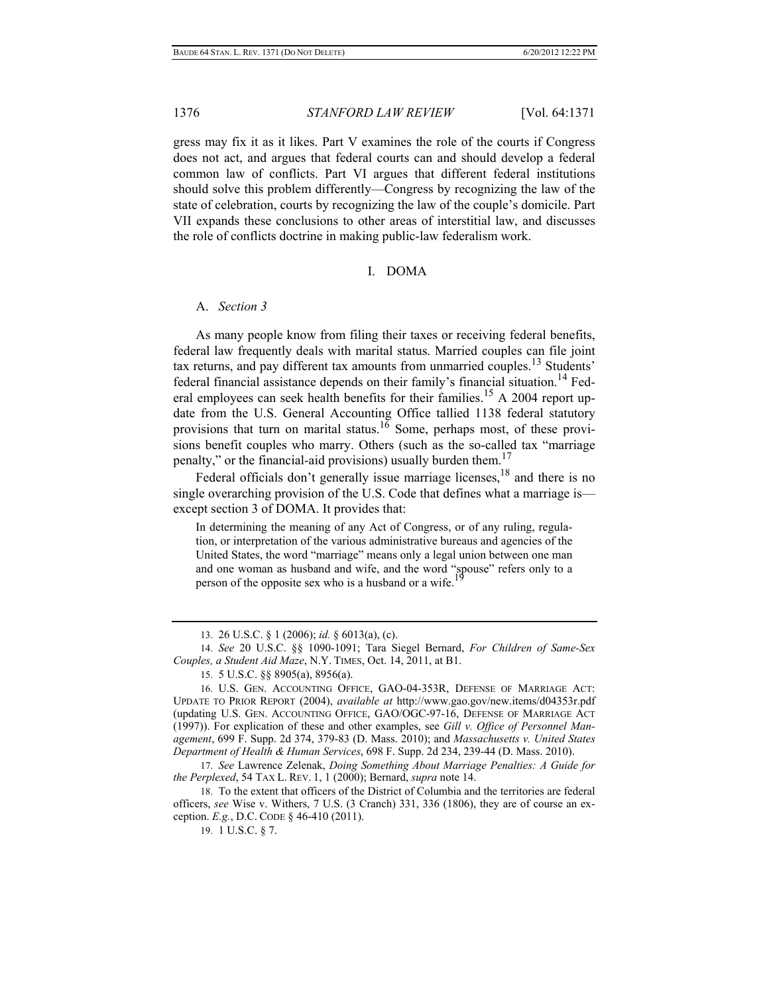gress may fix it as it likes. Part V examines the role of the courts if Congress does not act, and argues that federal courts can and should develop a federal common law of conflicts. Part VI argues that different federal institutions should solve this problem differently—Congress by recognizing the law of the state of celebration, courts by recognizing the law of the couple's domicile. Part VII expands these conclusions to other areas of interstitial law, and discusses the role of conflicts doctrine in making public-law federalism work.

#### I. DOMA

### A. *Section 3*

As many people know from filing their taxes or receiving federal benefits, federal law frequently deals with marital status. Married couples can file joint tax returns, and pay different tax amounts from unmarried couples.<sup>13</sup> Students' federal financial assistance depends on their family's financial situation.14 Federal employees can seek health benefits for their families.<sup>15</sup> A 2004 report update from the U.S. General Accounting Office tallied 1138 federal statutory provisions that turn on marital status.<sup>16</sup> Some, perhaps most, of these provisions benefit couples who marry. Others (such as the so-called tax "marriage penalty," or the financial-aid provisions) usually burden them.<sup>17</sup>

Federal officials don't generally issue marriage licenses,  $^{18}$  and there is no single overarching provision of the U.S. Code that defines what a marriage is except section 3 of DOMA. It provides that:

In determining the meaning of any Act of Congress, or of any ruling, regulation, or interpretation of the various administrative bureaus and agencies of the United States, the word "marriage" means only a legal union between one man and one woman as husband and wife, and the word "spouse" refers only to a person of the opposite sex who is a husband or a wife.

 <sup>13. 26</sup> U.S.C. § 1 (2006); *id.* § 6013(a), (c).

 <sup>14.</sup> *See* 20 U.S.C. §§ 1090-1091; Tara Siegel Bernard, *For Children of Same-Sex Couples, a Student Aid Maze*, N.Y. TIMES, Oct. 14, 2011, at B1.

 <sup>15. 5</sup> U.S.C. §§ 8905(a), 8956(a).

 <sup>16.</sup> U.S. GEN. ACCOUNTING OFFICE, GAO-04-353R, DEFENSE OF MARRIAGE ACT: UPDATE TO PRIOR REPORT (2004), *available at* http://www.gao.gov/new.items/d04353r.pdf (updating U.S. GEN. ACCOUNTING OFFICE, GAO/OGC-97-16, DEFENSE OF MARRIAGE ACT (1997)). For explication of these and other examples, see *Gill v. Office of Personnel Management*, 699 F. Supp. 2d 374, 379-83 (D. Mass. 2010); and *Massachusetts v. United States Department of Health & Human Services*, 698 F. Supp. 2d 234, 239-44 (D. Mass. 2010).

<sup>17.</sup> *See* Lawrence Zelenak, *Doing Something About Marriage Penalties: A Guide for the Perplexed*, 54 TAX L. REV. 1, 1 (2000); Bernard, *supra* note 14.

 <sup>18.</sup> To the extent that officers of the District of Columbia and the territories are federal officers, *see* Wise v. Withers, 7 U.S. (3 Cranch) 331, 336 (1806), they are of course an exception. *E.g.*, D.C. CODE § 46-410 (2011).

 <sup>19. 1</sup> U.S.C. § 7.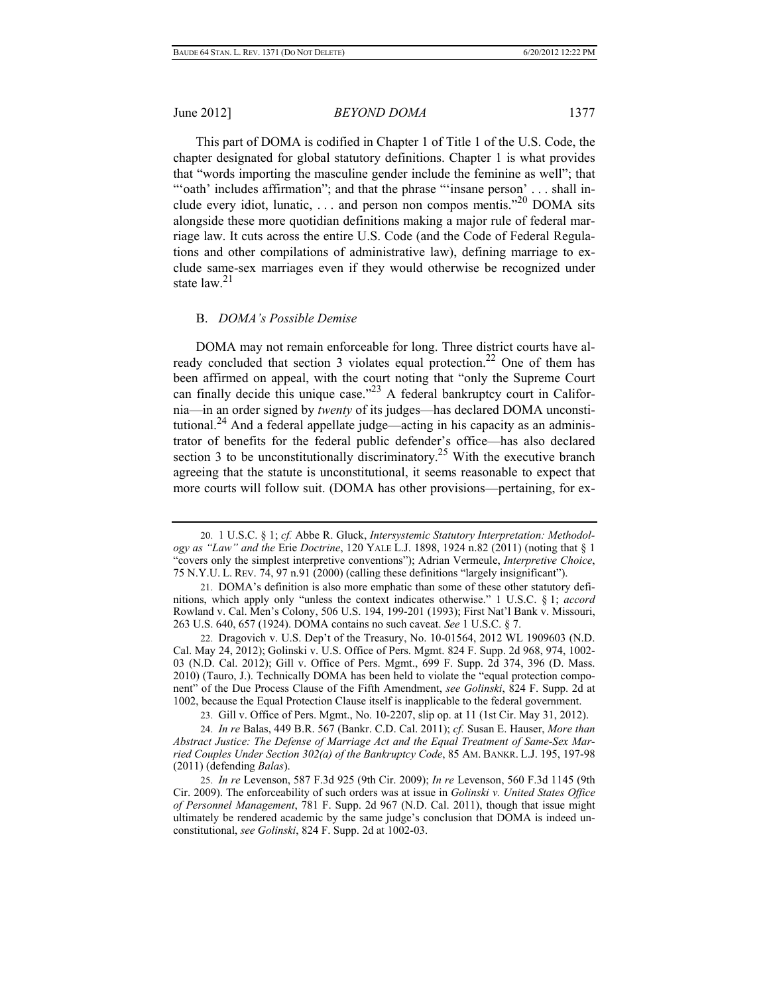This part of DOMA is codified in Chapter 1 of Title 1 of the U.S. Code, the chapter designated for global statutory definitions. Chapter 1 is what provides that "words importing the masculine gender include the feminine as well"; that ""oath' includes affirmation"; and that the phrase ""insane person' . . . shall include every idiot, lunatic, ... and person non compos mentis."<sup>20</sup> DOMA sits alongside these more quotidian definitions making a major rule of federal marriage law. It cuts across the entire U.S. Code (and the Code of Federal Regulations and other compilations of administrative law), defining marriage to exclude same-sex marriages even if they would otherwise be recognized under state  $law<sup>21</sup>$ 

#### B. *DOMA's Possible Demise*

DOMA may not remain enforceable for long. Three district courts have already concluded that section 3 violates equal protection.<sup>22</sup> One of them has been affirmed on appeal, with the court noting that "only the Supreme Court can finally decide this unique case."<sup>23</sup> A federal bankruptcy court in California—in an order signed by *twenty* of its judges—has declared DOMA unconstitutional.<sup>24</sup> And a federal appellate judge—acting in his capacity as an administrator of benefits for the federal public defender's office—has also declared section 3 to be unconstitutionally discriminatory.<sup>25</sup> With the executive branch agreeing that the statute is unconstitutional, it seems reasonable to expect that more courts will follow suit. (DOMA has other provisions—pertaining, for ex-

 22. Dragovich v. U.S. Dep't of the Treasury, No. 10-01564, 2012 WL 1909603 (N.D. Cal. May 24, 2012); Golinski v. U.S. Office of Pers. Mgmt. 824 F. Supp. 2d 968, 974, 1002- 03 (N.D. Cal. 2012); Gill v. Office of Pers. Mgmt., 699 F. Supp. 2d 374, 396 (D. Mass. 2010) (Tauro, J.). Technically DOMA has been held to violate the "equal protection component" of the Due Process Clause of the Fifth Amendment, *see Golinski*, 824 F. Supp. 2d at 1002, because the Equal Protection Clause itself is inapplicable to the federal government.

23. Gill v. Office of Pers. Mgmt., No. 10-2207, slip op. at 11 (1st Cir. May 31, 2012).

 24. *In re* Balas, 449 B.R. 567 (Bankr. C.D. Cal. 2011); *cf.* Susan E. Hauser, *More than Abstract Justice: The Defense of Marriage Act and the Equal Treatment of Same-Sex Married Couples Under Section 302(a) of the Bankruptcy Code*, 85 AM. BANKR. L.J. 195, 197-98 (2011) (defending *Balas*).

 25. *In re* Levenson, 587 F.3d 925 (9th Cir. 2009); *In re* Levenson, 560 F.3d 1145 (9th Cir. 2009). The enforceability of such orders was at issue in *Golinski v. United States Office of Personnel Management*, 781 F. Supp. 2d 967 (N.D. Cal. 2011), though that issue might ultimately be rendered academic by the same judge's conclusion that DOMA is indeed unconstitutional, *see Golinski*, 824 F. Supp. 2d at 1002-03.

 <sup>20. 1</sup> U.S.C. § 1; *cf.* Abbe R. Gluck, *Intersystemic Statutory Interpretation: Methodology as "Law" and the* Erie *Doctrine*, 120 YALE L.J. 1898, 1924 n.82 (2011) (noting that § 1 "covers only the simplest interpretive conventions"); Adrian Vermeule, *Interpretive Choice*, 75 N.Y.U. L. REV. 74, 97 n.91 (2000) (calling these definitions "largely insignificant").

 <sup>21.</sup> DOMA's definition is also more emphatic than some of these other statutory definitions, which apply only "unless the context indicates otherwise." 1 U.S.C. § 1; *accord* Rowland v. Cal. Men's Colony, 506 U.S. 194, 199-201 (1993); First Nat'l Bank v. Missouri, 263 U.S. 640, 657 (1924). DOMA contains no such caveat. *See* 1 U.S.C. § 7.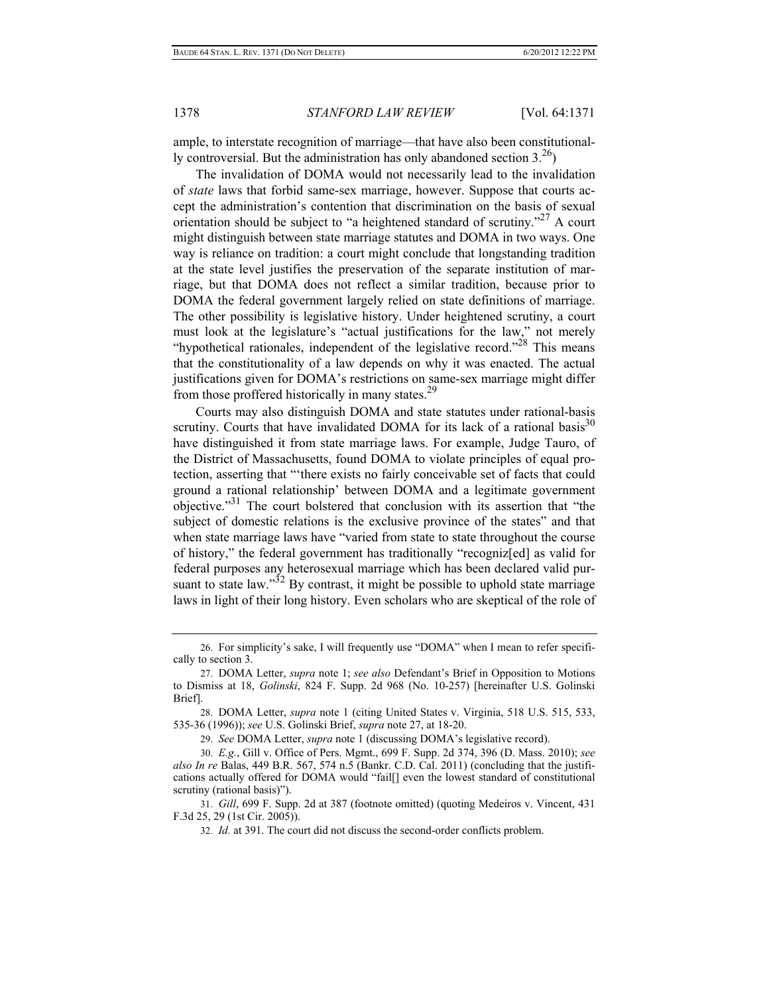ample, to interstate recognition of marriage—that have also been constitutionally controversial. But the administration has only abandoned section  $3<sup>26</sup>$ )

The invalidation of DOMA would not necessarily lead to the invalidation of *state* laws that forbid same-sex marriage, however. Suppose that courts accept the administration's contention that discrimination on the basis of sexual orientation should be subject to "a heightened standard of scrutiny."27 A court might distinguish between state marriage statutes and DOMA in two ways. One way is reliance on tradition: a court might conclude that longstanding tradition at the state level justifies the preservation of the separate institution of marriage, but that DOMA does not reflect a similar tradition, because prior to DOMA the federal government largely relied on state definitions of marriage. The other possibility is legislative history. Under heightened scrutiny, a court must look at the legislature's "actual justifications for the law," not merely "hypothetical rationales, independent of the legislative record."<sup>28</sup> This means that the constitutionality of a law depends on why it was enacted. The actual justifications given for DOMA's restrictions on same-sex marriage might differ from those proffered historically in many states.29

Courts may also distinguish DOMA and state statutes under rational-basis scrutiny. Courts that have invalidated DOMA for its lack of a rational basis<sup>30</sup> have distinguished it from state marriage laws. For example, Judge Tauro, of the District of Massachusetts, found DOMA to violate principles of equal protection, asserting that "'there exists no fairly conceivable set of facts that could ground a rational relationship' between DOMA and a legitimate government objective."31 The court bolstered that conclusion with its assertion that "the subject of domestic relations is the exclusive province of the states" and that when state marriage laws have "varied from state to state throughout the course of history," the federal government has traditionally "recogniz[ed] as valid for federal purposes any heterosexual marriage which has been declared valid pursuant to state law." $32$  By contrast, it might be possible to uphold state marriage laws in light of their long history. Even scholars who are skeptical of the role of

 <sup>26.</sup> For simplicity's sake, I will frequently use "DOMA" when I mean to refer specifically to section 3.

 <sup>27.</sup> DOMA Letter, *supra* note 1; *see also* Defendant's Brief in Opposition to Motions to Dismiss at 18, *Golinski*, 824 F. Supp. 2d 968 (No. 10-257) [hereinafter U.S. Golinski Brief].

 <sup>28.</sup> DOMA Letter, *supra* note 1 (citing United States v. Virginia, 518 U.S. 515, 533, 535-36 (1996)); *see* U.S. Golinski Brief, *supra* note 27, at 18-20.

 <sup>29.</sup> *See* DOMA Letter, *supra* note 1 (discussing DOMA's legislative record).

 <sup>30.</sup> *E.g.*, Gill v. Office of Pers. Mgmt., 699 F. Supp. 2d 374, 396 (D. Mass. 2010); *see also In re* Balas, 449 B.R. 567, 574 n.5 (Bankr. C.D. Cal. 2011) (concluding that the justifications actually offered for DOMA would "fail[] even the lowest standard of constitutional scrutiny (rational basis)").

 <sup>31.</sup> *Gill*, 699 F. Supp. 2d at 387 (footnote omitted) (quoting Medeiros v. Vincent, 431 F.3d 25, 29 (1st Cir. 2005)).

 <sup>32.</sup> *Id.* at 391. The court did not discuss the second-order conflicts problem.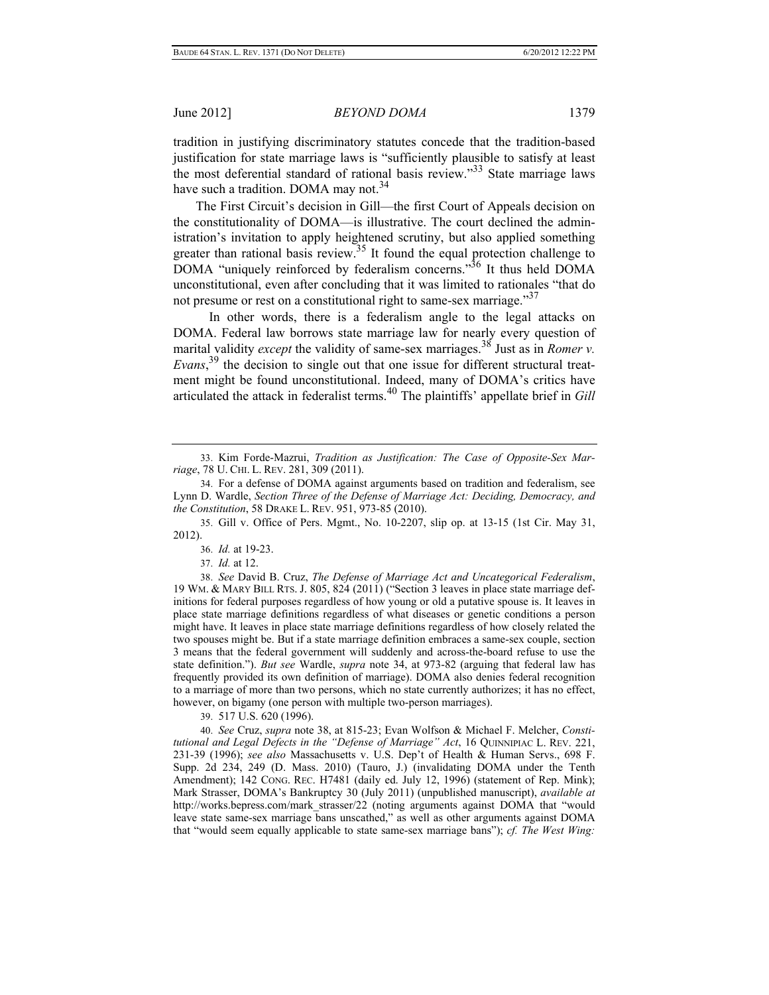tradition in justifying discriminatory statutes concede that the tradition-based justification for state marriage laws is "sufficiently plausible to satisfy at least the most deferential standard of rational basis review.<sup>33</sup> State marriage laws have such a tradition. DOMA may not.<sup>34</sup>

The First Circuit's decision in Gill—the first Court of Appeals decision on the constitutionality of DOMA—is illustrative. The court declined the administration's invitation to apply heightened scrutiny, but also applied something greater than rational basis review.<sup>35</sup> It found the equal protection challenge to DOMA "uniquely reinforced by federalism concerns."<sup>36</sup> It thus held DOMA unconstitutional, even after concluding that it was limited to rationales "that do not presume or rest on a constitutional right to same-sex marriage.<sup>37</sup>

In other words, there is a federalism angle to the legal attacks on DOMA. Federal law borrows state marriage law for nearly every question of marital validity *except* the validity of same-sex marriages.<sup>38</sup> Just as in *Romer v. Evans*, 39 the decision to single out that one issue for different structural treatment might be found unconstitutional. Indeed, many of DOMA's critics have articulated the attack in federalist terms.40 The plaintiffs' appellate brief in *Gill* 

 38. *See* David B. Cruz, *The Defense of Marriage Act and Uncategorical Federalism*, 19 WM. & MARY BILL RTS. J. 805, 824 (2011) ("Section 3 leaves in place state marriage definitions for federal purposes regardless of how young or old a putative spouse is. It leaves in place state marriage definitions regardless of what diseases or genetic conditions a person might have. It leaves in place state marriage definitions regardless of how closely related the two spouses might be. But if a state marriage definition embraces a same-sex couple, section 3 means that the federal government will suddenly and across-the-board refuse to use the state definition."). *But see* Wardle, *supra* note 34, at 973-82 (arguing that federal law has frequently provided its own definition of marriage). DOMA also denies federal recognition to a marriage of more than two persons, which no state currently authorizes; it has no effect, however, on bigamy (one person with multiple two-person marriages).

39. 517 U.S. 620 (1996).

 40. *See* Cruz, *supra* note 38, at 815-23; Evan Wolfson & Michael F. Melcher, *Constitutional and Legal Defects in the "Defense of Marriage" Act*, 16 QUINNIPIAC L. REV. 221, 231-39 (1996); *see also* Massachusetts v. U.S. Dep't of Health & Human Servs., 698 F. Supp. 2d 234, 249 (D. Mass. 2010) (Tauro, J.) (invalidating DOMA under the Tenth Amendment); 142 CONG. REC. H7481 (daily ed. July 12, 1996) (statement of Rep. Mink); Mark Strasser, DOMA's Bankruptcy 30 (July 2011) (unpublished manuscript), *available at* http://works.bepress.com/mark\_strasser/22 (noting arguments against DOMA that "would leave state same-sex marriage bans unscathed," as well as other arguments against DOMA that "would seem equally applicable to state same-sex marriage bans"); *cf. The West Wing:* 

 <sup>33.</sup> Kim Forde-Mazrui, *Tradition as Justification: The Case of Opposite-Sex Marriage*, 78 U. CHI. L. REV. 281, 309 (2011).

 <sup>34.</sup> For a defense of DOMA against arguments based on tradition and federalism, see Lynn D. Wardle, *Section Three of the Defense of Marriage Act: Deciding, Democracy, and the Constitution*, 58 DRAKE L. REV. 951, 973-85 (2010).

 <sup>35.</sup> Gill v. Office of Pers. Mgmt., No. 10-2207, slip op. at 13-15 (1st Cir. May 31, 2012).

 <sup>36.</sup> *Id.* at 19-23.

 <sup>37.</sup> *Id.* at 12.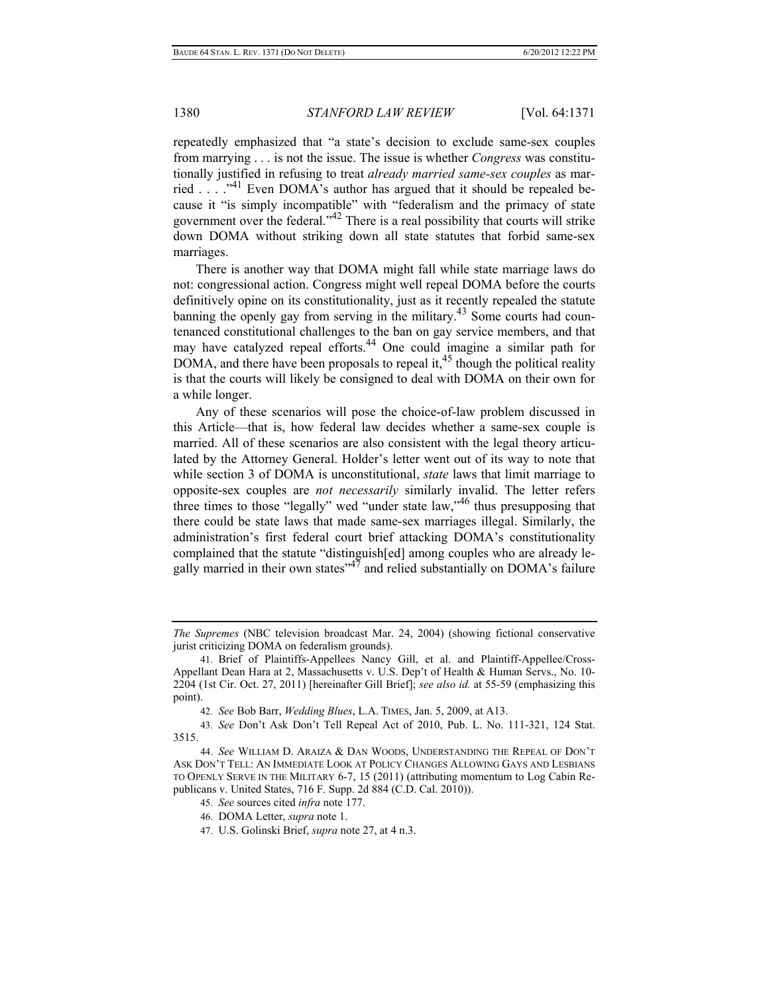repeatedly emphasized that "a state's decision to exclude same-sex couples from marrying . . . is not the issue. The issue is whether *Congress* was constitutionally justified in refusing to treat *already married same-sex couples* as married . . . ."41 Even DOMA's author has argued that it should be repealed because it "is simply incompatible" with "federalism and the primacy of state government over the federal."42 There is a real possibility that courts will strike down DOMA without striking down all state statutes that forbid same-sex marriages.

There is another way that DOMA might fall while state marriage laws do not: congressional action. Congress might well repeal DOMA before the courts definitively opine on its constitutionality, just as it recently repealed the statute banning the openly gay from serving in the military.<sup>43</sup> Some courts had countenanced constitutional challenges to the ban on gay service members, and that may have catalyzed repeal efforts.<sup>44</sup> One could imagine a similar path for DOMA, and there have been proposals to repeal it,  $45$  though the political reality is that the courts will likely be consigned to deal with DOMA on their own for a while longer.

Any of these scenarios will pose the choice-of-law problem discussed in this Article—that is, how federal law decides whether a same-sex couple is married. All of these scenarios are also consistent with the legal theory articulated by the Attorney General. Holder's letter went out of its way to note that while section 3 of DOMA is unconstitutional, *state* laws that limit marriage to opposite-sex couples are *not necessarily* similarly invalid. The letter refers three times to those "legally" wed "under state law,"46 thus presupposing that there could be state laws that made same-sex marriages illegal. Similarly, the administration's first federal court brief attacking DOMA's constitutionality complained that the statute "distinguish[ed] among couples who are already legally married in their own states<sup> $47$ </sup> and relied substantially on DOMA's failure

*The Supremes* (NBC television broadcast Mar. 24, 2004) (showing fictional conservative jurist criticizing DOMA on federalism grounds).

 <sup>41.</sup> Brief of Plaintiffs-Appellees Nancy Gill, et al. and Plaintiff-Appellee/Cross-Appellant Dean Hara at 2, Massachusetts v. U.S. Dep't of Health & Human Servs., No. 10- 2204 (1st Cir. Oct. 27, 2011) [hereinafter Gill Brief]; *see also id.* at 55-59 (emphasizing this point).

 <sup>42.</sup> *See* Bob Barr, *Wedding Blues*, L.A. TIMES, Jan. 5, 2009, at A13.

 <sup>43.</sup> *See* Don't Ask Don't Tell Repeal Act of 2010, Pub. L. No. 111-321, 124 Stat. 3515.

 <sup>44.</sup> *See* WILLIAM D. ARAIZA & DAN WOODS, UNDERSTANDING THE REPEAL OF DON'T ASK DON'T TELL: AN IMMEDIATE LOOK AT POLICY CHANGES ALLOWING GAYS AND LESBIANS TO OPENLY SERVE IN THE MILITARY 6-7, 15 (2011) (attributing momentum to Log Cabin Republicans v. United States, 716 F. Supp. 2d 884 (C.D. Cal. 2010)).

 <sup>45.</sup> *See* sources cited *infra* note 177.

 <sup>46.</sup> DOMA Letter, *supra* note 1.

 <sup>47.</sup> U.S. Golinski Brief, *supra* note 27, at 4 n.3.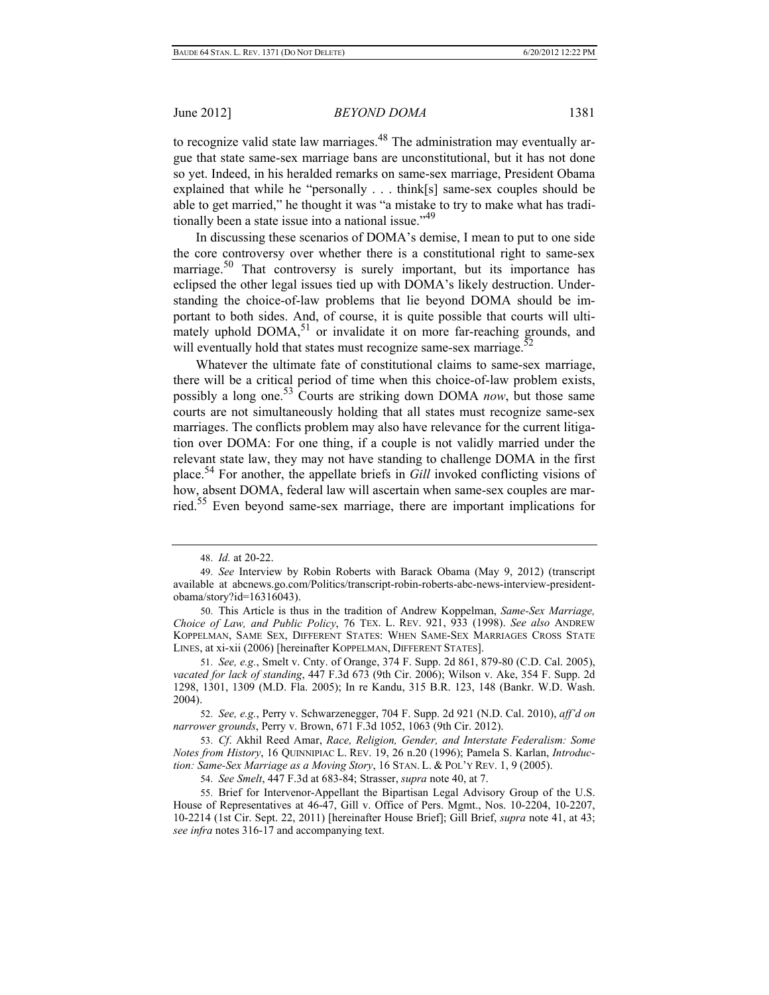to recognize valid state law marriages.<sup>48</sup> The administration may eventually argue that state same-sex marriage bans are unconstitutional, but it has not done so yet. Indeed, in his heralded remarks on same-sex marriage, President Obama explained that while he "personally . . . think[s] same-sex couples should be able to get married," he thought it was "a mistake to try to make what has traditionally been a state issue into a national issue."<sup>49</sup>

In discussing these scenarios of DOMA's demise, I mean to put to one side the core controversy over whether there is a constitutional right to same-sex marriage.<sup>50</sup> That controversy is surely important, but its importance has eclipsed the other legal issues tied up with DOMA's likely destruction. Understanding the choice-of-law problems that lie beyond DOMA should be important to both sides. And, of course, it is quite possible that courts will ultimately uphold  $DOMA<sub>1</sub><sup>51</sup>$  or invalidate it on more far-reaching grounds, and will eventually hold that states must recognize same-sex marriage.<sup>52</sup>

Whatever the ultimate fate of constitutional claims to same-sex marriage, there will be a critical period of time when this choice-of-law problem exists, possibly a long one.53 Courts are striking down DOMA *now*, but those same courts are not simultaneously holding that all states must recognize same-sex marriages. The conflicts problem may also have relevance for the current litigation over DOMA: For one thing, if a couple is not validly married under the relevant state law, they may not have standing to challenge DOMA in the first place.54 For another, the appellate briefs in *Gill* invoked conflicting visions of how, absent DOMA, federal law will ascertain when same-sex couples are married.<sup>55</sup> Even beyond same-sex marriage, there are important implications for

 <sup>48.</sup> *Id.* at 20-22.

 <sup>49.</sup> *See* Interview by Robin Roberts with Barack Obama (May 9, 2012) (transcript available at abcnews.go.com/Politics/transcript-robin-roberts-abc-news-interview-presidentobama/story?id=16316043).

 <sup>50.</sup> This Article is thus in the tradition of Andrew Koppelman, *Same-Sex Marriage, Choice of Law, and Public Policy*, 76 TEX. L. REV. 921, 933 (1998). *See also* ANDREW KOPPELMAN, SAME SEX, DIFFERENT STATES: WHEN SAME-SEX MARRIAGES CROSS STATE LINES, at xi-xii (2006) [hereinafter KOPPELMAN, DIFFERENT STATES].

 <sup>51.</sup> *See, e.g.*, Smelt v. Cnty. of Orange, 374 F. Supp. 2d 861, 879-80 (C.D. Cal. 2005), *vacated for lack of standing*, 447 F.3d 673 (9th Cir. 2006); Wilson v. Ake, 354 F. Supp. 2d 1298, 1301, 1309 (M.D. Fla. 2005); In re Kandu, 315 B.R. 123, 148 (Bankr. W.D. Wash. 2004).

 <sup>52.</sup> *See, e.g.*, Perry v. Schwarzenegger, 704 F. Supp. 2d 921 (N.D. Cal. 2010), *aff'd on narrower grounds*, Perry v. Brown, 671 F.3d 1052, 1063 (9th Cir. 2012).

 <sup>53.</sup> *Cf*. Akhil Reed Amar, *Race, Religion, Gender, and Interstate Federalism: Some Notes from History*, 16 QUINNIPIAC L. REV. 19, 26 n.20 (1996); Pamela S. Karlan, *Introduction: Same-Sex Marriage as a Moving Story*, 16 STAN. L. & POL'Y REV. 1, 9 (2005).

 <sup>54.</sup> *See Smelt*, 447 F.3d at 683-84; Strasser, *supra* note 40, at 7.

 <sup>55.</sup> Brief for Intervenor-Appellant the Bipartisan Legal Advisory Group of the U.S. House of Representatives at 46-47, Gill v. Office of Pers. Mgmt., Nos. 10-2204, 10-2207, 10-2214 (1st Cir. Sept. 22, 2011) [hereinafter House Brief]; Gill Brief, *supra* note 41, at 43; *see infra* notes 316-17 and accompanying text.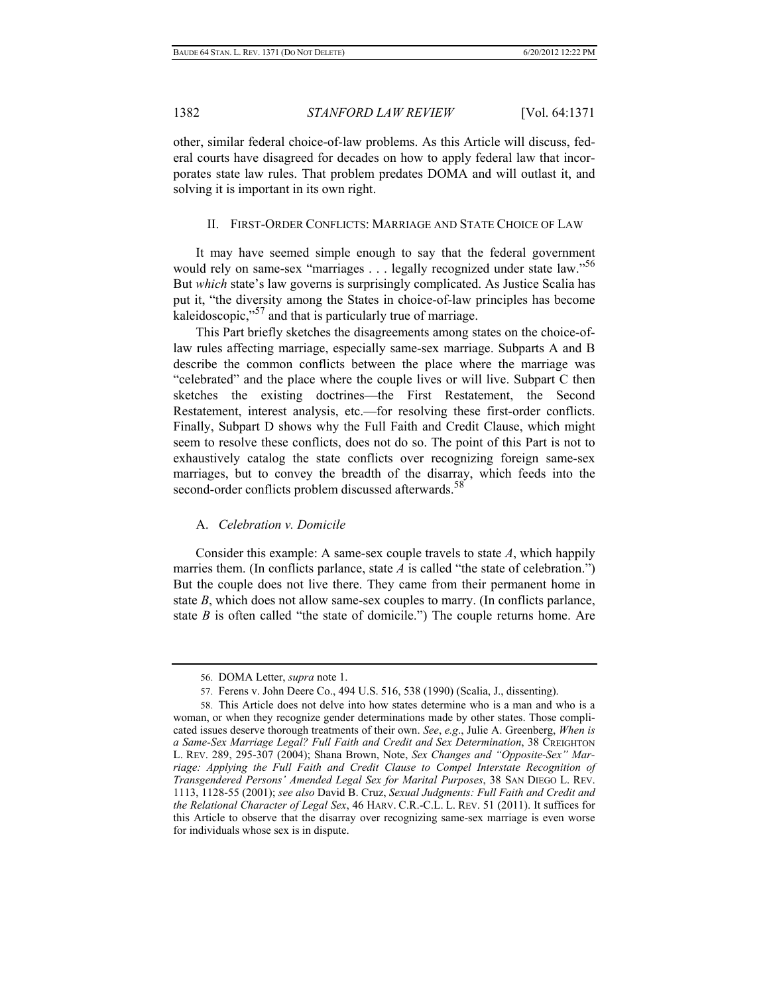other, similar federal choice-of-law problems. As this Article will discuss, federal courts have disagreed for decades on how to apply federal law that incorporates state law rules. That problem predates DOMA and will outlast it, and solving it is important in its own right.

#### II. FIRST-ORDER CONFLICTS: MARRIAGE AND STATE CHOICE OF LAW

It may have seemed simple enough to say that the federal government would rely on same-sex "marriages . . . legally recognized under state law."<sup>56</sup> But *which* state's law governs is surprisingly complicated. As Justice Scalia has put it, "the diversity among the States in choice-of-law principles has become kaleidoscopic,"<sup>57</sup> and that is particularly true of marriage.

This Part briefly sketches the disagreements among states on the choice-oflaw rules affecting marriage, especially same-sex marriage. Subparts A and B describe the common conflicts between the place where the marriage was "celebrated" and the place where the couple lives or will live. Subpart C then sketches the existing doctrines—the First Restatement, the Second Restatement, interest analysis, etc.—for resolving these first-order conflicts. Finally, Subpart D shows why the Full Faith and Credit Clause, which might seem to resolve these conflicts, does not do so. The point of this Part is not to exhaustively catalog the state conflicts over recognizing foreign same-sex marriages, but to convey the breadth of the disarray, which feeds into the second-order conflicts problem discussed afterwards.<sup>58</sup>

## A. *Celebration v. Domicile*

Consider this example: A same-sex couple travels to state *A*, which happily marries them. (In conflicts parlance, state *A* is called "the state of celebration.") But the couple does not live there. They came from their permanent home in state *B*, which does not allow same-sex couples to marry. (In conflicts parlance, state  $B$  is often called "the state of domicile.") The couple returns home. Are

 <sup>56.</sup> DOMA Letter, *supra* note 1.

 <sup>57.</sup> Ferens v. John Deere Co., 494 U.S. 516, 538 (1990) (Scalia, J., dissenting).

 <sup>58.</sup> This Article does not delve into how states determine who is a man and who is a woman, or when they recognize gender determinations made by other states. Those complicated issues deserve thorough treatments of their own. *See*, *e.g*., Julie A. Greenberg, *When is a Same-Sex Marriage Legal? Full Faith and Credit and Sex Determination*, 38 CREIGHTON L. REV. 289, 295-307 (2004); Shana Brown, Note, *Sex Changes and "Opposite-Sex" Marriage: Applying the Full Faith and Credit Clause to Compel Interstate Recognition of Transgendered Persons' Amended Legal Sex for Marital Purposes*, 38 SAN DIEGO L. REV. 1113, 1128-55 (2001); *see also* David B. Cruz, *Sexual Judgments: Full Faith and Credit and the Relational Character of Legal Sex*, 46 HARV. C.R.-C.L. L. REV. 51 (2011). It suffices for this Article to observe that the disarray over recognizing same-sex marriage is even worse for individuals whose sex is in dispute.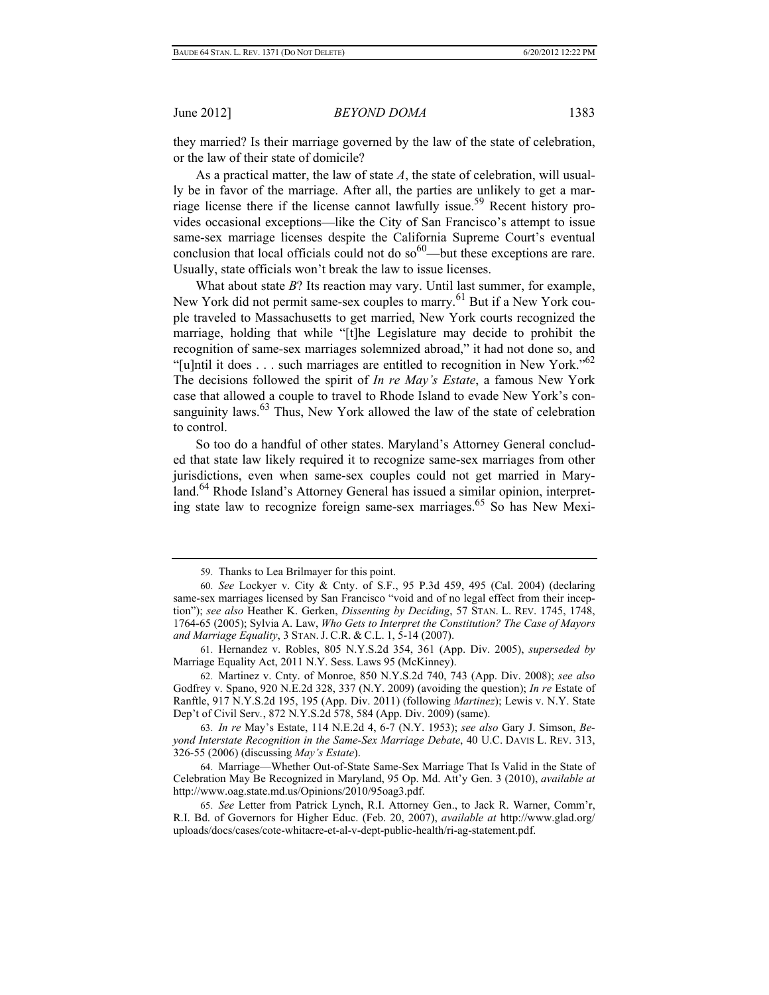they married? Is their marriage governed by the law of the state of celebration, or the law of their state of domicile?

As a practical matter, the law of state *A*, the state of celebration, will usually be in favor of the marriage. After all, the parties are unlikely to get a marriage license there if the license cannot lawfully issue.59 Recent history provides occasional exceptions—like the City of San Francisco's attempt to issue same-sex marriage licenses despite the California Supreme Court's eventual conclusion that local officials could not do so $60$ —but these exceptions are rare. Usually, state officials won't break the law to issue licenses.

What about state *B*? Its reaction may vary. Until last summer, for example, New York did not permit same-sex couples to marry.<sup>61</sup> But if a New York couple traveled to Massachusetts to get married, New York courts recognized the marriage, holding that while "[t]he Legislature may decide to prohibit the recognition of same-sex marriages solemnized abroad," it had not done so, and "[u]ntil it does  $\dots$  such marriages are entitled to recognition in New York."<sup>62</sup> The decisions followed the spirit of *In re May's Estate*, a famous New York case that allowed a couple to travel to Rhode Island to evade New York's consanguinity laws.<sup>63</sup> Thus, New York allowed the law of the state of celebration to control.

So too do a handful of other states. Maryland's Attorney General concluded that state law likely required it to recognize same-sex marriages from other jurisdictions, even when same-sex couples could not get married in Maryland.<sup>64</sup> Rhode Island's Attorney General has issued a similar opinion, interpreting state law to recognize foreign same-sex marriages.65 So has New Mexi-

 61. Hernandez v. Robles, 805 N.Y.S.2d 354, 361 (App. Div. 2005), *superseded by* Marriage Equality Act, 2011 N.Y. Sess. Laws 95 (McKinney).

 62. Martinez v. Cnty. of Monroe, 850 N.Y.S.2d 740, 743 (App. Div. 2008); *see also* Godfrey v. Spano, 920 N.E.2d 328, 337 (N.Y. 2009) (avoiding the question); *In re* Estate of Ranftle, 917 N.Y.S.2d 195, 195 (App. Div. 2011) (following *Martinez*); Lewis v. N.Y. State Dep't of Civil Serv*.*, 872 N.Y.S.2d 578, 584 (App. Div. 2009) (same).

 63. *In re* May's Estate, 114 N.E.2d 4, 6-7 (N.Y. 1953); *see also* Gary J. Simson, *Beyond Interstate Recognition in the Same-Sex Marriage Debate*, 40 U.C. DAVIS L. REV. 313, 326-55 (2006) (discussing *May's Estate*).

 64. Marriage—Whether Out-of-State Same-Sex Marriage That Is Valid in the State of Celebration May Be Recognized in Maryland, 95 Op. Md. Att'y Gen. 3 (2010), *available at*  http://www.oag.state.md.us/Opinions/2010/95oag3.pdf.

 65. *See* Letter from Patrick Lynch, R.I. Attorney Gen., to Jack R. Warner, Comm'r, R.I. Bd. of Governors for Higher Educ. (Feb. 20, 2007), *available at* http://www.glad.org/ uploads/docs/cases/cote-whitacre-et-al-v-dept-public-health/ri-ag-statement.pdf.

 <sup>59.</sup> Thanks to Lea Brilmayer for this point.

 <sup>60.</sup> *See* Lockyer v. City & Cnty. of S.F., 95 P.3d 459, 495 (Cal. 2004) (declaring same-sex marriages licensed by San Francisco "void and of no legal effect from their inception"); *see also* Heather K. Gerken, *Dissenting by Deciding*, 57 STAN. L. REV. 1745, 1748, 1764-65 (2005); Sylvia A. Law, *Who Gets to Interpret the Constitution? The Case of Mayors and Marriage Equality*, 3 STAN. J. C.R. & C.L. 1, 5-14 (2007).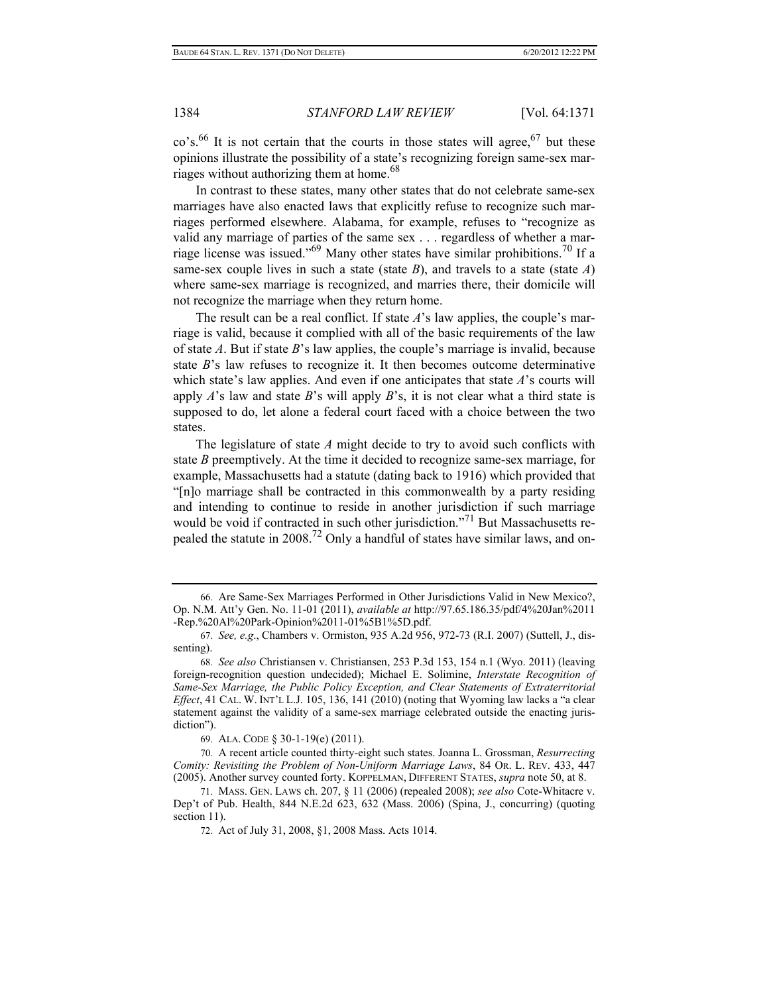$\cos^{6}$  It is not certain that the courts in those states will agree,  $\frac{67}{100}$  but these opinions illustrate the possibility of a state's recognizing foreign same-sex marriages without authorizing them at home.<sup>68</sup>

In contrast to these states, many other states that do not celebrate same-sex marriages have also enacted laws that explicitly refuse to recognize such marriages performed elsewhere. Alabama, for example, refuses to "recognize as valid any marriage of parties of the same sex . . . regardless of whether a marriage license was issued."69 Many other states have similar prohibitions.70 If a same-sex couple lives in such a state (state *B*), and travels to a state (state *A*) where same-sex marriage is recognized, and marries there, their domicile will not recognize the marriage when they return home.

The result can be a real conflict. If state *A*'s law applies, the couple's marriage is valid, because it complied with all of the basic requirements of the law of state *A*. But if state *B*'s law applies, the couple's marriage is invalid, because state *B*'s law refuses to recognize it. It then becomes outcome determinative which state's law applies. And even if one anticipates that state *A*'s courts will apply *A*'s law and state *B*'s will apply *B*'s, it is not clear what a third state is supposed to do, let alone a federal court faced with a choice between the two states.

The legislature of state *A* might decide to try to avoid such conflicts with state *B* preemptively. At the time it decided to recognize same-sex marriage, for example, Massachusetts had a statute (dating back to 1916) which provided that "[n]o marriage shall be contracted in this commonwealth by a party residing and intending to continue to reside in another jurisdiction if such marriage would be void if contracted in such other jurisdiction."<sup>71</sup> But Massachusetts repealed the statute in 2008.72 Only a handful of states have similar laws, and on-

 <sup>66.</sup> Are Same-Sex Marriages Performed in Other Jurisdictions Valid in New Mexico?, Op. N.M. Att'y Gen. No. 11-01 (2011), *available at* http://97.65.186.35/pdf/4%20Jan%2011 -Rep.%20Al%20Park-Opinion%2011-01%5B1%5D.pdf.

 <sup>67.</sup> *See, e.g*., Chambers v. Ormiston, 935 A.2d 956, 972-73 (R.I. 2007) (Suttell, J., dissenting).

 <sup>68.</sup> *See also* Christiansen v. Christiansen, 253 P.3d 153, 154 n.1 (Wyo. 2011) (leaving foreign-recognition question undecided); Michael E. Solimine, *Interstate Recognition of Same-Sex Marriage, the Public Policy Exception, and Clear Statements of Extraterritorial Effect*, 41 CAL. W. INT'L L.J. 105, 136, 141 (2010) (noting that Wyoming law lacks a "a clear statement against the validity of a same-sex marriage celebrated outside the enacting jurisdiction").

 <sup>69.</sup> ALA. CODE § 30-1-19(e) (2011).

 <sup>70.</sup> A recent article counted thirty-eight such states. Joanna L. Grossman, *Resurrecting Comity: Revisiting the Problem of Non-Uniform Marriage Laws*, 84 OR. L. REV. 433, 447 (2005). Another survey counted forty. KOPPELMAN, DIFFERENT STATES, *supra* note 50, at 8.

 <sup>71.</sup> MASS. GEN. LAWS ch. 207, § 11 (2006) (repealed 2008); *see also* Cote-Whitacre v. Dep't of Pub. Health, 844 N.E.2d 623, 632 (Mass. 2006) (Spina, J., concurring) (quoting section 11).

 <sup>72.</sup> Act of July 31, 2008, §1, 2008 Mass. Acts 1014.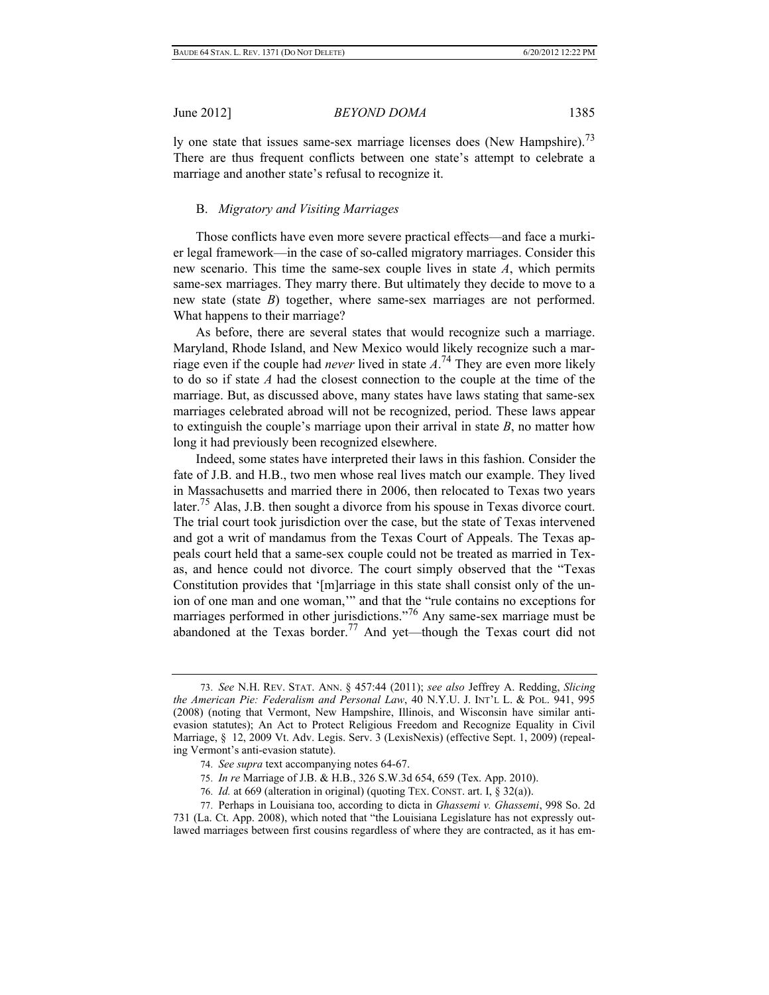ly one state that issues same-sex marriage licenses does (New Hampshire).<sup>73</sup> There are thus frequent conflicts between one state's attempt to celebrate a marriage and another state's refusal to recognize it.

## B. *Migratory and Visiting Marriages*

Those conflicts have even more severe practical effects—and face a murkier legal framework—in the case of so-called migratory marriages. Consider this new scenario. This time the same-sex couple lives in state *A*, which permits same-sex marriages. They marry there. But ultimately they decide to move to a new state (state *B*) together, where same-sex marriages are not performed. What happens to their marriage?

As before, there are several states that would recognize such a marriage. Maryland, Rhode Island, and New Mexico would likely recognize such a marriage even if the couple had *never* lived in state *A*. 74 They are even more likely to do so if state *A* had the closest connection to the couple at the time of the marriage. But, as discussed above, many states have laws stating that same-sex marriages celebrated abroad will not be recognized, period. These laws appear to extinguish the couple's marriage upon their arrival in state *B*, no matter how long it had previously been recognized elsewhere.

Indeed, some states have interpreted their laws in this fashion. Consider the fate of J.B. and H.B., two men whose real lives match our example. They lived in Massachusetts and married there in 2006, then relocated to Texas two years later.<sup>75</sup> Alas, J.B. then sought a divorce from his spouse in Texas divorce court. The trial court took jurisdiction over the case, but the state of Texas intervened and got a writ of mandamus from the Texas Court of Appeals. The Texas appeals court held that a same-sex couple could not be treated as married in Texas, and hence could not divorce. The court simply observed that the "Texas Constitution provides that '[m]arriage in this state shall consist only of the union of one man and one woman,'" and that the "rule contains no exceptions for marriages performed in other jurisdictions."<sup>76</sup> Any same-sex marriage must be abandoned at the Texas border.77 And yet—though the Texas court did not

- 74. *See supra* text accompanying notes 64-67.
- 75. *In re* Marriage of J.B. & H.B., 326 S.W.3d 654, 659 (Tex. App. 2010).
- 76. *Id.* at 669 (alteration in original) (quoting TEX. CONST. art. I, § 32(a)).

 <sup>73.</sup> *See* N.H. REV. STAT. ANN. § 457:44 (2011); *see also* Jeffrey A. Redding, *Slicing the American Pie: Federalism and Personal Law*, 40 N.Y.U. J. INT'L L. & POL. 941, 995 (2008) (noting that Vermont, New Hampshire, Illinois, and Wisconsin have similar antievasion statutes); An Act to Protect Religious Freedom and Recognize Equality in Civil Marriage, § 12, 2009 Vt. Adv. Legis. Serv. 3 (LexisNexis) (effective Sept. 1, 2009) (repealing Vermont's anti-evasion statute).

 <sup>77.</sup> Perhaps in Louisiana too, according to dicta in *Ghassemi v. Ghassemi*, 998 So. 2d 731 (La. Ct. App. 2008), which noted that "the Louisiana Legislature has not expressly outlawed marriages between first cousins regardless of where they are contracted, as it has em-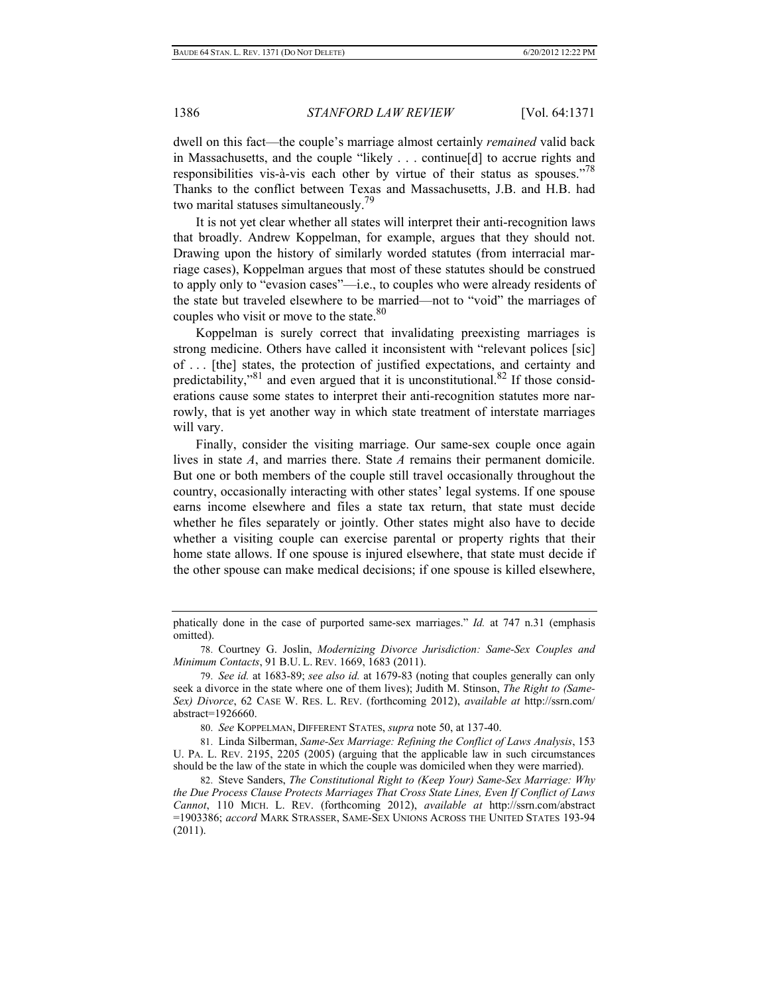dwell on this fact—the couple's marriage almost certainly *remained* valid back in Massachusetts, and the couple "likely . . . continue[d] to accrue rights and responsibilities vis-à-vis each other by virtue of their status as spouses.<sup>778</sup> Thanks to the conflict between Texas and Massachusetts, J.B. and H.B. had two marital statuses simultaneously.<sup>79</sup>

It is not yet clear whether all states will interpret their anti-recognition laws that broadly. Andrew Koppelman, for example, argues that they should not. Drawing upon the history of similarly worded statutes (from interracial marriage cases), Koppelman argues that most of these statutes should be construed to apply only to "evasion cases"—i.e., to couples who were already residents of the state but traveled elsewhere to be married—not to "void" the marriages of couples who visit or move to the state. $80$ 

Koppelman is surely correct that invalidating preexisting marriages is strong medicine. Others have called it inconsistent with "relevant polices [sic] of . . . [the] states, the protection of justified expectations, and certainty and predictability,"<sup>81</sup> and even argued that it is unconstitutional.<sup>82</sup> If those considerations cause some states to interpret their anti-recognition statutes more narrowly, that is yet another way in which state treatment of interstate marriages will vary.

Finally, consider the visiting marriage. Our same-sex couple once again lives in state *A*, and marries there. State *A* remains their permanent domicile. But one or both members of the couple still travel occasionally throughout the country, occasionally interacting with other states' legal systems. If one spouse earns income elsewhere and files a state tax return, that state must decide whether he files separately or jointly. Other states might also have to decide whether a visiting couple can exercise parental or property rights that their home state allows. If one spouse is injured elsewhere, that state must decide if the other spouse can make medical decisions; if one spouse is killed elsewhere,

80. *See* KOPPELMAN, DIFFERENT STATES, *supra* note 50, at 137-40.

 81. Linda Silberman, *Same-Sex Marriage: Refining the Conflict of Laws Analysis*, 153 U. PA. L. REV. 2195, 2205 (2005) (arguing that the applicable law in such circumstances should be the law of the state in which the couple was domiciled when they were married).

phatically done in the case of purported same-sex marriages." *Id.* at 747 n.31 (emphasis omitted).

 <sup>78.</sup> Courtney G. Joslin, *Modernizing Divorce Jurisdiction: Same-Sex Couples and Minimum Contacts*, 91 B.U. L. REV. 1669, 1683 (2011).

 <sup>79.</sup> *See id.* at 1683-89; *see also id.* at 1679-83 (noting that couples generally can only seek a divorce in the state where one of them lives); Judith M. Stinson, *The Right to (Same-Sex) Divorce*, 62 CASE W. RES. L. REV. (forthcoming 2012), *available at* http://ssrn.com/ abstract=1926660.

 <sup>82.</sup> Steve Sanders, *The Constitutional Right to (Keep Your) Same-Sex Marriage: Why the Due Process Clause Protects Marriages That Cross State Lines, Even If Conflict of Laws Cannot*, 110 MICH. L. REV. (forthcoming 2012), *available at* http://ssrn.com/abstract =1903386; *accord* MARK STRASSER, SAME-SEX UNIONS ACROSS THE UNITED STATES 193-94 (2011).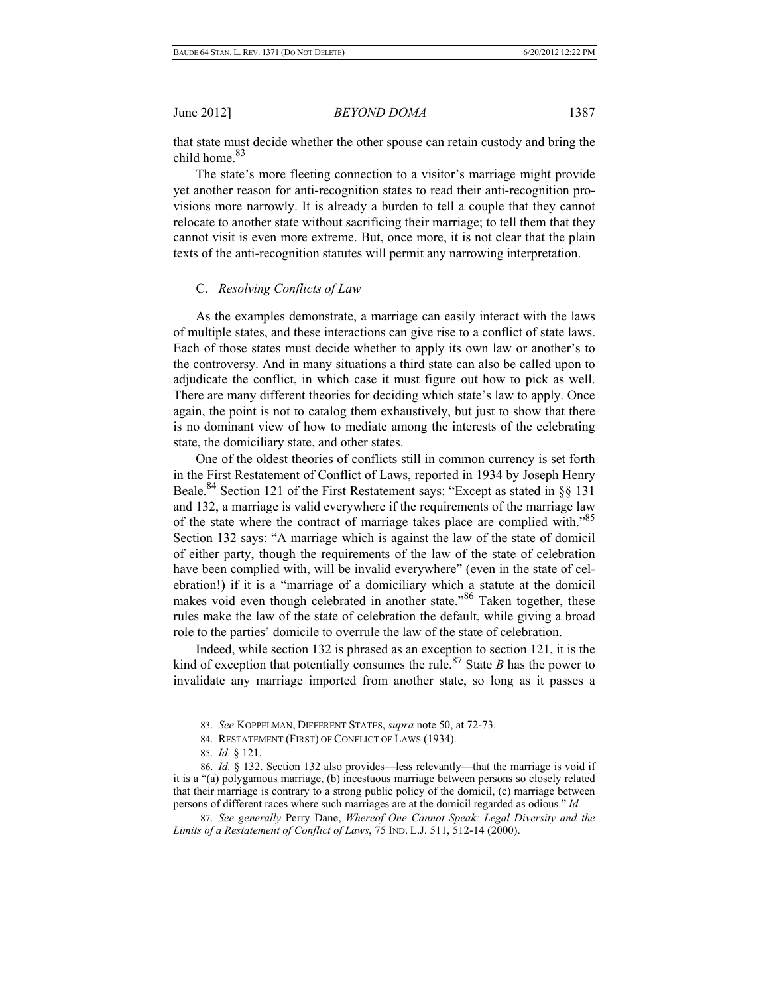that state must decide whether the other spouse can retain custody and bring the child home <sup>83</sup>

The state's more fleeting connection to a visitor's marriage might provide yet another reason for anti-recognition states to read their anti-recognition provisions more narrowly. It is already a burden to tell a couple that they cannot relocate to another state without sacrificing their marriage; to tell them that they cannot visit is even more extreme. But, once more, it is not clear that the plain texts of the anti-recognition statutes will permit any narrowing interpretation.

## C. *Resolving Conflicts of Law*

As the examples demonstrate, a marriage can easily interact with the laws of multiple states, and these interactions can give rise to a conflict of state laws. Each of those states must decide whether to apply its own law or another's to the controversy. And in many situations a third state can also be called upon to adjudicate the conflict, in which case it must figure out how to pick as well. There are many different theories for deciding which state's law to apply. Once again, the point is not to catalog them exhaustively, but just to show that there is no dominant view of how to mediate among the interests of the celebrating state, the domiciliary state, and other states.

One of the oldest theories of conflicts still in common currency is set forth in the First Restatement of Conflict of Laws, reported in 1934 by Joseph Henry Beale.84 Section 121 of the First Restatement says: "Except as stated in §§ 131 and 132, a marriage is valid everywhere if the requirements of the marriage law of the state where the contract of marriage takes place are complied with."85 Section 132 says: "A marriage which is against the law of the state of domicil of either party, though the requirements of the law of the state of celebration have been complied with, will be invalid everywhere" (even in the state of celebration!) if it is a "marriage of a domiciliary which a statute at the domicil makes void even though celebrated in another state.<sup>86</sup> Taken together, these rules make the law of the state of celebration the default, while giving a broad role to the parties' domicile to overrule the law of the state of celebration.

Indeed, while section 132 is phrased as an exception to section 121, it is the kind of exception that potentially consumes the rule.<sup>87</sup> State *B* has the power to invalidate any marriage imported from another state, so long as it passes a

 <sup>83.</sup> *See* KOPPELMAN, DIFFERENT STATES, *supra* note 50, at 72-73.

 <sup>84.</sup> RESTATEMENT (FIRST) OF CONFLICT OF LAWS (1934).

 <sup>85.</sup> *Id.* § 121.

 <sup>86.</sup> *Id.* § 132. Section 132 also provides—less relevantly—that the marriage is void if it is a "(a) polygamous marriage, (b) incestuous marriage between persons so closely related that their marriage is contrary to a strong public policy of the domicil, (c) marriage between persons of different races where such marriages are at the domicil regarded as odious." *Id.*

 <sup>87.</sup> *See generally* Perry Dane, *Whereof One Cannot Speak: Legal Diversity and the Limits of a Restatement of Conflict of Laws*, 75 IND. L.J. 511, 512-14 (2000).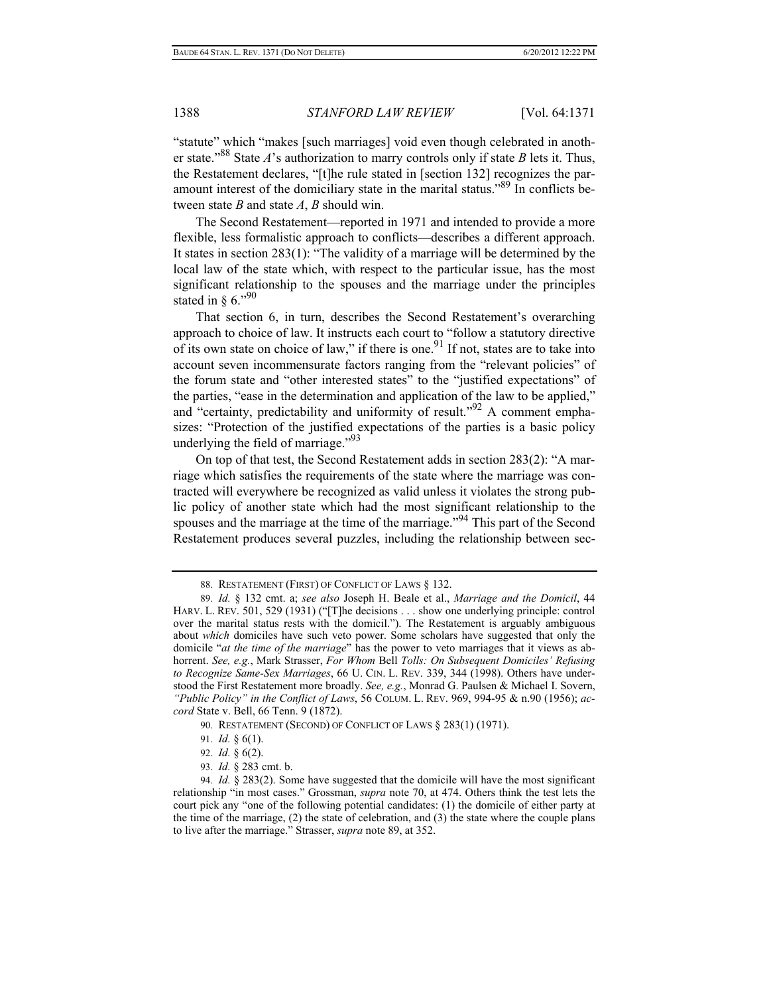"statute" which "makes [such marriages] void even though celebrated in another state."88 State *A*'s authorization to marry controls only if state *B* lets it. Thus, the Restatement declares, "[t]he rule stated in [section 132] recognizes the paramount interest of the domiciliary state in the marital status."89 In conflicts between state *B* and state *A*, *B* should win.

The Second Restatement—reported in 1971 and intended to provide a more flexible, less formalistic approach to conflicts—describes a different approach. It states in section 283(1): "The validity of a marriage will be determined by the local law of the state which, with respect to the particular issue, has the most significant relationship to the spouses and the marriage under the principles stated in  $\delta$  6."<sup>90</sup>

That section 6, in turn, describes the Second Restatement's overarching approach to choice of law. It instructs each court to "follow a statutory directive of its own state on choice of law," if there is one.<sup>91</sup> If not, states are to take into account seven incommensurate factors ranging from the "relevant policies" of the forum state and "other interested states" to the "justified expectations" of the parties, "ease in the determination and application of the law to be applied," and "certainty, predictability and uniformity of result."<sup>92</sup> A comment emphasizes: "Protection of the justified expectations of the parties is a basic policy underlying the field of marriage."<sup>93</sup>

On top of that test, the Second Restatement adds in section 283(2): "A marriage which satisfies the requirements of the state where the marriage was contracted will everywhere be recognized as valid unless it violates the strong public policy of another state which had the most significant relationship to the spouses and the marriage at the time of the marriage."<sup>94</sup> This part of the Second Restatement produces several puzzles, including the relationship between sec-

90. RESTATEMENT (SECOND) OF CONFLICT OF LAWS § 283(1) (1971).

92. *Id.* § 6(2).

93. *Id.* § 283 cmt. b.

 <sup>88.</sup> RESTATEMENT (FIRST) OF CONFLICT OF LAWS § 132.

 <sup>89.</sup> *Id.* § 132 cmt. a; *see also* Joseph H. Beale et al., *Marriage and the Domicil*, 44 HARV. L. REV. 501, 529 (1931) ("[T]he decisions . . . show one underlying principle: control over the marital status rests with the domicil."). The Restatement is arguably ambiguous about *which* domiciles have such veto power. Some scholars have suggested that only the domicile "*at the time of the marriage*" has the power to veto marriages that it views as abhorrent. *See, e.g.*, Mark Strasser, *For Whom* Bell *Tolls: On Subsequent Domiciles' Refusing to Recognize Same-Sex Marriages*, 66 U. CIN. L. REV. 339, 344 (1998). Others have understood the First Restatement more broadly. *See, e.g.*, Monrad G. Paulsen & Michael I. Sovern, *"Public Policy" in the Conflict of Laws*, 56 COLUM. L. REV. 969, 994-95 & n.90 (1956); *accord* State v. Bell, 66 Tenn. 9 (1872).

 <sup>91.</sup> *Id.* § 6(1).

 <sup>94.</sup> *Id.* § 283(2). Some have suggested that the domicile will have the most significant relationship "in most cases." Grossman, *supra* note 70, at 474. Others think the test lets the court pick any "one of the following potential candidates: (1) the domicile of either party at the time of the marriage,  $(2)$  the state of celebration, and  $(3)$  the state where the couple plans to live after the marriage." Strasser, *supra* note 89, at 352.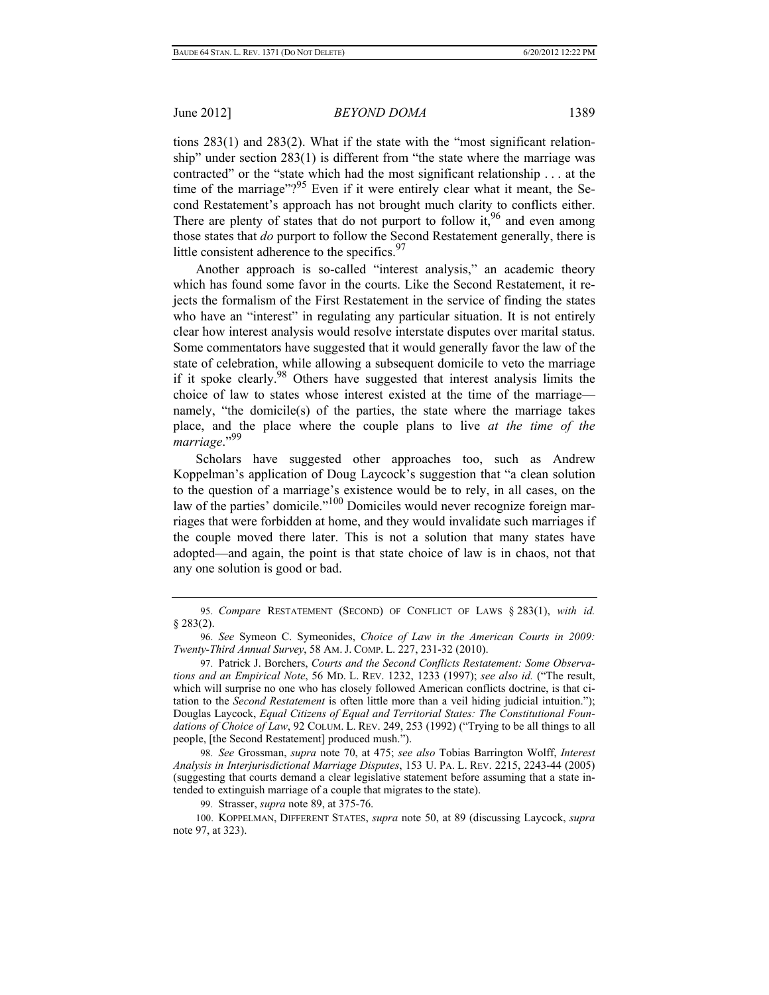tions 283(1) and 283(2). What if the state with the "most significant relationship" under section 283(1) is different from "the state where the marriage was contracted" or the "state which had the most significant relationship . . . at the time of the marriage"? $95$  Even if it were entirely clear what it meant, the Second Restatement's approach has not brought much clarity to conflicts either. There are plenty of states that do not purport to follow it,  $96$  and even among those states that *do* purport to follow the Second Restatement generally, there is little consistent adherence to the specifics. $97$ 

Another approach is so-called "interest analysis," an academic theory which has found some favor in the courts. Like the Second Restatement, it rejects the formalism of the First Restatement in the service of finding the states who have an "interest" in regulating any particular situation. It is not entirely clear how interest analysis would resolve interstate disputes over marital status. Some commentators have suggested that it would generally favor the law of the state of celebration, while allowing a subsequent domicile to veto the marriage if it spoke clearly.<sup>98</sup> Others have suggested that interest analysis limits the choice of law to states whose interest existed at the time of the marriage namely, "the domicile(s) of the parties, the state where the marriage takes place, and the place where the couple plans to live *at the time of the marriage*."99

Scholars have suggested other approaches too, such as Andrew Koppelman's application of Doug Laycock's suggestion that "a clean solution to the question of a marriage's existence would be to rely, in all cases, on the law of the parties' domicile."<sup>100</sup> Domiciles would never recognize foreign marriages that were forbidden at home, and they would invalidate such marriages if the couple moved there later. This is not a solution that many states have adopted—and again, the point is that state choice of law is in chaos, not that any one solution is good or bad.

 <sup>95.</sup> *Compare* RESTATEMENT (SECOND) OF CONFLICT OF LAWS § 283(1), *with id.* § 283(2).

 <sup>96.</sup> *See* Symeon C. Symeonides, *Choice of Law in the American Courts in 2009: Twenty-Third Annual Survey*, 58 AM. J. COMP. L. 227, 231-32 (2010).

 <sup>97.</sup> Patrick J. Borchers, *Courts and the Second Conflicts Restatement: Some Observations and an Empirical Note*, 56 MD. L. REV. 1232, 1233 (1997); *see also id.* ("The result, which will surprise no one who has closely followed American conflicts doctrine, is that citation to the *Second Restatement* is often little more than a veil hiding judicial intuition."); Douglas Laycock, *Equal Citizens of Equal and Territorial States: The Constitutional Foundations of Choice of Law*, 92 COLUM. L. REV. 249, 253 (1992) ("Trying to be all things to all people, [the Second Restatement] produced mush.").

 <sup>98.</sup> *See* Grossman, *supra* note 70, at 475; *see also* Tobias Barrington Wolff, *Interest Analysis in Interjurisdictional Marriage Disputes*, 153 U. PA. L. REV. 2215, 2243-44 (2005) (suggesting that courts demand a clear legislative statement before assuming that a state intended to extinguish marriage of a couple that migrates to the state).

 <sup>99.</sup> Strasser, *supra* note 89, at 375-76.

<sup>100.</sup> KOPPELMAN, DIFFERENT STATES, *supra* note 50, at 89 (discussing Laycock, *supra* note 97, at 323).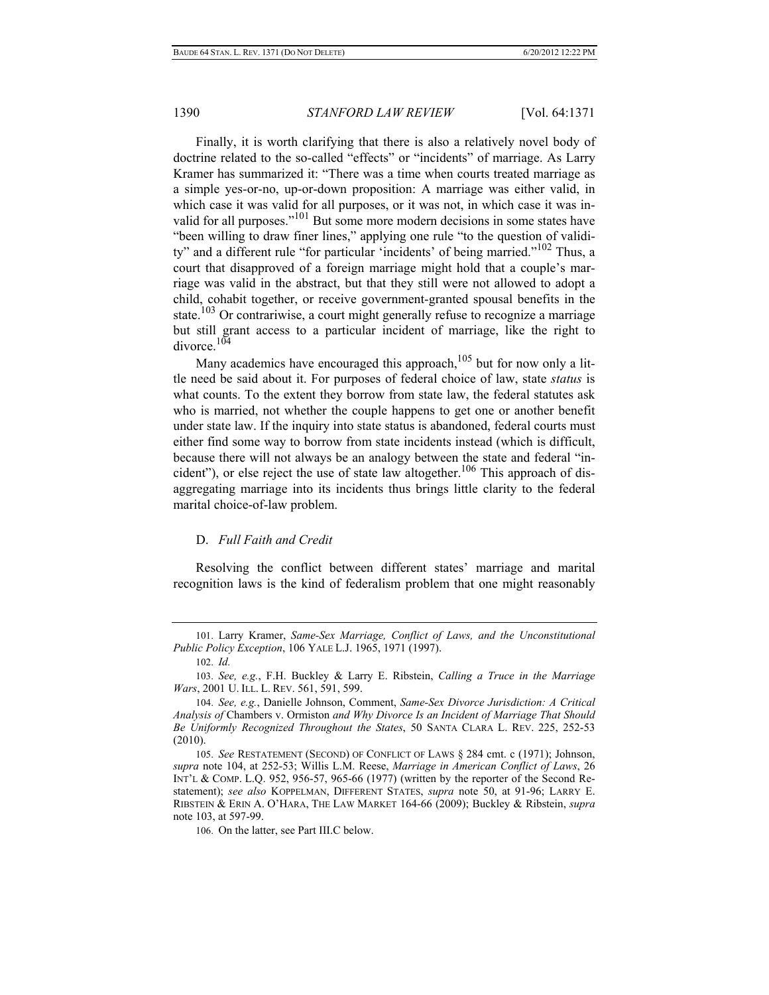Finally, it is worth clarifying that there is also a relatively novel body of doctrine related to the so-called "effects" or "incidents" of marriage. As Larry Kramer has summarized it: "There was a time when courts treated marriage as a simple yes-or-no, up-or-down proposition: A marriage was either valid, in which case it was valid for all purposes, or it was not, in which case it was invalid for all purposes."101 But some more modern decisions in some states have "been willing to draw finer lines," applying one rule "to the question of validity" and a different rule "for particular 'incidents' of being married."102 Thus, a court that disapproved of a foreign marriage might hold that a couple's marriage was valid in the abstract, but that they still were not allowed to adopt a child, cohabit together, or receive government-granted spousal benefits in the state.<sup>103</sup> Or contrariwise, a court might generally refuse to recognize a marriage but still grant access to a particular incident of marriage, like the right to divorce  $104$ 

Many academics have encouraged this approach,  $105$  but for now only a little need be said about it. For purposes of federal choice of law, state *status* is what counts. To the extent they borrow from state law, the federal statutes ask who is married, not whether the couple happens to get one or another benefit under state law. If the inquiry into state status is abandoned, federal courts must either find some way to borrow from state incidents instead (which is difficult, because there will not always be an analogy between the state and federal "incident"), or else reject the use of state law altogether.<sup>106</sup> This approach of disaggregating marriage into its incidents thus brings little clarity to the federal marital choice-of-law problem.

#### D. *Full Faith and Credit*

Resolving the conflict between different states' marriage and marital recognition laws is the kind of federalism problem that one might reasonably

<sup>101.</sup> Larry Kramer, *Same-Sex Marriage, Conflict of Laws, and the Unconstitutional Public Policy Exception*, 106 YALE L.J. 1965, 1971 (1997).

<sup>102.</sup> *Id.*

<sup>103.</sup> *See, e.g.*, F.H. Buckley & Larry E. Ribstein, *Calling a Truce in the Marriage Wars*, 2001 U. ILL. L. REV. 561, 591, 599.

<sup>104.</sup> *See, e.g.*, Danielle Johnson, Comment, *Same-Sex Divorce Jurisdiction: A Critical Analysis of* Chambers v. Ormiston *and Why Divorce Is an Incident of Marriage That Should Be Uniformly Recognized Throughout the States*, 50 SANTA CLARA L. REV. 225, 252-53 (2010).

<sup>105.</sup> *See* RESTATEMENT (SECOND) OF CONFLICT OF LAWS § 284 cmt. c (1971); Johnson, *supra* note 104, at 252-53; Willis L.M. Reese, *Marriage in American Conflict of Laws*, 26 INT'L & COMP. L.Q. 952, 956-57, 965-66 (1977) (written by the reporter of the Second Restatement); *see also* KOPPELMAN, DIFFERENT STATES, *supra* note 50, at 91-96; LARRY E. RIBSTEIN & ERIN A. O'HARA, THE LAW MARKET 164-66 (2009); Buckley & Ribstein, *supra* note 103, at 597-99.

<sup>106.</sup> On the latter, see Part III.C below.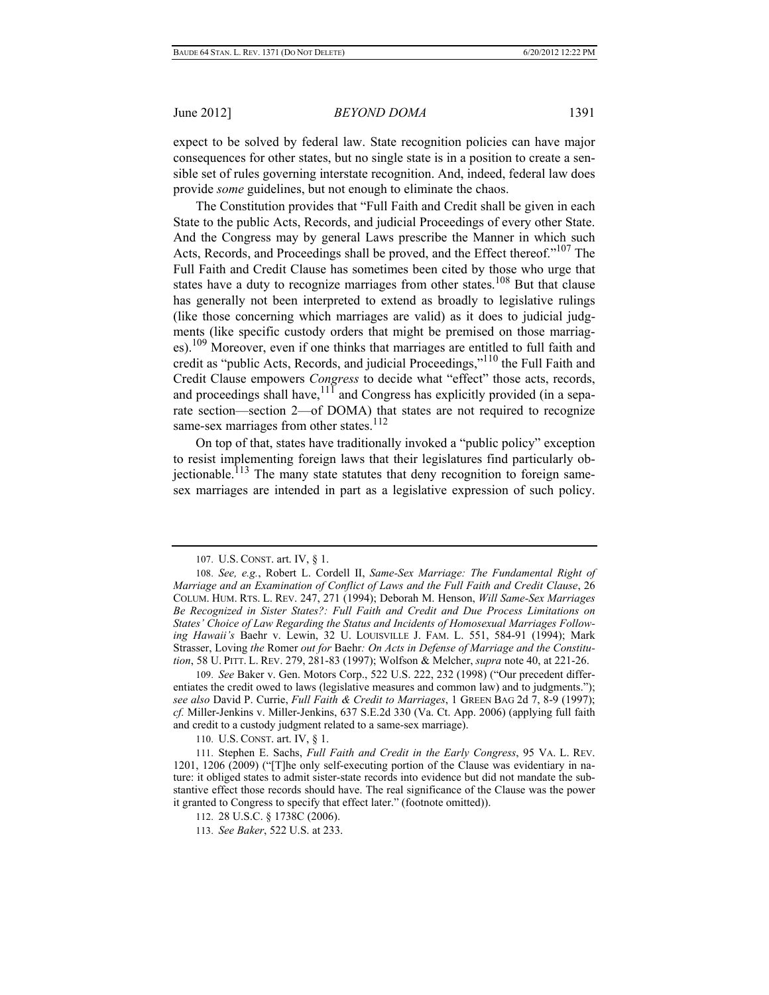expect to be solved by federal law. State recognition policies can have major consequences for other states, but no single state is in a position to create a sensible set of rules governing interstate recognition. And, indeed, federal law does provide *some* guidelines, but not enough to eliminate the chaos.

The Constitution provides that "Full Faith and Credit shall be given in each State to the public Acts, Records, and judicial Proceedings of every other State. And the Congress may by general Laws prescribe the Manner in which such Acts, Records, and Proceedings shall be proved, and the Effect thereof."<sup>107</sup> The Full Faith and Credit Clause has sometimes been cited by those who urge that states have a duty to recognize marriages from other states.<sup>108</sup> But that clause has generally not been interpreted to extend as broadly to legislative rulings (like those concerning which marriages are valid) as it does to judicial judgments (like specific custody orders that might be premised on those marriages).<sup>109</sup> Moreover, even if one thinks that marriages are entitled to full faith and credit as "public Acts, Records, and judicial Proceedings,"110 the Full Faith and Credit Clause empowers *Congress* to decide what "effect" those acts, records, and proceedings shall have,  $11\bar{1}$  and Congress has explicitly provided (in a separate section—section 2—of DOMA) that states are not required to recognize same-sex marriages from other states.<sup>112</sup>

On top of that, states have traditionally invoked a "public policy" exception to resist implementing foreign laws that their legislatures find particularly obiectionable.<sup>113</sup> The many state statutes that deny recognition to foreign samesex marriages are intended in part as a legislative expression of such policy.

109. *See* Baker v. Gen. Motors Corp., 522 U.S. 222, 232 (1998) ("Our precedent differentiates the credit owed to laws (legislative measures and common law) and to judgments."); *see also* David P. Currie, *Full Faith & Credit to Marriages*, 1 GREEN BAG 2d 7, 8-9 (1997); *cf.* Miller-Jenkins v. Miller-Jenkins, 637 S.E.2d 330 (Va. Ct. App. 2006) (applying full faith and credit to a custody judgment related to a same-sex marriage).

110. U.S. CONST. art. IV, § 1.

111. Stephen E. Sachs, *Full Faith and Credit in the Early Congress*, 95 VA. L. REV. 1201, 1206 (2009) ("[T]he only self-executing portion of the Clause was evidentiary in nature: it obliged states to admit sister-state records into evidence but did not mandate the substantive effect those records should have. The real significance of the Clause was the power it granted to Congress to specify that effect later." (footnote omitted)).

- 112. 28 U.S.C. § 1738C (2006).
- 113. *See Baker*, 522 U.S. at 233.

<sup>107.</sup> U.S. CONST. art. IV, § 1.

<sup>108.</sup> *See, e.g.*, Robert L. Cordell II, *Same-Sex Marriage: The Fundamental Right of Marriage and an Examination of Conflict of Laws and the Full Faith and Credit Clause*, 26 COLUM. HUM. RTS. L. REV. 247, 271 (1994); Deborah M. Henson, *Will Same-Sex Marriages Be Recognized in Sister States?: Full Faith and Credit and Due Process Limitations on States' Choice of Law Regarding the Status and Incidents of Homosexual Marriages Following Hawaii's* Baehr v. Lewin, 32 U. LOUISVILLE J. FAM. L. 551, 584-91 (1994); Mark Strasser, Loving *the* Romer *out for* Baehr*: On Acts in Defense of Marriage and the Constitution*, 58 U. PITT. L. REV. 279, 281-83 (1997); Wolfson & Melcher, *supra* note 40, at 221-26.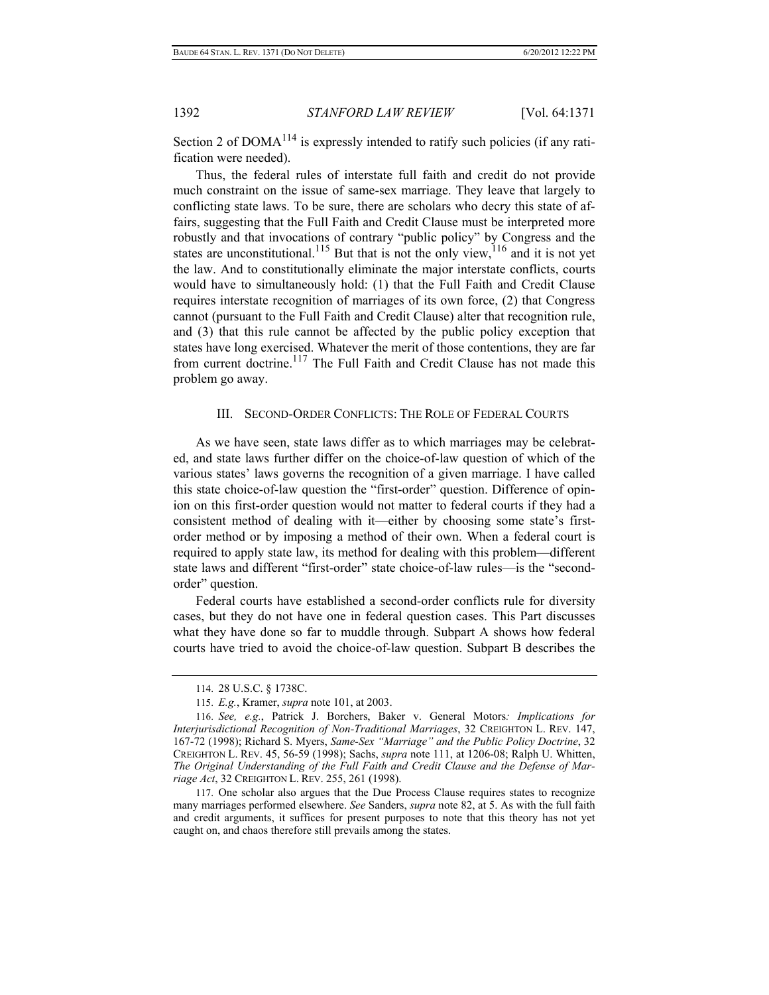Section 2 of  $DOMA^{114}$  is expressly intended to ratify such policies (if any ratification were needed).

Thus, the federal rules of interstate full faith and credit do not provide much constraint on the issue of same-sex marriage. They leave that largely to conflicting state laws. To be sure, there are scholars who decry this state of affairs, suggesting that the Full Faith and Credit Clause must be interpreted more robustly and that invocations of contrary "public policy" by Congress and the states are unconstitutional.<sup>115</sup> But that is not the only view,  $116$  and it is not yet the law. And to constitutionally eliminate the major interstate conflicts, courts would have to simultaneously hold: (1) that the Full Faith and Credit Clause requires interstate recognition of marriages of its own force, (2) that Congress cannot (pursuant to the Full Faith and Credit Clause) alter that recognition rule, and (3) that this rule cannot be affected by the public policy exception that states have long exercised. Whatever the merit of those contentions, they are far from current doctrine.<sup>117</sup> The Full Faith and Credit Clause has not made this problem go away.

#### III. SECOND-ORDER CONFLICTS: THE ROLE OF FEDERAL COURTS

As we have seen, state laws differ as to which marriages may be celebrated, and state laws further differ on the choice-of-law question of which of the various states' laws governs the recognition of a given marriage. I have called this state choice-of-law question the "first-order" question. Difference of opinion on this first-order question would not matter to federal courts if they had a consistent method of dealing with it—either by choosing some state's firstorder method or by imposing a method of their own. When a federal court is required to apply state law, its method for dealing with this problem—different state laws and different "first-order" state choice-of-law rules—is the "secondorder" question.

Federal courts have established a second-order conflicts rule for diversity cases, but they do not have one in federal question cases. This Part discusses what they have done so far to muddle through. Subpart A shows how federal courts have tried to avoid the choice-of-law question. Subpart B describes the

<sup>114. 28</sup> U.S.C. § 1738C.

<sup>115.</sup> *E.g.*, Kramer, *supra* note 101, at 2003.

<sup>116.</sup> *See, e.g.*, Patrick J. Borchers, Baker v. General Motors*: Implications for Interjurisdictional Recognition of Non-Traditional Marriages*, 32 CREIGHTON L. REV. 147, 167-72 (1998); Richard S. Myers, *Same-Sex "Marriage" and the Public Policy Doctrine*, 32 CREIGHTON L. REV. 45, 56-59 (1998); Sachs, *supra* note 111, at 1206-08; Ralph U. Whitten, *The Original Understanding of the Full Faith and Credit Clause and the Defense of Marriage Act*, 32 CREIGHTON L. REV. 255, 261 (1998).

<sup>117.</sup> One scholar also argues that the Due Process Clause requires states to recognize many marriages performed elsewhere. *See* Sanders, *supra* note 82, at 5. As with the full faith and credit arguments, it suffices for present purposes to note that this theory has not yet caught on, and chaos therefore still prevails among the states.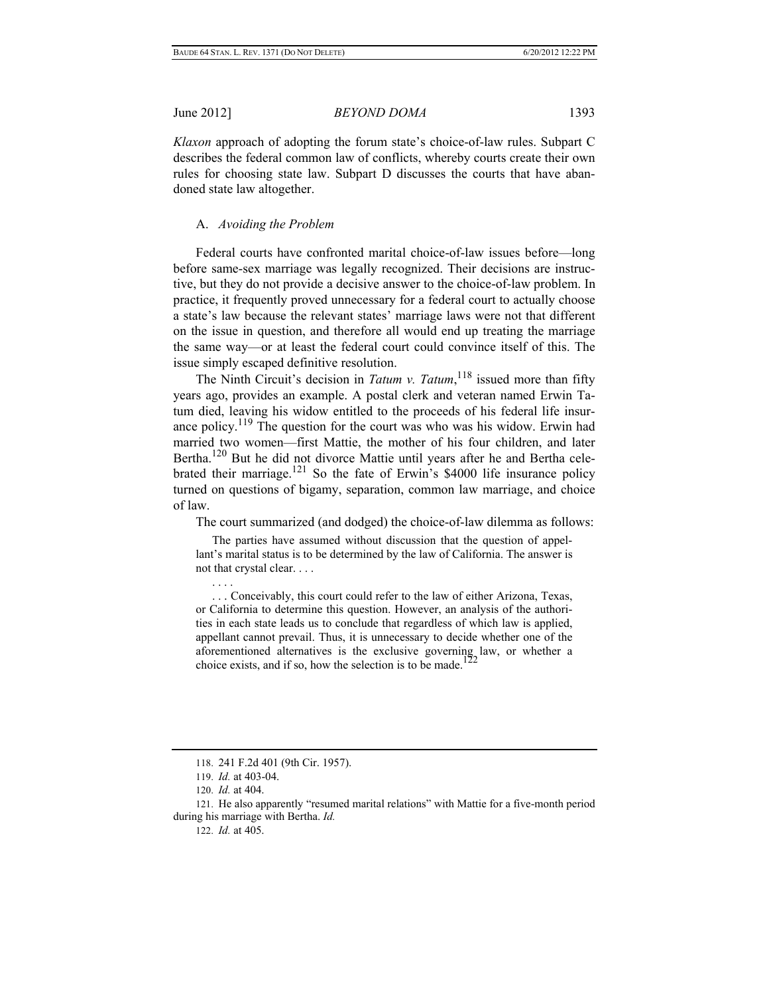*Klaxon* approach of adopting the forum state's choice-of-law rules. Subpart C describes the federal common law of conflicts, whereby courts create their own rules for choosing state law. Subpart D discusses the courts that have abandoned state law altogether.

## A. *Avoiding the Problem*

Federal courts have confronted marital choice-of-law issues before—long before same-sex marriage was legally recognized. Their decisions are instructive, but they do not provide a decisive answer to the choice-of-law problem. In practice, it frequently proved unnecessary for a federal court to actually choose a state's law because the relevant states' marriage laws were not that different on the issue in question, and therefore all would end up treating the marriage the same way—or at least the federal court could convince itself of this. The issue simply escaped definitive resolution.

The Ninth Circuit's decision in *Tatum v. Tatum*, <sup>118</sup> issued more than fifty years ago, provides an example. A postal clerk and veteran named Erwin Tatum died, leaving his widow entitled to the proceeds of his federal life insurance policy.<sup>119</sup> The question for the court was who was his widow. Erwin had married two women—first Mattie, the mother of his four children, and later Bertha.<sup>120</sup> But he did not divorce Mattie until years after he and Bertha celebrated their marriage.<sup>121</sup> So the fate of Erwin's \$4000 life insurance policy turned on questions of bigamy, separation, common law marriage, and choice of law.

The court summarized (and dodged) the choice-of-law dilemma as follows:

 The parties have assumed without discussion that the question of appellant's marital status is to be determined by the law of California. The answer is not that crystal clear. . . .

 . . . Conceivably, this court could refer to the law of either Arizona, Texas, or California to determine this question. However, an analysis of the authorities in each state leads us to conclude that regardless of which law is applied, appellant cannot prevail. Thus, it is unnecessary to decide whether one of the aforementioned alternatives is the exclusive governing law, or whether a choice exists, and if so, how the selection is to be made.<sup>122</sup>

. . . .

<sup>118. 241</sup> F.2d 401 (9th Cir. 1957).

<sup>119.</sup> *Id.* at 403-04.

<sup>120.</sup> *Id.* at 404.

<sup>121.</sup> He also apparently "resumed marital relations" with Mattie for a five-month period during his marriage with Bertha. *Id.*

<sup>122.</sup> *Id.* at 405.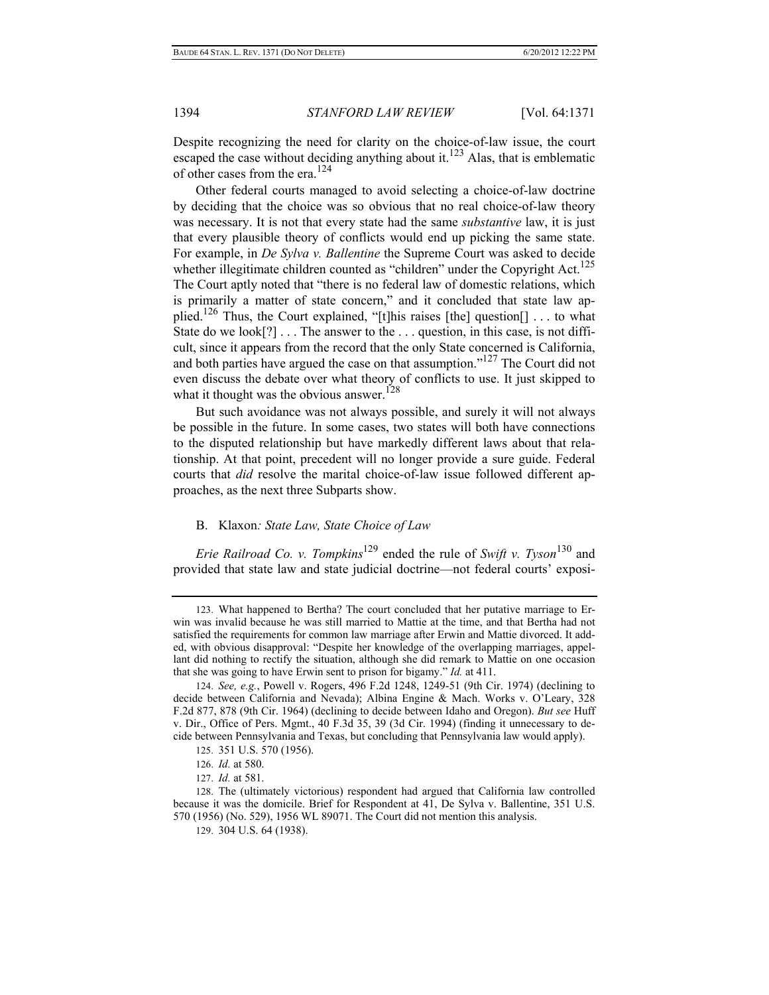Despite recognizing the need for clarity on the choice-of-law issue, the court escaped the case without deciding anything about it.<sup>123</sup> Alas, that is emblematic of other cases from the era.124

Other federal courts managed to avoid selecting a choice-of-law doctrine by deciding that the choice was so obvious that no real choice-of-law theory was necessary. It is not that every state had the same *substantive* law, it is just that every plausible theory of conflicts would end up picking the same state. For example, in *De Sylva v. Ballentine* the Supreme Court was asked to decide whether illegitimate children counted as "children" under the Copyright Act.<sup>125</sup> The Court aptly noted that "there is no federal law of domestic relations, which is primarily a matter of state concern," and it concluded that state law applied.<sup>126</sup> Thus, the Court explained, "[t]his raises [the] question[] ... to what State do we look[?] . . . The answer to the . . . question, in this case, is not difficult, since it appears from the record that the only State concerned is California, and both parties have argued the case on that assumption."127 The Court did not even discuss the debate over what theory of conflicts to use. It just skipped to what it thought was the obvious answer.<sup>128</sup>

But such avoidance was not always possible, and surely it will not always be possible in the future. In some cases, two states will both have connections to the disputed relationship but have markedly different laws about that relationship. At that point, precedent will no longer provide a sure guide. Federal courts that *did* resolve the marital choice-of-law issue followed different approaches, as the next three Subparts show.

### B. Klaxon*: State Law, State Choice of Law*

*Erie Railroad Co. v. Tompkins*129 ended the rule of *Swift v. Tyson*130 and provided that state law and state judicial doctrine—not federal courts' exposi-

<sup>123.</sup> What happened to Bertha? The court concluded that her putative marriage to Erwin was invalid because he was still married to Mattie at the time, and that Bertha had not satisfied the requirements for common law marriage after Erwin and Mattie divorced. It added, with obvious disapproval: "Despite her knowledge of the overlapping marriages, appellant did nothing to rectify the situation, although she did remark to Mattie on one occasion that she was going to have Erwin sent to prison for bigamy." *Id.* at 411.

<sup>124.</sup> *See, e.g.*, Powell v. Rogers, 496 F.2d 1248, 1249-51 (9th Cir. 1974) (declining to decide between California and Nevada); Albina Engine & Mach. Works v. O'Leary, 328 F.2d 877, 878 (9th Cir. 1964) (declining to decide between Idaho and Oregon). *But see* Huff v. Dir., Office of Pers. Mgmt., 40 F.3d 35, 39 (3d Cir. 1994) (finding it unnecessary to decide between Pennsylvania and Texas, but concluding that Pennsylvania law would apply).

<sup>125. 351</sup> U.S. 570 (1956).

<sup>126.</sup> *Id.* at 580.

<sup>127.</sup> *Id.* at 581.

<sup>128.</sup> The (ultimately victorious) respondent had argued that California law controlled because it was the domicile. Brief for Respondent at 41, De Sylva v. Ballentine, 351 U.S. 570 (1956) (No. 529), 1956 WL 89071. The Court did not mention this analysis.

<sup>129. 304</sup> U.S. 64 (1938).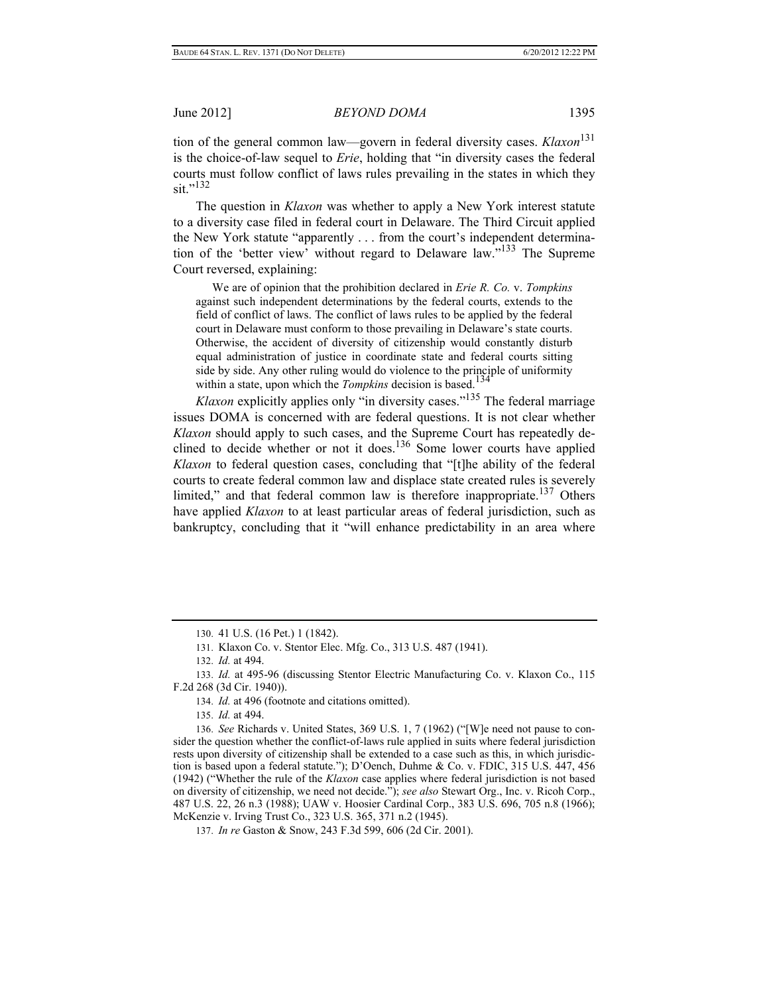tion of the general common law—govern in federal diversity cases. *Klaxon*<sup>131</sup> is the choice-of-law sequel to *Erie*, holding that "in diversity cases the federal courts must follow conflict of laws rules prevailing in the states in which they  $\sin$ "<sup>132</sup>

The question in *Klaxon* was whether to apply a New York interest statute to a diversity case filed in federal court in Delaware. The Third Circuit applied the New York statute "apparently . . . from the court's independent determination of the 'better view' without regard to Delaware law."<sup>133</sup> The Supreme Court reversed, explaining:

 We are of opinion that the prohibition declared in *Erie R. Co.* v. *Tompkins* against such independent determinations by the federal courts, extends to the field of conflict of laws. The conflict of laws rules to be applied by the federal court in Delaware must conform to those prevailing in Delaware's state courts. Otherwise, the accident of diversity of citizenship would constantly disturb equal administration of justice in coordinate state and federal courts sitting side by side. Any other ruling would do violence to the principle of uniformity within a state, upon which the *Tompkins* decision is based.<sup>134</sup>

*Klaxon* explicitly applies only "in diversity cases."<sup>135</sup> The federal marriage issues DOMA is concerned with are federal questions. It is not clear whether *Klaxon* should apply to such cases, and the Supreme Court has repeatedly declined to decide whether or not it does.<sup>136</sup> Some lower courts have applied *Klaxon* to federal question cases, concluding that "[t]he ability of the federal courts to create federal common law and displace state created rules is severely limited," and that federal common law is therefore inappropriate.<sup>137</sup> Others have applied *Klaxon* to at least particular areas of federal jurisdiction, such as bankruptcy, concluding that it "will enhance predictability in an area where

<sup>130. 41</sup> U.S. (16 Pet.) 1 (1842).

<sup>131.</sup> Klaxon Co. v. Stentor Elec. Mfg. Co., 313 U.S. 487 (1941).

<sup>132.</sup> *Id.* at 494.

<sup>133.</sup> *Id.* at 495-96 (discussing Stentor Electric Manufacturing Co. v. Klaxon Co., 115 F.2d 268 (3d Cir. 1940)).

<sup>134.</sup> *Id.* at 496 (footnote and citations omitted).

<sup>135.</sup> *Id.* at 494.

<sup>136.</sup> *See* Richards v. United States, 369 U.S. 1, 7 (1962) ("[W]e need not pause to consider the question whether the conflict-of-laws rule applied in suits where federal jurisdiction rests upon diversity of citizenship shall be extended to a case such as this, in which jurisdiction is based upon a federal statute."); D'Oench, Duhme & Co. v. FDIC, 315 U.S. 447, 456 (1942) ("Whether the rule of the *Klaxon* case applies where federal jurisdiction is not based on diversity of citizenship, we need not decide."); *see also* Stewart Org., Inc. v. Ricoh Corp., 487 U.S. 22, 26 n.3 (1988); UAW v. Hoosier Cardinal Corp., 383 U.S. 696, 705 n.8 (1966); McKenzie v. Irving Trust Co., 323 U.S. 365, 371 n.2 (1945).

<sup>137.</sup> *In re* Gaston & Snow, 243 F.3d 599, 606 (2d Cir. 2001).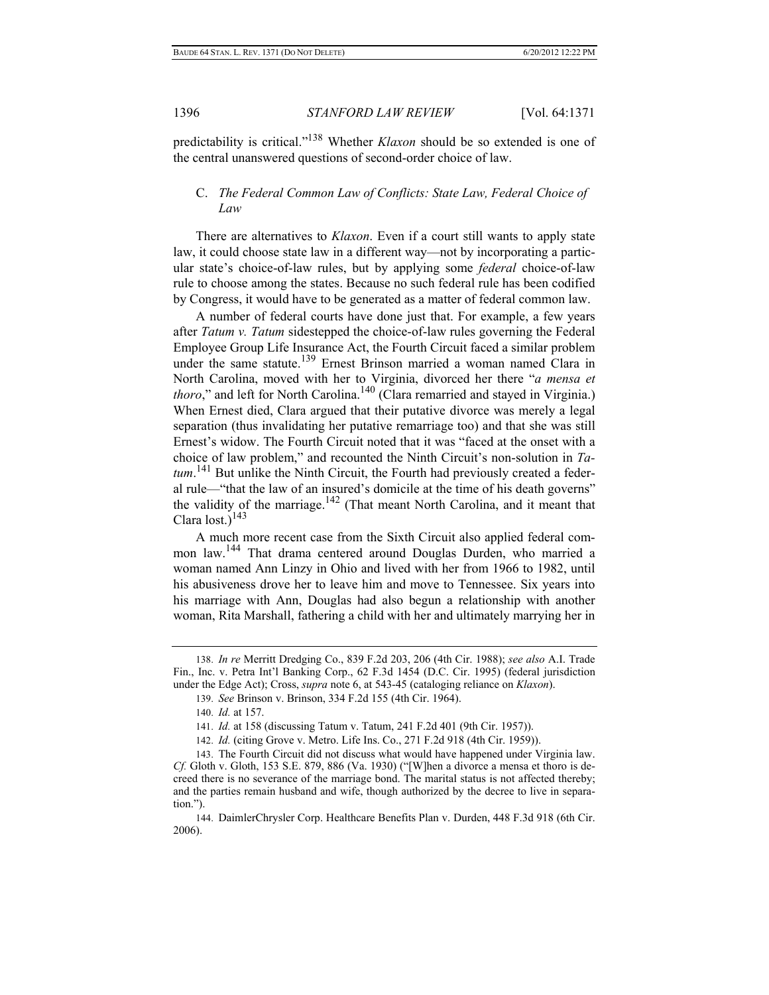predictability is critical."138 Whether *Klaxon* should be so extended is one of the central unanswered questions of second-order choice of law.

## C. *The Federal Common Law of Conflicts: State Law, Federal Choice of Law*

There are alternatives to *Klaxon*. Even if a court still wants to apply state law, it could choose state law in a different way—not by incorporating a particular state's choice-of-law rules, but by applying some *federal* choice-of-law rule to choose among the states. Because no such federal rule has been codified by Congress, it would have to be generated as a matter of federal common law.

A number of federal courts have done just that. For example, a few years after *Tatum v. Tatum* sidestepped the choice-of-law rules governing the Federal Employee Group Life Insurance Act, the Fourth Circuit faced a similar problem under the same statute.<sup>139</sup> Ernest Brinson married a woman named Clara in North Carolina, moved with her to Virginia, divorced her there "*a mensa et thoro*," and left for North Carolina.<sup>140</sup> (Clara remarried and stayed in Virginia.) When Ernest died, Clara argued that their putative divorce was merely a legal separation (thus invalidating her putative remarriage too) and that she was still Ernest's widow. The Fourth Circuit noted that it was "faced at the onset with a choice of law problem," and recounted the Ninth Circuit's non-solution in *Tatum*. 141 But unlike the Ninth Circuit, the Fourth had previously created a federal rule—"that the law of an insured's domicile at the time of his death governs" the validity of the marriage.<sup>142</sup> (That meant North Carolina, and it meant that Clara lost.) $^{143}$ 

A much more recent case from the Sixth Circuit also applied federal common law.144 That drama centered around Douglas Durden, who married a woman named Ann Linzy in Ohio and lived with her from 1966 to 1982, until his abusiveness drove her to leave him and move to Tennessee. Six years into his marriage with Ann, Douglas had also begun a relationship with another woman, Rita Marshall, fathering a child with her and ultimately marrying her in

<sup>138.</sup> *In re* Merritt Dredging Co., 839 F.2d 203, 206 (4th Cir. 1988); *see also* A.I. Trade Fin., Inc. v. Petra Int'l Banking Corp., 62 F.3d 1454 (D.C. Cir. 1995) (federal jurisdiction under the Edge Act); Cross, *supra* note 6, at 543-45 (cataloging reliance on *Klaxon*).

<sup>139.</sup> *See* Brinson v. Brinson, 334 F.2d 155 (4th Cir. 1964).

<sup>140.</sup> *Id.* at 157.

<sup>141.</sup> *Id.* at 158 (discussing Tatum v. Tatum, 241 F.2d 401 (9th Cir. 1957)).

<sup>142.</sup> *Id.* (citing Grove v. Metro. Life Ins. Co., 271 F.2d 918 (4th Cir. 1959)).

<sup>143.</sup> The Fourth Circuit did not discuss what would have happened under Virginia law. *Cf.* Gloth v. Gloth, 153 S.E. 879, 886 (Va. 1930) ("[W]hen a divorce a mensa et thoro is decreed there is no severance of the marriage bond. The marital status is not affected thereby; and the parties remain husband and wife, though authorized by the decree to live in separation.").

<sup>144.</sup> DaimlerChrysler Corp. Healthcare Benefits Plan v. Durden, 448 F.3d 918 (6th Cir. 2006).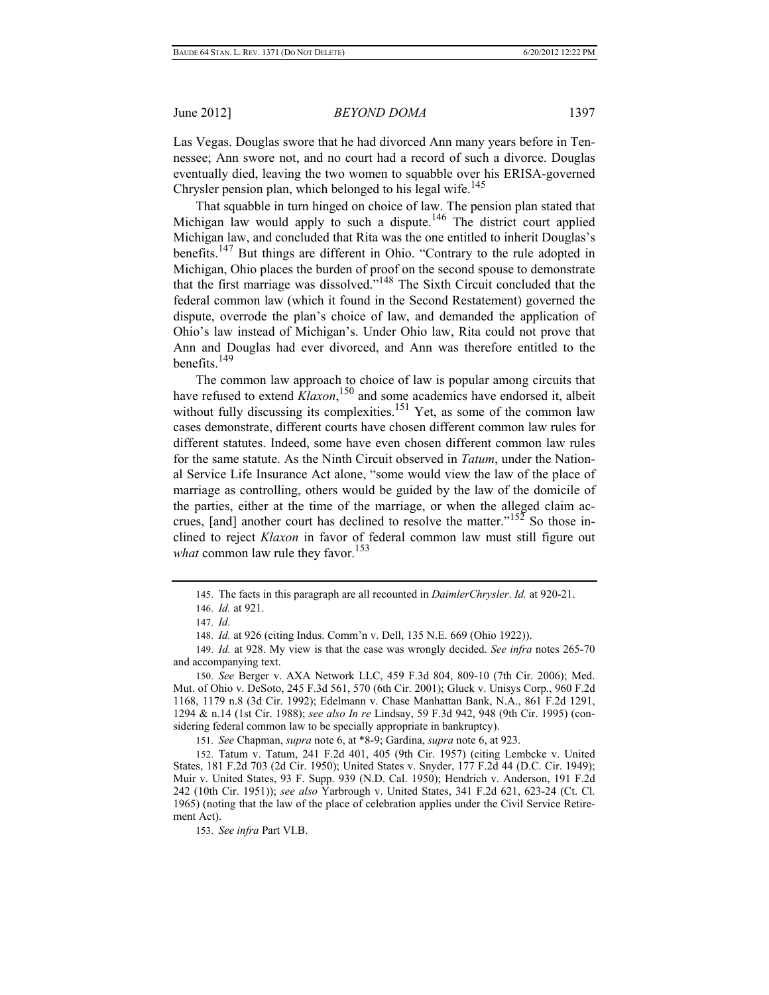Las Vegas. Douglas swore that he had divorced Ann many years before in Tennessee; Ann swore not, and no court had a record of such a divorce. Douglas eventually died, leaving the two women to squabble over his ERISA-governed Chrysler pension plan, which belonged to his legal wife.<sup>145</sup>

That squabble in turn hinged on choice of law. The pension plan stated that Michigan law would apply to such a dispute.<sup>146</sup> The district court applied Michigan law, and concluded that Rita was the one entitled to inherit Douglas's benefits.147 But things are different in Ohio. "Contrary to the rule adopted in Michigan, Ohio places the burden of proof on the second spouse to demonstrate that the first marriage was dissolved."148 The Sixth Circuit concluded that the federal common law (which it found in the Second Restatement) governed the dispute, overrode the plan's choice of law, and demanded the application of Ohio's law instead of Michigan's. Under Ohio law, Rita could not prove that Ann and Douglas had ever divorced, and Ann was therefore entitled to the benefits. $149$ 

The common law approach to choice of law is popular among circuits that have refused to extend *Klaxon*, 150 and some academics have endorsed it, albeit without fully discussing its complexities.<sup>151</sup> Yet, as some of the common law cases demonstrate, different courts have chosen different common law rules for different statutes. Indeed, some have even chosen different common law rules for the same statute. As the Ninth Circuit observed in *Tatum*, under the National Service Life Insurance Act alone, "some would view the law of the place of marriage as controlling, others would be guided by the law of the domicile of the parties, either at the time of the marriage, or when the alleged claim accrues, [and] another court has declined to resolve the matter." $152$  So those inclined to reject *Klaxon* in favor of federal common law must still figure out *what* common law rule they favor.<sup>153</sup>

151. *See* Chapman, *supra* note 6, at \*8-9; Gardina, *supra* note 6, at 923.

152. Tatum v. Tatum, 241 F.2d 401, 405 (9th Cir. 1957) (citing Lembcke v. United States, 181 F.2d 703 (2d Cir. 1950); United States v. Snyder, 177 F.2d 44 (D.C. Cir. 1949); Muir v. United States, 93 F. Supp. 939 (N.D. Cal. 1950); Hendrich v. Anderson, 191 F.2d 242 (10th Cir. 1951)); *see also* Yarbrough v. United States, 341 F.2d 621, 623-24 (Ct. Cl. 1965) (noting that the law of the place of celebration applies under the Civil Service Retirement Act).

153. *See infra* Part VI.B.

<sup>145.</sup> The facts in this paragraph are all recounted in *DaimlerChrysler*. *Id.* at 920-21.

<sup>146.</sup> *Id.* at 921.

<sup>147.</sup> *Id.*

<sup>148.</sup> *Id.* at 926 (citing Indus. Comm'n v. Dell, 135 N.E. 669 (Ohio 1922)).

<sup>149.</sup> *Id.* at 928. My view is that the case was wrongly decided. *See infra* notes 265-70 and accompanying text.

<sup>150.</sup> *See* Berger v. AXA Network LLC, 459 F.3d 804, 809-10 (7th Cir. 2006); Med. Mut. of Ohio v. DeSoto, 245 F.3d 561, 570 (6th Cir. 2001); Gluck v. Unisys Corp., 960 F.2d 1168, 1179 n.8 (3d Cir. 1992); Edelmann v. Chase Manhattan Bank, N.A., 861 F.2d 1291, 1294 & n.14 (1st Cir. 1988); *see also In re* Lindsay, 59 F.3d 942, 948 (9th Cir. 1995) (considering federal common law to be specially appropriate in bankruptcy).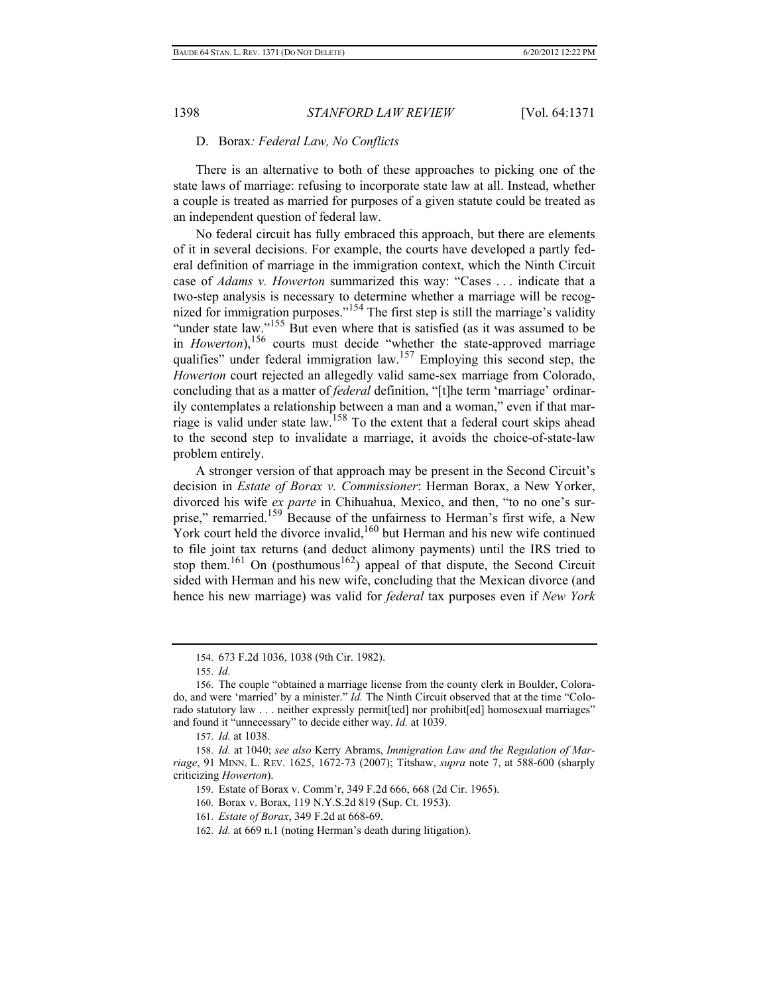#### D. Borax*: Federal Law, No Conflicts*

There is an alternative to both of these approaches to picking one of the state laws of marriage: refusing to incorporate state law at all. Instead, whether a couple is treated as married for purposes of a given statute could be treated as an independent question of federal law.

No federal circuit has fully embraced this approach, but there are elements of it in several decisions. For example, the courts have developed a partly federal definition of marriage in the immigration context, which the Ninth Circuit case of *Adams v. Howerton* summarized this way: "Cases . . . indicate that a two-step analysis is necessary to determine whether a marriage will be recognized for immigration purposes."<sup>154</sup> The first step is still the marriage's validity "under state law."<sup>155</sup> But even where that is satisfied (as it was assumed to be in *Howerton*),<sup>156</sup> courts must decide "whether the state-approved marriage qualifies" under federal immigration law.<sup>157</sup> Employing this second step, the *Howerton* court rejected an allegedly valid same-sex marriage from Colorado, concluding that as a matter of *federal* definition, "[t]he term 'marriage' ordinarily contemplates a relationship between a man and a woman," even if that marriage is valid under state law.158 To the extent that a federal court skips ahead to the second step to invalidate a marriage, it avoids the choice-of-state-law problem entirely.

A stronger version of that approach may be present in the Second Circuit's decision in *Estate of Borax v. Commissioner*: Herman Borax, a New Yorker, divorced his wife *ex parte* in Chihuahua, Mexico, and then, "to no one's surprise," remarried.<sup>159</sup> Because of the unfairness to Herman's first wife, a New York court held the divorce invalid,<sup>160</sup> but Herman and his new wife continued to file joint tax returns (and deduct alimony payments) until the IRS tried to stop them.<sup>161</sup> On (posthumous<sup>162</sup>) appeal of that dispute, the Second Circuit sided with Herman and his new wife, concluding that the Mexican divorce (and hence his new marriage) was valid for *federal* tax purposes even if *New York*

<sup>154. 673</sup> F.2d 1036, 1038 (9th Cir. 1982).

<sup>155.</sup> *Id.*

<sup>156.</sup> The couple "obtained a marriage license from the county clerk in Boulder, Colorado, and were 'married' by a minister." *Id.* The Ninth Circuit observed that at the time "Colorado statutory law . . . neither expressly permit [ted] nor prohibit [ed] homosexual marriages" and found it "unnecessary" to decide either way. *Id.* at 1039.

<sup>157.</sup> *Id.* at 1038.

<sup>158.</sup> *Id.* at 1040; *see also* Kerry Abrams, *Immigration Law and the Regulation of Marriage*, 91 MINN. L. REV. 1625, 1672-73 (2007); Titshaw, *supra* note 7, at 588-600 (sharply criticizing *Howerton*).

<sup>159.</sup> Estate of Borax v. Comm'r, 349 F.2d 666, 668 (2d Cir. 1965).

<sup>160.</sup> Borax v. Borax, 119 N.Y.S.2d 819 (Sup. Ct. 1953).

<sup>161.</sup> *Estate of Borax*, 349 F.2d at 668-69.

<sup>162.</sup> *Id.* at 669 n.1 (noting Herman's death during litigation).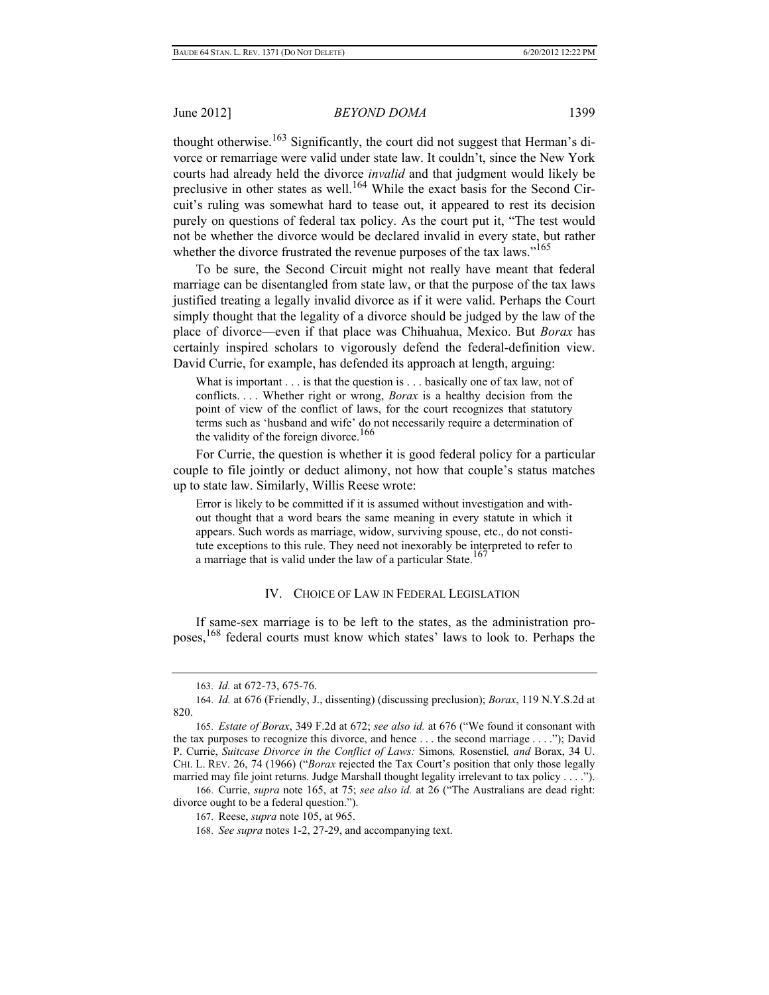thought otherwise.<sup>163</sup> Significantly, the court did not suggest that Herman's divorce or remarriage were valid under state law. It couldn't, since the New York courts had already held the divorce *invalid* and that judgment would likely be preclusive in other states as well.<sup>164</sup> While the exact basis for the Second Circuit's ruling was somewhat hard to tease out, it appeared to rest its decision purely on questions of federal tax policy. As the court put it, "The test would not be whether the divorce would be declared invalid in every state, but rather whether the divorce frustrated the revenue purposes of the tax laws."<sup>165</sup>

To be sure, the Second Circuit might not really have meant that federal marriage can be disentangled from state law, or that the purpose of the tax laws justified treating a legally invalid divorce as if it were valid. Perhaps the Court simply thought that the legality of a divorce should be judged by the law of the place of divorce—even if that place was Chihuahua, Mexico. But *Borax* has certainly inspired scholars to vigorously defend the federal-definition view. David Currie, for example, has defended its approach at length, arguing:

What is important . . . is that the question is . . . basically one of tax law, not of conflicts. . . . Whether right or wrong, *Borax* is a healthy decision from the point of view of the conflict of laws, for the court recognizes that statutory terms such as 'husband and wife' do not necessarily require a determination of the validity of the foreign divorce.<sup>166</sup>

For Currie, the question is whether it is good federal policy for a particular couple to file jointly or deduct alimony, not how that couple's status matches up to state law. Similarly, Willis Reese wrote:

Error is likely to be committed if it is assumed without investigation and without thought that a word bears the same meaning in every statute in which it appears. Such words as marriage, widow, surviving spouse, etc., do not constitute exceptions to this rule. They need not inexorably be interpreted to refer to a marriage that is valid under the law of a particular State.<sup>167</sup>

## IV. CHOICE OF LAW IN FEDERAL LEGISLATION

If same-sex marriage is to be left to the states, as the administration proposes,168 federal courts must know which states' laws to look to. Perhaps the

<sup>163.</sup> *Id.* at 672-73, 675-76.

<sup>164.</sup> *Id.* at 676 (Friendly, J., dissenting) (discussing preclusion); *Borax*, 119 N.Y.S.2d at 820.

<sup>165.</sup> *Estate of Borax*, 349 F.2d at 672; *see also id.* at 676 ("We found it consonant with the tax purposes to recognize this divorce, and hence . . . the second marriage . . . ."); David P. Currie, *Suitcase Divorce in the Conflict of Laws:* Simons*,* Rosenstiel*, and* Borax, 34 U. CHI. L. REV. 26, 74 (1966) ("*Borax* rejected the Tax Court's position that only those legally married may file joint returns. Judge Marshall thought legality irrelevant to tax policy . . . .").

<sup>166.</sup> Currie, *supra* note 165, at 75; *see also id.* at 26 ("The Australians are dead right: divorce ought to be a federal question.").

<sup>167.</sup> Reese, *supra* note 105, at 965.

<sup>168.</sup> *See supra* notes 1-2, 27-29, and accompanying text.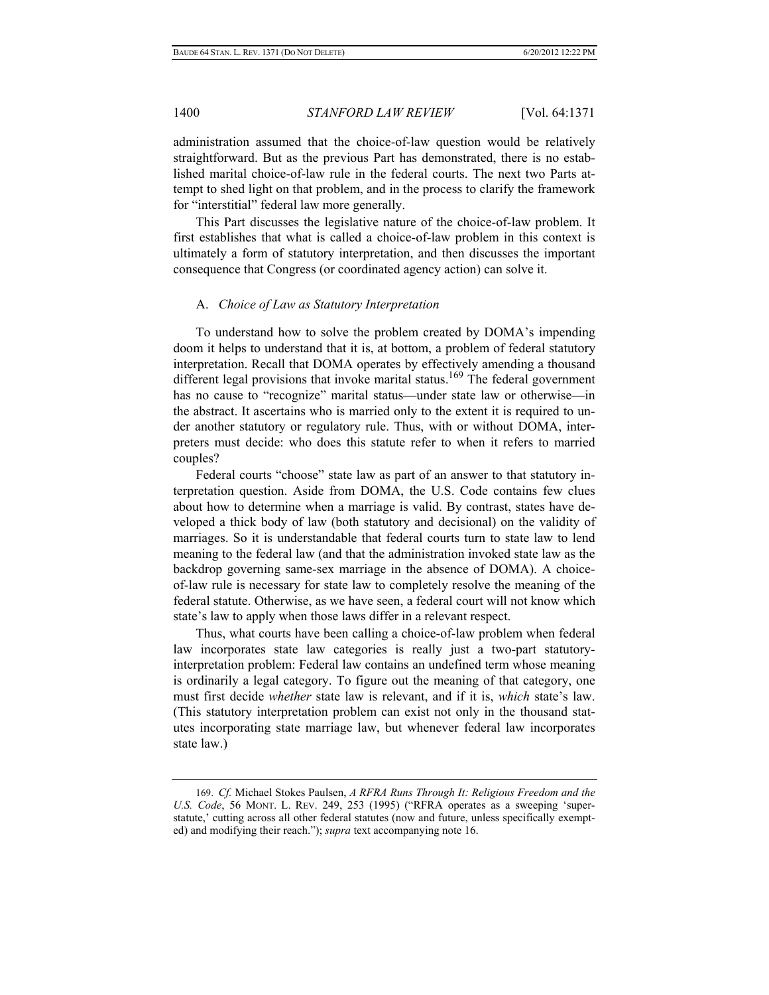administration assumed that the choice-of-law question would be relatively straightforward. But as the previous Part has demonstrated, there is no established marital choice-of-law rule in the federal courts. The next two Parts attempt to shed light on that problem, and in the process to clarify the framework for "interstitial" federal law more generally.

This Part discusses the legislative nature of the choice-of-law problem. It first establishes that what is called a choice-of-law problem in this context is ultimately a form of statutory interpretation, and then discusses the important consequence that Congress (or coordinated agency action) can solve it.

#### A. *Choice of Law as Statutory Interpretation*

To understand how to solve the problem created by DOMA's impending doom it helps to understand that it is, at bottom, a problem of federal statutory interpretation. Recall that DOMA operates by effectively amending a thousand different legal provisions that invoke marital status.<sup>169</sup> The federal government has no cause to "recognize" marital status—under state law or otherwise—in the abstract. It ascertains who is married only to the extent it is required to under another statutory or regulatory rule. Thus, with or without DOMA, interpreters must decide: who does this statute refer to when it refers to married couples?

Federal courts "choose" state law as part of an answer to that statutory interpretation question. Aside from DOMA, the U.S. Code contains few clues about how to determine when a marriage is valid. By contrast, states have developed a thick body of law (both statutory and decisional) on the validity of marriages. So it is understandable that federal courts turn to state law to lend meaning to the federal law (and that the administration invoked state law as the backdrop governing same-sex marriage in the absence of DOMA). A choiceof-law rule is necessary for state law to completely resolve the meaning of the federal statute. Otherwise, as we have seen, a federal court will not know which state's law to apply when those laws differ in a relevant respect.

Thus, what courts have been calling a choice-of-law problem when federal law incorporates state law categories is really just a two-part statutoryinterpretation problem: Federal law contains an undefined term whose meaning is ordinarily a legal category. To figure out the meaning of that category, one must first decide *whether* state law is relevant, and if it is, *which* state's law. (This statutory interpretation problem can exist not only in the thousand statutes incorporating state marriage law, but whenever federal law incorporates state law.)

<sup>169.</sup> *Cf.* Michael Stokes Paulsen, *A RFRA Runs Through It: Religious Freedom and the U.S. Code*, 56 MONT. L. REV. 249, 253 (1995) ("RFRA operates as a sweeping 'superstatute,' cutting across all other federal statutes (now and future, unless specifically exempted) and modifying their reach."); *supra* text accompanying note 16.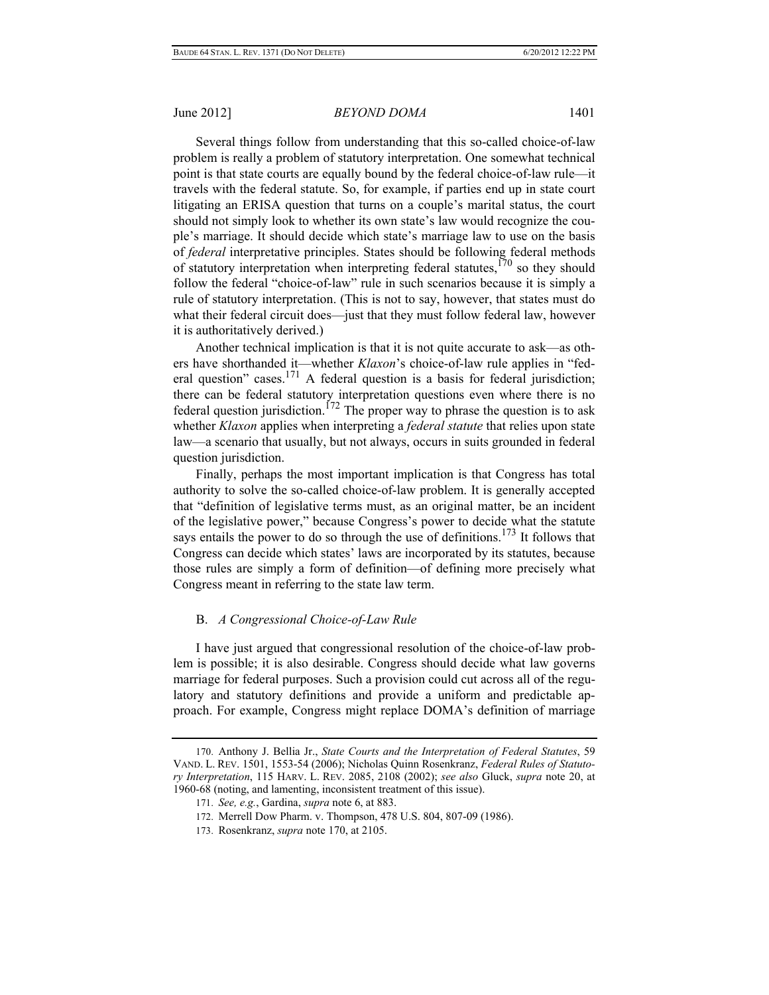Several things follow from understanding that this so-called choice-of-law problem is really a problem of statutory interpretation. One somewhat technical point is that state courts are equally bound by the federal choice-of-law rule—it travels with the federal statute. So, for example, if parties end up in state court litigating an ERISA question that turns on a couple's marital status, the court should not simply look to whether its own state's law would recognize the couple's marriage. It should decide which state's marriage law to use on the basis of *federal* interpretative principles. States should be following federal methods of statutory interpretation when interpreting federal statutes, $170$  so they should follow the federal "choice-of-law" rule in such scenarios because it is simply a rule of statutory interpretation. (This is not to say, however, that states must do what their federal circuit does—just that they must follow federal law, however it is authoritatively derived.)

Another technical implication is that it is not quite accurate to ask—as others have shorthanded it—whether *Klaxon*'s choice-of-law rule applies in "federal question" cases.<sup>171</sup> A federal question is a basis for federal jurisdiction; there can be federal statutory interpretation questions even where there is no federal question jurisdiction.<sup> $172$ </sup> The proper way to phrase the question is to ask whether *Klaxon* applies when interpreting a *federal statute* that relies upon state law—a scenario that usually, but not always, occurs in suits grounded in federal question jurisdiction.

Finally, perhaps the most important implication is that Congress has total authority to solve the so-called choice-of-law problem. It is generally accepted that "definition of legislative terms must, as an original matter, be an incident of the legislative power," because Congress's power to decide what the statute says entails the power to do so through the use of definitions.<sup>173</sup> It follows that Congress can decide which states' laws are incorporated by its statutes, because those rules are simply a form of definition—of defining more precisely what Congress meant in referring to the state law term.

## B. *A Congressional Choice-of-Law Rule*

I have just argued that congressional resolution of the choice-of-law problem is possible; it is also desirable. Congress should decide what law governs marriage for federal purposes. Such a provision could cut across all of the regulatory and statutory definitions and provide a uniform and predictable approach. For example, Congress might replace DOMA's definition of marriage

<sup>170.</sup> Anthony J. Bellia Jr., *State Courts and the Interpretation of Federal Statutes*, 59 VAND. L. REV. 1501, 1553-54 (2006); Nicholas Quinn Rosenkranz, *Federal Rules of Statutory Interpretation*, 115 HARV. L. REV. 2085, 2108 (2002); *see also* Gluck, *supra* note 20, at 1960-68 (noting, and lamenting, inconsistent treatment of this issue).

<sup>171.</sup> *See, e.g.*, Gardina, *supra* note 6, at 883.

<sup>172.</sup> Merrell Dow Pharm. v. Thompson, 478 U.S. 804, 807-09 (1986).

<sup>173.</sup> Rosenkranz, *supra* note 170, at 2105.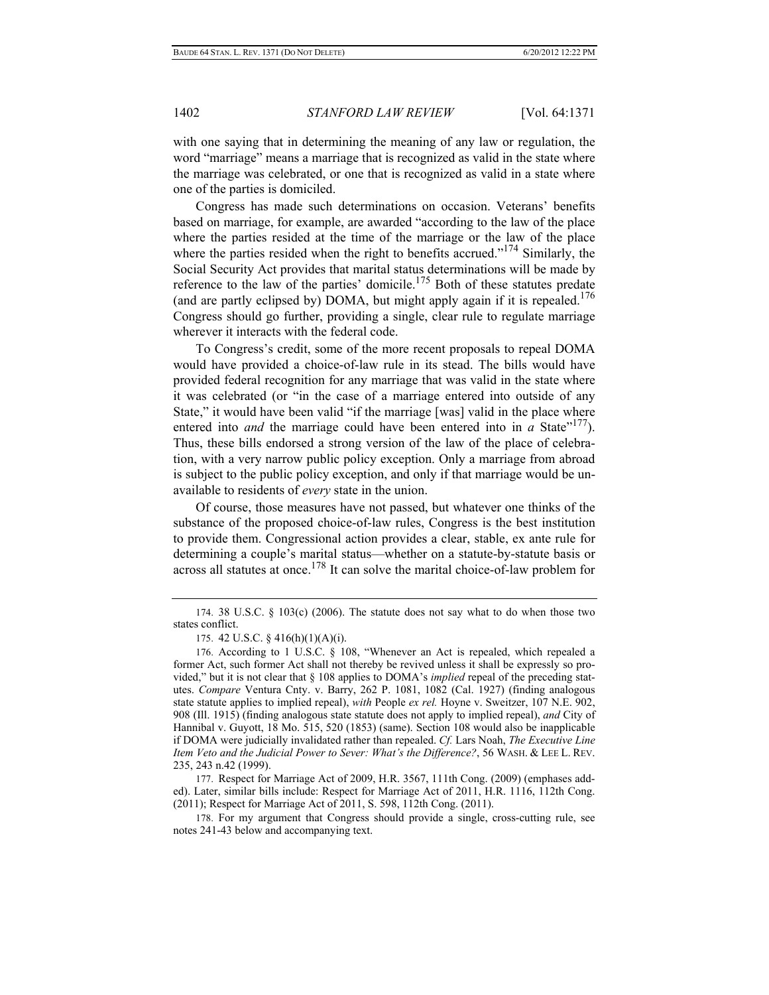with one saying that in determining the meaning of any law or regulation, the word "marriage" means a marriage that is recognized as valid in the state where the marriage was celebrated, or one that is recognized as valid in a state where one of the parties is domiciled.

Congress has made such determinations on occasion. Veterans' benefits based on marriage, for example, are awarded "according to the law of the place where the parties resided at the time of the marriage or the law of the place where the parties resided when the right to benefits accrued."<sup>174</sup> Similarly, the Social Security Act provides that marital status determinations will be made by reference to the law of the parties' domicile.<sup>175</sup> Both of these statutes predate (and are partly eclipsed by) DOMA, but might apply again if it is repealed.<sup>176</sup> Congress should go further, providing a single, clear rule to regulate marriage wherever it interacts with the federal code.

To Congress's credit, some of the more recent proposals to repeal DOMA would have provided a choice-of-law rule in its stead. The bills would have provided federal recognition for any marriage that was valid in the state where it was celebrated (or "in the case of a marriage entered into outside of any State," it would have been valid "if the marriage [was] valid in the place where entered into *and* the marriage could have been entered into in *a* State<sup> $177$ </sup>). Thus, these bills endorsed a strong version of the law of the place of celebration, with a very narrow public policy exception. Only a marriage from abroad is subject to the public policy exception, and only if that marriage would be unavailable to residents of *every* state in the union.

Of course, those measures have not passed, but whatever one thinks of the substance of the proposed choice-of-law rules, Congress is the best institution to provide them. Congressional action provides a clear, stable, ex ante rule for determining a couple's marital status—whether on a statute-by-statute basis or across all statutes at once.<sup>178</sup> It can solve the marital choice-of-law problem for

177. Respect for Marriage Act of 2009, H.R. 3567, 111th Cong. (2009) (emphases added). Later, similar bills include: Respect for Marriage Act of 2011, H.R. 1116, 112th Cong. (2011); Respect for Marriage Act of 2011, S. 598, 112th Cong. (2011).

178. For my argument that Congress should provide a single, cross-cutting rule, see notes 241-43 below and accompanying text.

<sup>174. 38</sup> U.S.C. § 103(c) (2006). The statute does not say what to do when those two states conflict.

<sup>175. 42</sup> U.S.C. § 416(h)(1)(A)(i).

<sup>176.</sup> According to 1 U.S.C. § 108, "Whenever an Act is repealed, which repealed a former Act, such former Act shall not thereby be revived unless it shall be expressly so provided," but it is not clear that § 108 applies to DOMA's *implied* repeal of the preceding statutes. *Compare* Ventura Cnty. v. Barry, 262 P. 1081, 1082 (Cal. 1927) (finding analogous state statute applies to implied repeal), *with* People *ex rel.* Hoyne v. Sweitzer, 107 N.E. 902, 908 (Ill. 1915) (finding analogous state statute does not apply to implied repeal), *and* City of Hannibal v. Guyott, 18 Mo. 515, 520 (1853) (same). Section 108 would also be inapplicable if DOMA were judicially invalidated rather than repealed. *Cf.* Lars Noah, *The Executive Line Item Veto and the Judicial Power to Sever: What's the Difference?*, 56 WASH. & LEE L. REV. 235, 243 n.42 (1999).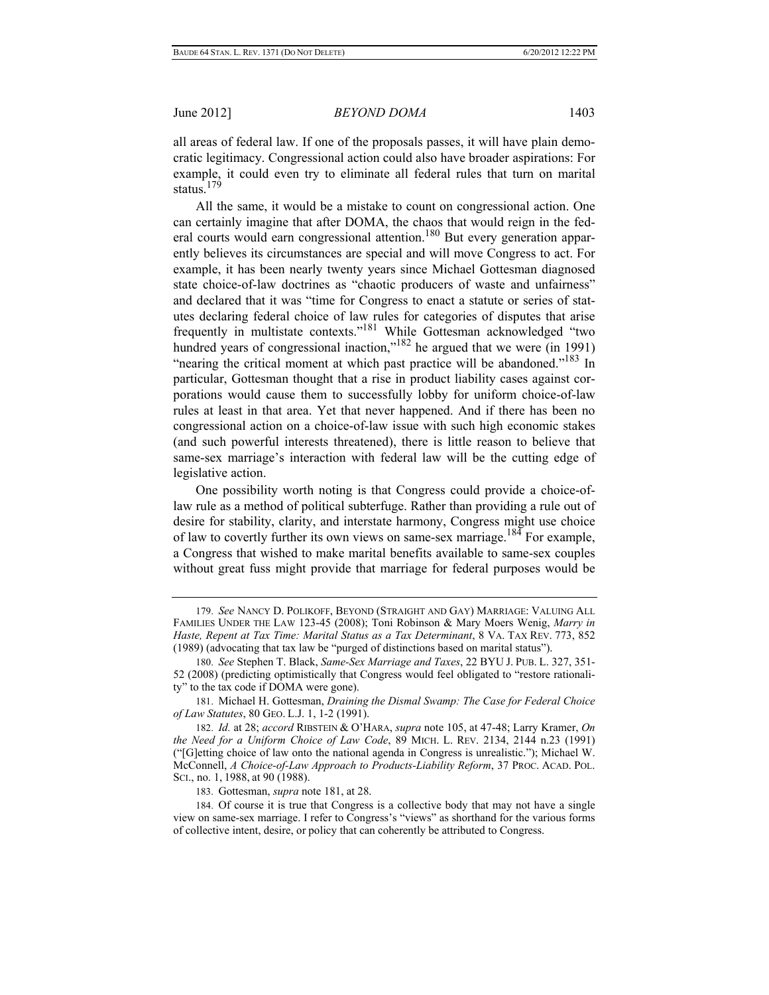all areas of federal law. If one of the proposals passes, it will have plain democratic legitimacy. Congressional action could also have broader aspirations: For example, it could even try to eliminate all federal rules that turn on marital status<sup>179</sup>

All the same, it would be a mistake to count on congressional action. One can certainly imagine that after DOMA, the chaos that would reign in the federal courts would earn congressional attention.<sup>180</sup> But every generation apparently believes its circumstances are special and will move Congress to act. For example, it has been nearly twenty years since Michael Gottesman diagnosed state choice-of-law doctrines as "chaotic producers of waste and unfairness" and declared that it was "time for Congress to enact a statute or series of statutes declaring federal choice of law rules for categories of disputes that arise frequently in multistate contexts."181 While Gottesman acknowledged "two hundred years of congressional inaction," $182$  he argued that we were (in 1991) "nearing the critical moment at which past practice will be abandoned."<sup>183</sup> In particular, Gottesman thought that a rise in product liability cases against corporations would cause them to successfully lobby for uniform choice-of-law rules at least in that area. Yet that never happened. And if there has been no congressional action on a choice-of-law issue with such high economic stakes (and such powerful interests threatened), there is little reason to believe that same-sex marriage's interaction with federal law will be the cutting edge of legislative action.

One possibility worth noting is that Congress could provide a choice-oflaw rule as a method of political subterfuge. Rather than providing a rule out of desire for stability, clarity, and interstate harmony, Congress might use choice of law to covertly further its own views on same-sex marriage.<sup>184</sup> For example, a Congress that wished to make marital benefits available to same-sex couples without great fuss might provide that marriage for federal purposes would be

183. Gottesman, *supra* note 181, at 28.

184. Of course it is true that Congress is a collective body that may not have a single view on same-sex marriage. I refer to Congress's "views" as shorthand for the various forms of collective intent, desire, or policy that can coherently be attributed to Congress.

<sup>179.</sup> *See* NANCY D. POLIKOFF, BEYOND (STRAIGHT AND GAY) MARRIAGE: VALUING ALL FAMILIES UNDER THE LAW 123-45 (2008); Toni Robinson & Mary Moers Wenig, *Marry in Haste, Repent at Tax Time: Marital Status as a Tax Determinant*, 8 VA. TAX REV. 773, 852 (1989) (advocating that tax law be "purged of distinctions based on marital status").

<sup>180.</sup> *See* Stephen T. Black, *Same-Sex Marriage and Taxes*, 22 BYU J. PUB. L. 327, 351- 52 (2008) (predicting optimistically that Congress would feel obligated to "restore rationality" to the tax code if DOMA were gone).

<sup>181.</sup> Michael H. Gottesman, *Draining the Dismal Swamp: The Case for Federal Choice of Law Statutes*, 80 GEO. L.J. 1, 1-2 (1991).

<sup>182.</sup> *Id.* at 28; *accord* RIBSTEIN & O'HARA, *supra* note 105, at 47-48; Larry Kramer, *On the Need for a Uniform Choice of Law Code*, 89 MICH. L. REV. 2134, 2144 n.23 (1991) ("[G]etting choice of law onto the national agenda in Congress is unrealistic."); Michael W. McConnell, *A Choice-of-Law Approach to Products-Liability Reform*, 37 PROC. ACAD. POL. SCI., no. 1, 1988, at 90 (1988).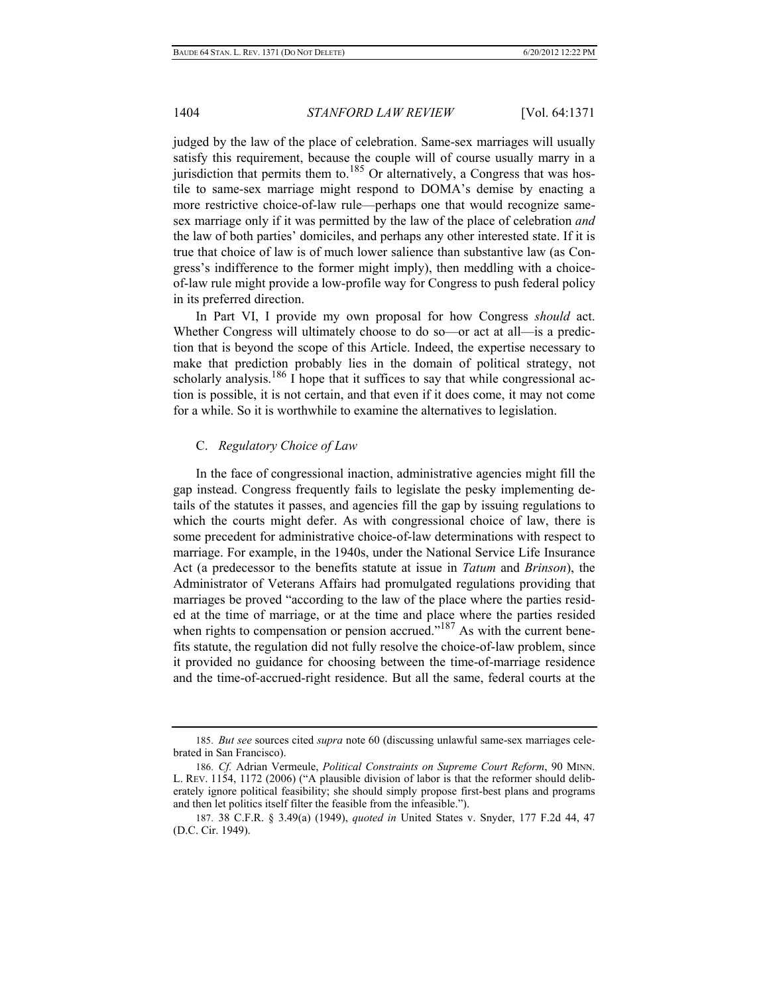judged by the law of the place of celebration. Same-sex marriages will usually satisfy this requirement, because the couple will of course usually marry in a jurisdiction that permits them to. $185$  Or alternatively, a Congress that was hostile to same-sex marriage might respond to DOMA's demise by enacting a more restrictive choice-of-law rule—perhaps one that would recognize samesex marriage only if it was permitted by the law of the place of celebration *and* the law of both parties' domiciles, and perhaps any other interested state. If it is true that choice of law is of much lower salience than substantive law (as Congress's indifference to the former might imply), then meddling with a choiceof-law rule might provide a low-profile way for Congress to push federal policy in its preferred direction.

In Part VI, I provide my own proposal for how Congress *should* act. Whether Congress will ultimately choose to do so—or act at all—is a prediction that is beyond the scope of this Article. Indeed, the expertise necessary to make that prediction probably lies in the domain of political strategy, not scholarly analysis.<sup>186</sup> I hope that it suffices to say that while congressional action is possible, it is not certain, and that even if it does come, it may not come for a while. So it is worthwhile to examine the alternatives to legislation.

#### C. *Regulatory Choice of Law*

In the face of congressional inaction, administrative agencies might fill the gap instead. Congress frequently fails to legislate the pesky implementing details of the statutes it passes, and agencies fill the gap by issuing regulations to which the courts might defer. As with congressional choice of law, there is some precedent for administrative choice-of-law determinations with respect to marriage. For example, in the 1940s, under the National Service Life Insurance Act (a predecessor to the benefits statute at issue in *Tatum* and *Brinson*), the Administrator of Veterans Affairs had promulgated regulations providing that marriages be proved "according to the law of the place where the parties resided at the time of marriage, or at the time and place where the parties resided when rights to compensation or pension accrued."<sup>187</sup> As with the current benefits statute, the regulation did not fully resolve the choice-of-law problem, since it provided no guidance for choosing between the time-of-marriage residence and the time-of-accrued-right residence. But all the same, federal courts at the

<sup>185.</sup> *But see* sources cited *supra* note 60 (discussing unlawful same-sex marriages celebrated in San Francisco).

<sup>186.</sup> *Cf.* Adrian Vermeule, *Political Constraints on Supreme Court Reform*, 90 MINN. L. REV. 1154, 1172 (2006) ("A plausible division of labor is that the reformer should deliberately ignore political feasibility; she should simply propose first-best plans and programs and then let politics itself filter the feasible from the infeasible.").

<sup>187. 38</sup> C.F.R. § 3.49(a) (1949), *quoted in* United States v. Snyder, 177 F.2d 44, 47 (D.C. Cir. 1949).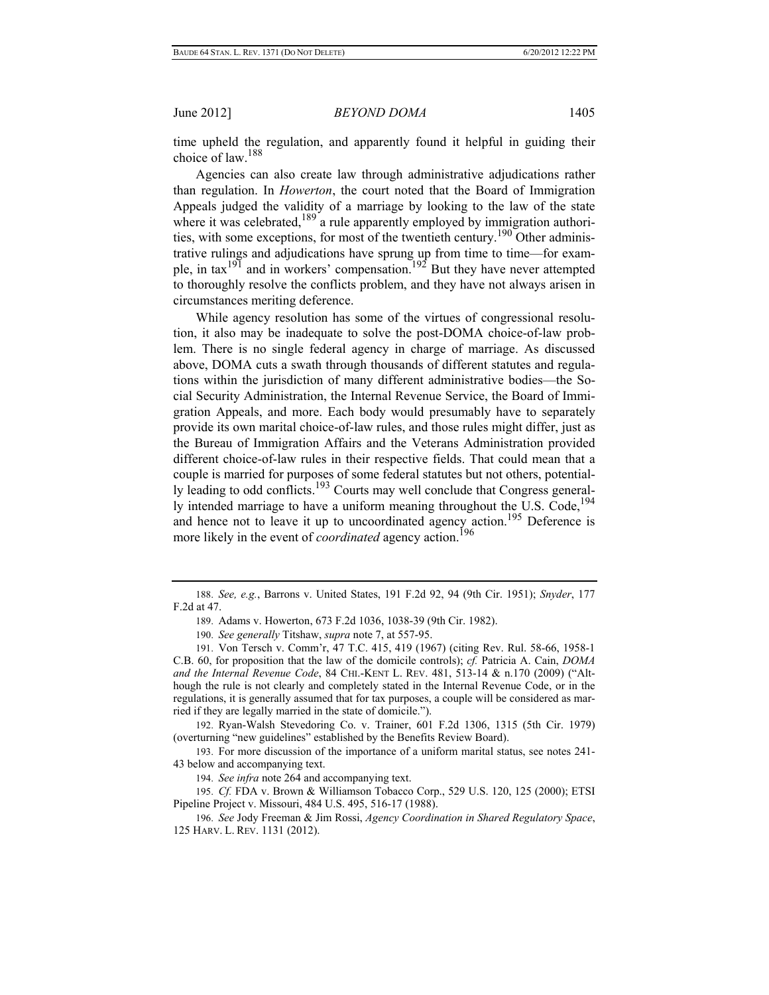time upheld the regulation, and apparently found it helpful in guiding their choice of law.188

Agencies can also create law through administrative adjudications rather than regulation. In *Howerton*, the court noted that the Board of Immigration Appeals judged the validity of a marriage by looking to the law of the state where it was celebrated, $189$ <sup>2</sup> a rule apparently employed by immigration authorities, with some exceptions, for most of the twentieth century.190 Other administrative rulings and adjudications have sprung up from time to time—for example, in tax<sup>191</sup> and in workers' compensation.<sup>192</sup> But they have never attempted to thoroughly resolve the conflicts problem, and they have not always arisen in circumstances meriting deference.

While agency resolution has some of the virtues of congressional resolution, it also may be inadequate to solve the post-DOMA choice-of-law problem. There is no single federal agency in charge of marriage. As discussed above, DOMA cuts a swath through thousands of different statutes and regulations within the jurisdiction of many different administrative bodies—the Social Security Administration, the Internal Revenue Service, the Board of Immigration Appeals, and more. Each body would presumably have to separately provide its own marital choice-of-law rules, and those rules might differ, just as the Bureau of Immigration Affairs and the Veterans Administration provided different choice-of-law rules in their respective fields. That could mean that a couple is married for purposes of some federal statutes but not others, potentially leading to odd conflicts.193 Courts may well conclude that Congress generally intended marriage to have a uniform meaning throughout the U.S. Code,<sup>194</sup> and hence not to leave it up to uncoordinated agency action.<sup>195</sup> Deference is more likely in the event of *coordinated* agency action.<sup>196</sup>

192. Ryan-Walsh Stevedoring Co. v. Trainer, 601 F.2d 1306, 1315 (5th Cir. 1979) (overturning "new guidelines" established by the Benefits Review Board).

193. For more discussion of the importance of a uniform marital status, see notes 241- 43 below and accompanying text.

194. *See infra* note 264 and accompanying text.

195. *Cf.* FDA v. Brown & Williamson Tobacco Corp., 529 U.S. 120, 125 (2000); ETSI Pipeline Project v. Missouri, 484 U.S. 495, 516-17 (1988).

<sup>188.</sup> *See, e.g.*, Barrons v. United States, 191 F.2d 92, 94 (9th Cir. 1951); *Snyder*, 177 F.2d at 47.

<sup>189.</sup> Adams v. Howerton, 673 F.2d 1036, 1038-39 (9th Cir. 1982).

<sup>190.</sup> *See generally* Titshaw, *supra* note 7, at 557-95.

<sup>191.</sup> Von Tersch v. Comm'r, 47 T.C. 415, 419 (1967) (citing Rev. Rul. 58-66, 1958-1 C.B. 60, for proposition that the law of the domicile controls); *cf.* Patricia A. Cain, *DOMA and the Internal Revenue Code*, 84 CHI.-KENT L. REV. 481, 513-14 & n.170 (2009) ("Although the rule is not clearly and completely stated in the Internal Revenue Code, or in the regulations, it is generally assumed that for tax purposes, a couple will be considered as married if they are legally married in the state of domicile.").

<sup>196.</sup> *See* Jody Freeman & Jim Rossi, *Agency Coordination in Shared Regulatory Space*, 125 HARV. L. REV. 1131 (2012).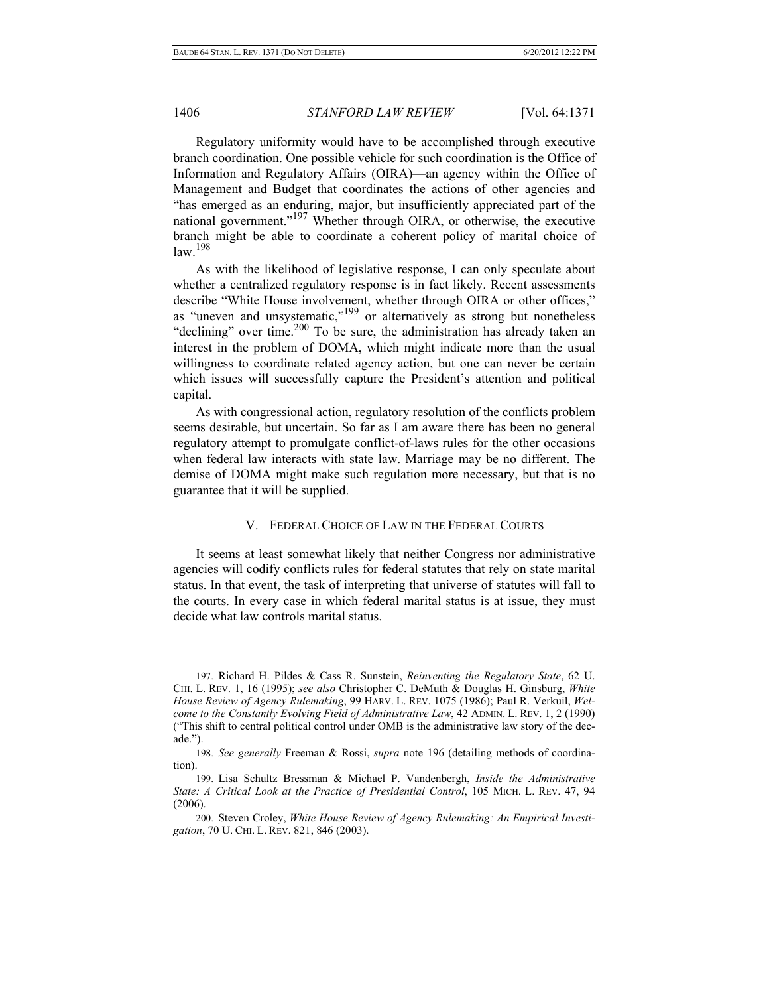Regulatory uniformity would have to be accomplished through executive branch coordination. One possible vehicle for such coordination is the Office of Information and Regulatory Affairs (OIRA)—an agency within the Office of Management and Budget that coordinates the actions of other agencies and "has emerged as an enduring, major, but insufficiently appreciated part of the national government."197 Whether through OIRA, or otherwise, the executive branch might be able to coordinate a coherent policy of marital choice of  $\frac{198}{198}$ 

As with the likelihood of legislative response, I can only speculate about whether a centralized regulatory response is in fact likely. Recent assessments describe "White House involvement, whether through OIRA or other offices," as "uneven and unsystematic,"<sup>199</sup> or alternatively as strong but nonetheless "declining" over time. $200$  To be sure, the administration has already taken an interest in the problem of DOMA, which might indicate more than the usual willingness to coordinate related agency action, but one can never be certain which issues will successfully capture the President's attention and political capital.

As with congressional action, regulatory resolution of the conflicts problem seems desirable, but uncertain. So far as I am aware there has been no general regulatory attempt to promulgate conflict-of-laws rules for the other occasions when federal law interacts with state law. Marriage may be no different. The demise of DOMA might make such regulation more necessary, but that is no guarantee that it will be supplied.

#### V. FEDERAL CHOICE OF LAW IN THE FEDERAL COURTS

It seems at least somewhat likely that neither Congress nor administrative agencies will codify conflicts rules for federal statutes that rely on state marital status. In that event, the task of interpreting that universe of statutes will fall to the courts. In every case in which federal marital status is at issue, they must decide what law controls marital status.

<sup>197.</sup> Richard H. Pildes & Cass R. Sunstein, *Reinventing the Regulatory State*, 62 U. CHI. L. REV. 1, 16 (1995); *see also* Christopher C. DeMuth & Douglas H. Ginsburg, *White House Review of Agency Rulemaking*, 99 HARV. L. REV. 1075 (1986); Paul R. Verkuil, *Welcome to the Constantly Evolving Field of Administrative Law*, 42 ADMIN. L. REV. 1, 2 (1990) ("This shift to central political control under OMB is the administrative law story of the decade.").

<sup>198.</sup> *See generally* Freeman & Rossi, *supra* note 196 (detailing methods of coordination).

<sup>199.</sup> Lisa Schultz Bressman & Michael P. Vandenbergh, *Inside the Administrative State: A Critical Look at the Practice of Presidential Control*, 105 MICH. L. REV. 47, 94  $(2006)$ .

<sup>200.</sup> Steven Croley, *White House Review of Agency Rulemaking: An Empirical Investigation*, 70 U. CHI. L. REV. 821, 846 (2003).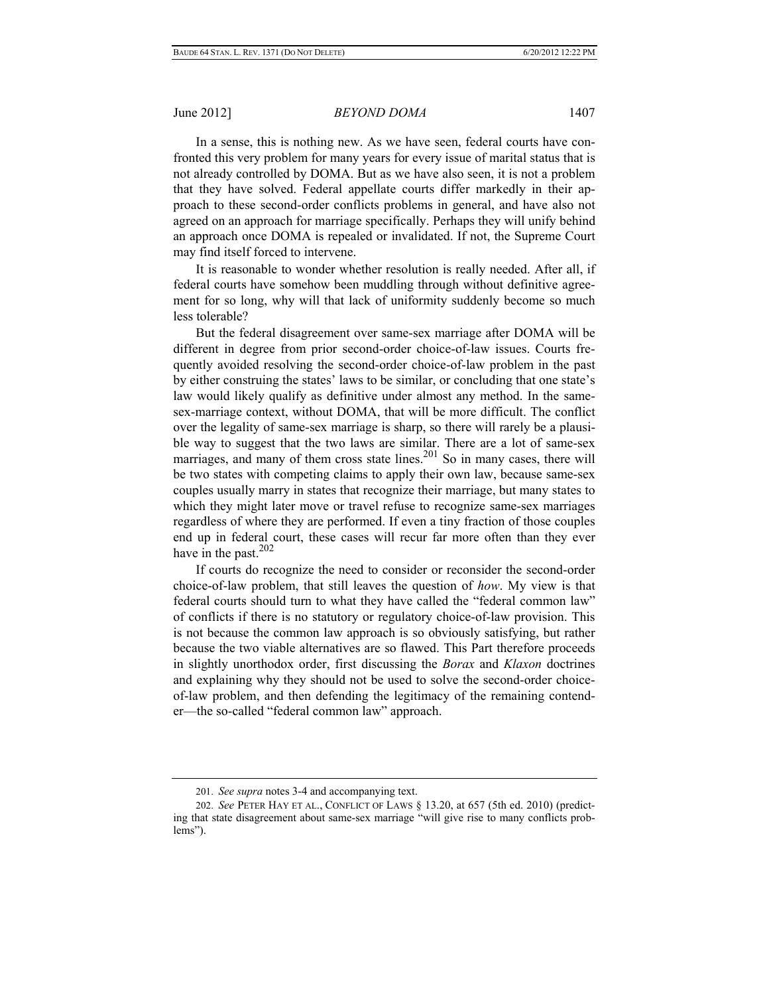In a sense, this is nothing new. As we have seen, federal courts have confronted this very problem for many years for every issue of marital status that is not already controlled by DOMA. But as we have also seen, it is not a problem that they have solved. Federal appellate courts differ markedly in their approach to these second-order conflicts problems in general, and have also not agreed on an approach for marriage specifically. Perhaps they will unify behind an approach once DOMA is repealed or invalidated. If not, the Supreme Court may find itself forced to intervene.

It is reasonable to wonder whether resolution is really needed. After all, if federal courts have somehow been muddling through without definitive agreement for so long, why will that lack of uniformity suddenly become so much less tolerable?

But the federal disagreement over same-sex marriage after DOMA will be different in degree from prior second-order choice-of-law issues. Courts frequently avoided resolving the second-order choice-of-law problem in the past by either construing the states' laws to be similar, or concluding that one state's law would likely qualify as definitive under almost any method. In the samesex-marriage context, without DOMA, that will be more difficult. The conflict over the legality of same-sex marriage is sharp, so there will rarely be a plausible way to suggest that the two laws are similar. There are a lot of same-sex marriages, and many of them cross state lines.<sup>201</sup> So in many cases, there will be two states with competing claims to apply their own law, because same-sex couples usually marry in states that recognize their marriage, but many states to which they might later move or travel refuse to recognize same-sex marriages regardless of where they are performed. If even a tiny fraction of those couples end up in federal court, these cases will recur far more often than they ever have in the past.<sup>202</sup>

If courts do recognize the need to consider or reconsider the second-order choice-of-law problem, that still leaves the question of *how*. My view is that federal courts should turn to what they have called the "federal common law" of conflicts if there is no statutory or regulatory choice-of-law provision. This is not because the common law approach is so obviously satisfying, but rather because the two viable alternatives are so flawed. This Part therefore proceeds in slightly unorthodox order, first discussing the *Borax* and *Klaxon* doctrines and explaining why they should not be used to solve the second-order choiceof-law problem, and then defending the legitimacy of the remaining contender—the so-called "federal common law" approach.

<sup>201.</sup> *See supra* notes 3-4 and accompanying text.

<sup>202.</sup> *See* PETER HAY ET AL., CONFLICT OF LAWS § 13.20, at 657 (5th ed. 2010) (predicting that state disagreement about same-sex marriage "will give rise to many conflicts problems").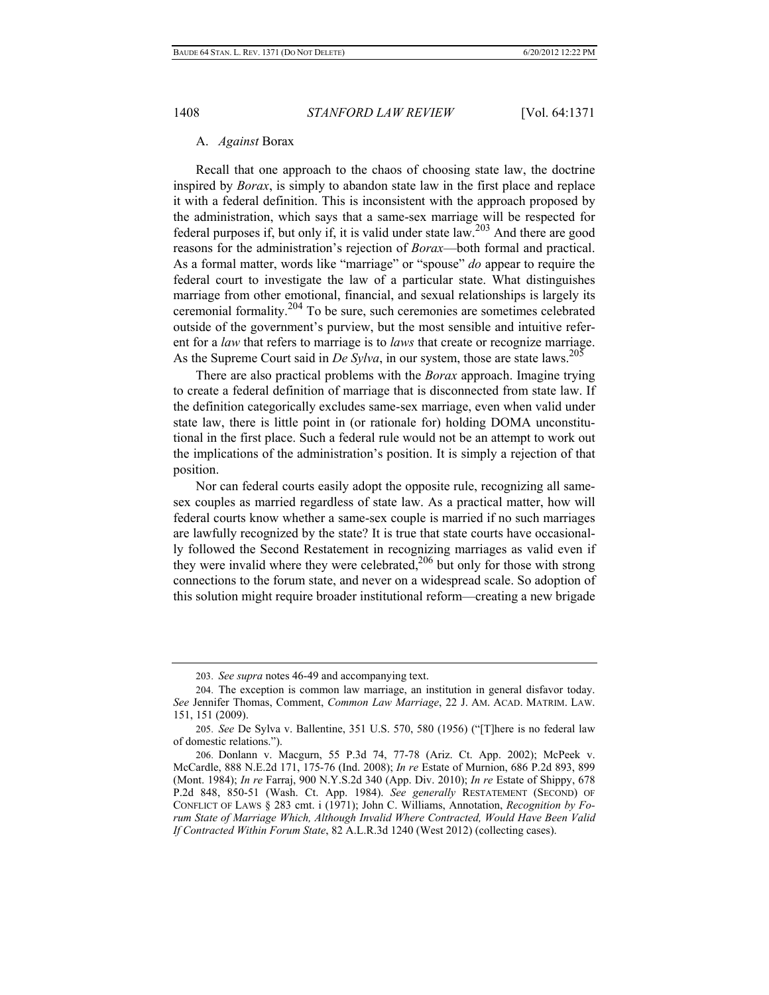#### A. *Against* Borax

Recall that one approach to the chaos of choosing state law, the doctrine inspired by *Borax*, is simply to abandon state law in the first place and replace it with a federal definition. This is inconsistent with the approach proposed by the administration, which says that a same-sex marriage will be respected for federal purposes if, but only if, it is valid under state law.203 And there are good reasons for the administration's rejection of *Borax*—both formal and practical. As a formal matter, words like "marriage" or "spouse" *do* appear to require the federal court to investigate the law of a particular state. What distinguishes marriage from other emotional, financial, and sexual relationships is largely its ceremonial formality.<sup>204</sup> To be sure, such ceremonies are sometimes celebrated outside of the government's purview, but the most sensible and intuitive referent for a *law* that refers to marriage is to *laws* that create or recognize marriage. As the Supreme Court said in *De Sylva*, in our system, those are state laws.<sup>205</sup>

There are also practical problems with the *Borax* approach. Imagine trying to create a federal definition of marriage that is disconnected from state law. If the definition categorically excludes same-sex marriage, even when valid under state law, there is little point in (or rationale for) holding DOMA unconstitutional in the first place. Such a federal rule would not be an attempt to work out the implications of the administration's position. It is simply a rejection of that position.

Nor can federal courts easily adopt the opposite rule, recognizing all samesex couples as married regardless of state law. As a practical matter, how will federal courts know whether a same-sex couple is married if no such marriages are lawfully recognized by the state? It is true that state courts have occasionally followed the Second Restatement in recognizing marriages as valid even if they were invalid where they were celebrated,<sup>206</sup> but only for those with strong connections to the forum state, and never on a widespread scale. So adoption of this solution might require broader institutional reform—creating a new brigade

<sup>203.</sup> *See supra* notes 46-49 and accompanying text.

<sup>204.</sup> The exception is common law marriage, an institution in general disfavor today. *See* Jennifer Thomas, Comment, *Common Law Marriage*, 22 J. AM. ACAD. MATRIM. LAW. 151, 151 (2009).

<sup>205.</sup> *See* De Sylva v. Ballentine, 351 U.S. 570, 580 (1956) ("[T]here is no federal law of domestic relations.").

<sup>206.</sup> Donlann v. Macgurn, 55 P.3d 74, 77-78 (Ariz. Ct. App. 2002); McPeek v. McCardle, 888 N.E.2d 171, 175-76 (Ind. 2008); *In re* Estate of Murnion, 686 P.2d 893, 899 (Mont. 1984); *In re* Farraj, 900 N.Y.S.2d 340 (App. Div. 2010); *In re* Estate of Shippy, 678 P.2d 848, 850-51 (Wash. Ct. App. 1984). *See generally* RESTATEMENT (SECOND) OF CONFLICT OF LAWS § 283 cmt. i (1971); John C. Williams, Annotation, *Recognition by Forum State of Marriage Which, Although Invalid Where Contracted, Would Have Been Valid If Contracted Within Forum State*, 82 A.L.R.3d 1240 (West 2012) (collecting cases).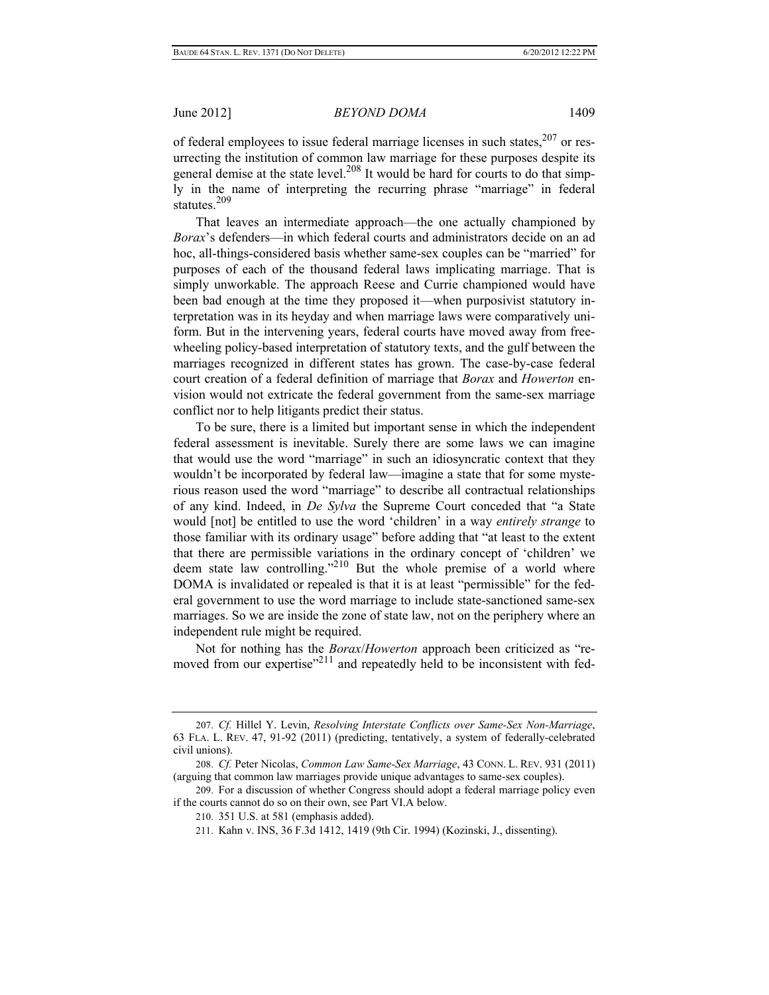of federal employees to issue federal marriage licenses in such states,<sup>207</sup> or resurrecting the institution of common law marriage for these purposes despite its general demise at the state level.<sup>208</sup> It would be hard for courts to do that simply in the name of interpreting the recurring phrase "marriage" in federal statutes $^{209}$ 

That leaves an intermediate approach—the one actually championed by *Borax*'s defenders—in which federal courts and administrators decide on an ad hoc, all-things-considered basis whether same-sex couples can be "married" for purposes of each of the thousand federal laws implicating marriage. That is simply unworkable. The approach Reese and Currie championed would have been bad enough at the time they proposed it—when purposivist statutory interpretation was in its heyday and when marriage laws were comparatively uniform. But in the intervening years, federal courts have moved away from freewheeling policy-based interpretation of statutory texts, and the gulf between the marriages recognized in different states has grown. The case-by-case federal court creation of a federal definition of marriage that *Borax* and *Howerton* envision would not extricate the federal government from the same-sex marriage conflict nor to help litigants predict their status.

To be sure, there is a limited but important sense in which the independent federal assessment is inevitable. Surely there are some laws we can imagine that would use the word "marriage" in such an idiosyncratic context that they wouldn't be incorporated by federal law—imagine a state that for some mysterious reason used the word "marriage" to describe all contractual relationships of any kind. Indeed, in *De Sylva* the Supreme Court conceded that "a State would [not] be entitled to use the word 'children' in a way *entirely strange* to those familiar with its ordinary usage" before adding that "at least to the extent that there are permissible variations in the ordinary concept of 'children' we deem state law controlling."210 But the whole premise of a world where DOMA is invalidated or repealed is that it is at least "permissible" for the federal government to use the word marriage to include state-sanctioned same-sex marriages. So we are inside the zone of state law, not on the periphery where an independent rule might be required.

Not for nothing has the *Borax*/*Howerton* approach been criticized as "removed from our expertise"<sup>211</sup> and repeatedly held to be inconsistent with fed-

<sup>207.</sup> *Cf.* Hillel Y. Levin, *Resolving Interstate Conflicts over Same-Sex Non-Marriage*, 63 FLA. L. REV. 47, 91-92 (2011) (predicting, tentatively, a system of federally-celebrated civil unions).

<sup>208.</sup> *Cf.* Peter Nicolas, *Common Law Same-Sex Marriage*, 43 CONN. L. REV. 931 (2011) (arguing that common law marriages provide unique advantages to same-sex couples).

<sup>209.</sup> For a discussion of whether Congress should adopt a federal marriage policy even if the courts cannot do so on their own, see Part VI.A below.

<sup>210. 351</sup> U.S. at 581 (emphasis added).

<sup>211.</sup> Kahn v. INS, 36 F.3d 1412, 1419 (9th Cir. 1994) (Kozinski, J., dissenting).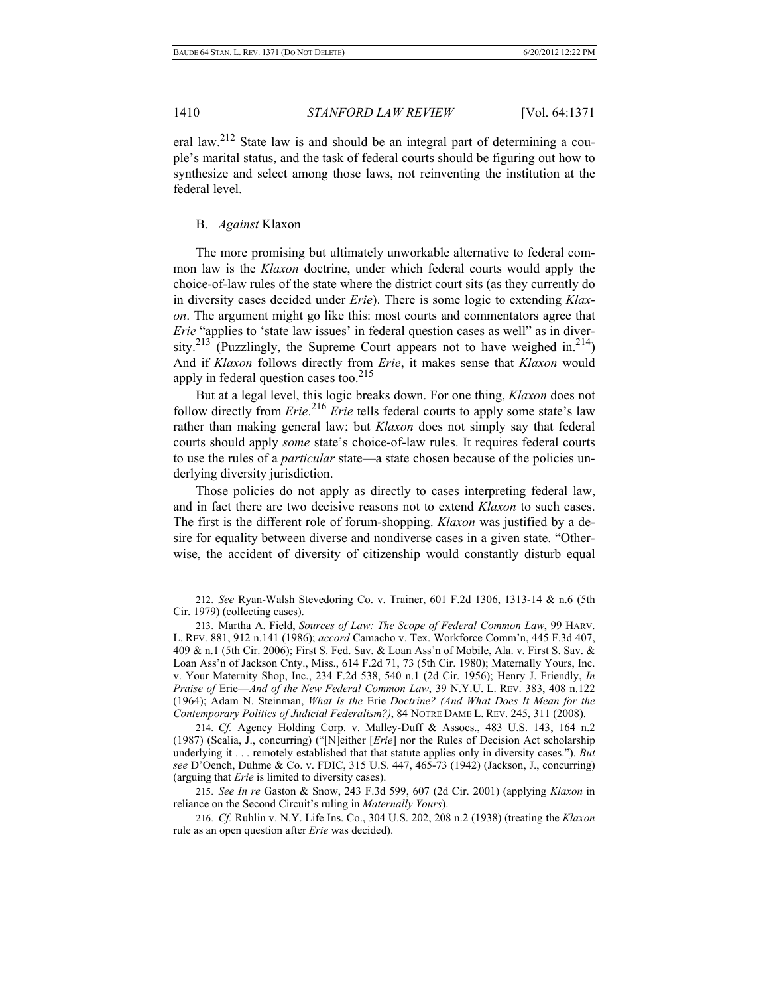eral law.212 State law is and should be an integral part of determining a couple's marital status, and the task of federal courts should be figuring out how to synthesize and select among those laws, not reinventing the institution at the federal level.

#### B. *Against* Klaxon

The more promising but ultimately unworkable alternative to federal common law is the *Klaxon* doctrine, under which federal courts would apply the choice-of-law rules of the state where the district court sits (as they currently do in diversity cases decided under *Erie*). There is some logic to extending *Klaxon*. The argument might go like this: most courts and commentators agree that *Erie* "applies to 'state law issues' in federal question cases as well" as in diversity.<sup>213</sup> (Puzzlingly, the Supreme Court appears not to have weighed in.<sup>214</sup>) And if *Klaxon* follows directly from *Erie*, it makes sense that *Klaxon* would apply in federal question cases too. $^{215}$ 

But at a legal level, this logic breaks down. For one thing, *Klaxon* does not follow directly from *Erie*. <sup>216</sup> *Erie* tells federal courts to apply some state's law rather than making general law; but *Klaxon* does not simply say that federal courts should apply *some* state's choice-of-law rules. It requires federal courts to use the rules of a *particular* state—a state chosen because of the policies underlying diversity jurisdiction.

Those policies do not apply as directly to cases interpreting federal law, and in fact there are two decisive reasons not to extend *Klaxon* to such cases. The first is the different role of forum-shopping. *Klaxon* was justified by a desire for equality between diverse and nondiverse cases in a given state. "Otherwise, the accident of diversity of citizenship would constantly disturb equal

214. *Cf.* Agency Holding Corp. v. Malley-Duff & Assocs., 483 U.S. 143, 164 n.2 (1987) (Scalia, J., concurring) ("[N]either [*Erie*] nor the Rules of Decision Act scholarship underlying it . . . remotely established that that statute applies only in diversity cases."). *But see* D'Oench, Duhme & Co. v. FDIC, 315 U.S. 447, 465-73 (1942) (Jackson, J., concurring) (arguing that *Erie* is limited to diversity cases).

215. *See In re* Gaston & Snow, 243 F.3d 599, 607 (2d Cir. 2001) (applying *Klaxon* in reliance on the Second Circuit's ruling in *Maternally Yours*).

216. *Cf.* Ruhlin v. N.Y. Life Ins. Co., 304 U.S. 202, 208 n.2 (1938) (treating the *Klaxon* rule as an open question after *Erie* was decided).

<sup>212.</sup> *See* Ryan-Walsh Stevedoring Co. v. Trainer, 601 F.2d 1306, 1313-14 & n.6 (5th Cir. 1979) (collecting cases).

<sup>213.</sup> Martha A. Field, *Sources of Law: The Scope of Federal Common Law*, 99 HARV. L. REV. 881, 912 n.141 (1986); *accord* Camacho v. Tex. Workforce Comm'n, 445 F.3d 407, 409 & n.1 (5th Cir. 2006); First S. Fed. Sav. & Loan Ass'n of Mobile, Ala. v. First S. Sav. & Loan Ass'n of Jackson Cnty., Miss., 614 F.2d 71, 73 (5th Cir. 1980); Maternally Yours, Inc. v. Your Maternity Shop, Inc., 234 F.2d 538, 540 n.1 (2d Cir. 1956); Henry J. Friendly, *In Praise of* Erie—*And of the New Federal Common Law*, 39 N.Y.U. L. REV. 383, 408 n.122 (1964); Adam N. Steinman, *What Is the* Erie *Doctrine? (And What Does It Mean for the Contemporary Politics of Judicial Federalism?)*, 84 NOTRE DAME L. REV. 245, 311 (2008).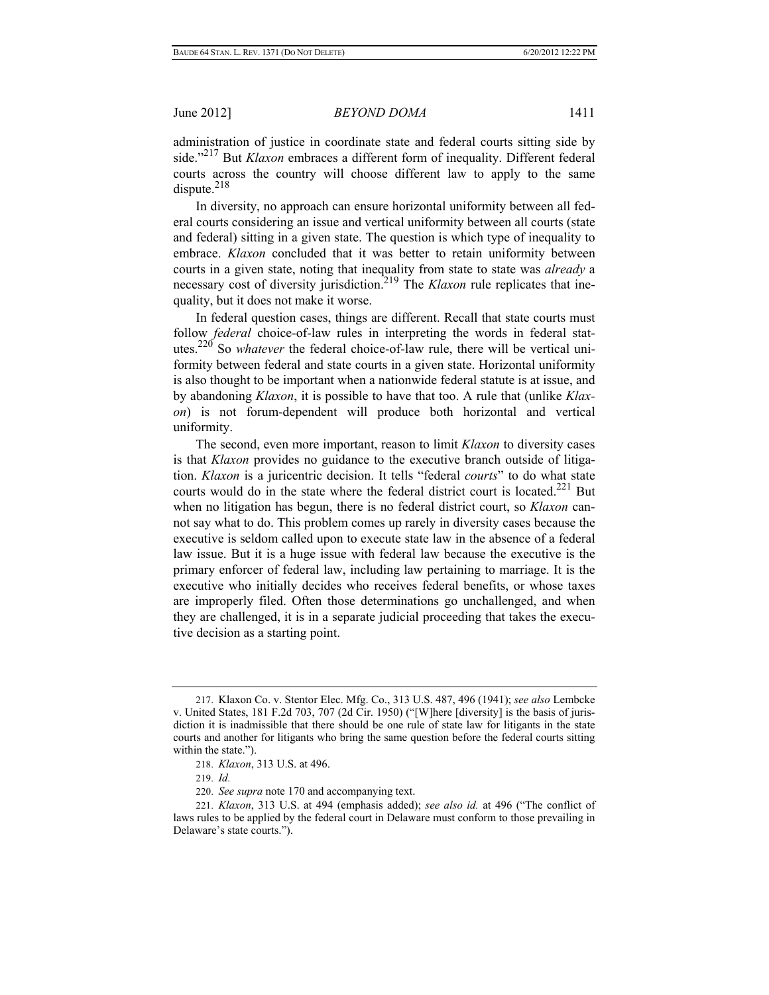administration of justice in coordinate state and federal courts sitting side by side."217 But *Klaxon* embraces a different form of inequality. Different federal courts across the country will choose different law to apply to the same dispute. $218$ 

In diversity, no approach can ensure horizontal uniformity between all federal courts considering an issue and vertical uniformity between all courts (state and federal) sitting in a given state. The question is which type of inequality to embrace. *Klaxon* concluded that it was better to retain uniformity between courts in a given state, noting that inequality from state to state was *already* a necessary cost of diversity jurisdiction.<sup>219</sup> The *Klaxon* rule replicates that inequality, but it does not make it worse.

In federal question cases, things are different. Recall that state courts must follow *federal* choice-of-law rules in interpreting the words in federal statutes.220 So *whatever* the federal choice-of-law rule, there will be vertical uniformity between federal and state courts in a given state. Horizontal uniformity is also thought to be important when a nationwide federal statute is at issue, and by abandoning *Klaxon*, it is possible to have that too. A rule that (unlike *Klaxon*) is not forum-dependent will produce both horizontal and vertical uniformity.

The second, even more important, reason to limit *Klaxon* to diversity cases is that *Klaxon* provides no guidance to the executive branch outside of litigation. *Klaxon* is a juricentric decision. It tells "federal *courts*" to do what state courts would do in the state where the federal district court is located.<sup>221</sup> But when no litigation has begun, there is no federal district court, so *Klaxon* cannot say what to do. This problem comes up rarely in diversity cases because the executive is seldom called upon to execute state law in the absence of a federal law issue. But it is a huge issue with federal law because the executive is the primary enforcer of federal law, including law pertaining to marriage. It is the executive who initially decides who receives federal benefits, or whose taxes are improperly filed. Often those determinations go unchallenged, and when they are challenged, it is in a separate judicial proceeding that takes the executive decision as a starting point.

<sup>217.</sup> Klaxon Co. v. Stentor Elec. Mfg. Co., 313 U.S. 487, 496 (1941); *see also* Lembcke v. United States, 181 F.2d 703, 707 (2d Cir. 1950) ("[W]here [diversity] is the basis of jurisdiction it is inadmissible that there should be one rule of state law for litigants in the state courts and another for litigants who bring the same question before the federal courts sitting within the state.").

<sup>218.</sup> *Klaxon*, 313 U.S. at 496.

<sup>219.</sup> *Id.*

<sup>220.</sup> *See supra* note 170 and accompanying text.

<sup>221.</sup> *Klaxon*, 313 U.S. at 494 (emphasis added); *see also id.* at 496 ("The conflict of laws rules to be applied by the federal court in Delaware must conform to those prevailing in Delaware's state courts.").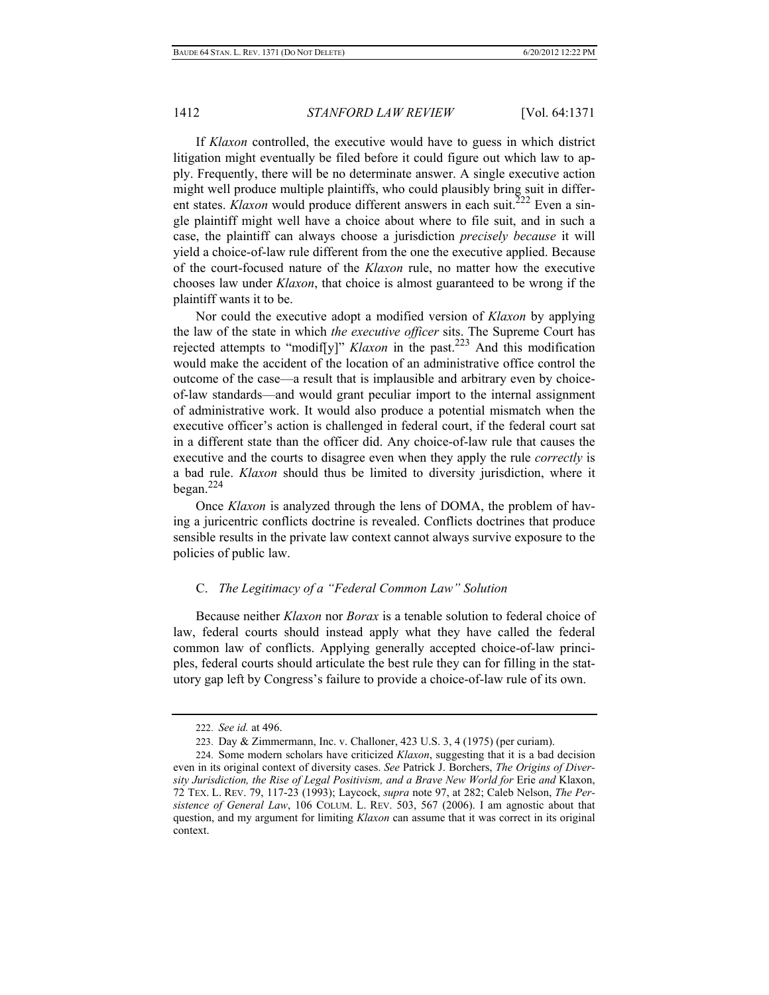If *Klaxon* controlled, the executive would have to guess in which district litigation might eventually be filed before it could figure out which law to apply. Frequently, there will be no determinate answer. A single executive action might well produce multiple plaintiffs, who could plausibly bring suit in different states. *Klaxon* would produce different answers in each suit.<sup>222</sup> Even a single plaintiff might well have a choice about where to file suit, and in such a case, the plaintiff can always choose a jurisdiction *precisely because* it will yield a choice-of-law rule different from the one the executive applied. Because of the court-focused nature of the *Klaxon* rule, no matter how the executive chooses law under *Klaxon*, that choice is almost guaranteed to be wrong if the plaintiff wants it to be.

Nor could the executive adopt a modified version of *Klaxon* by applying the law of the state in which *the executive officer* sits. The Supreme Court has rejected attempts to "modif[y]" *Klaxon* in the past.223 And this modification would make the accident of the location of an administrative office control the outcome of the case—a result that is implausible and arbitrary even by choiceof-law standards—and would grant peculiar import to the internal assignment of administrative work. It would also produce a potential mismatch when the executive officer's action is challenged in federal court, if the federal court sat in a different state than the officer did. Any choice-of-law rule that causes the executive and the courts to disagree even when they apply the rule *correctly* is a bad rule. *Klaxon* should thus be limited to diversity jurisdiction, where it began. $^{224}$ 

Once *Klaxon* is analyzed through the lens of DOMA, the problem of having a juricentric conflicts doctrine is revealed. Conflicts doctrines that produce sensible results in the private law context cannot always survive exposure to the policies of public law.

## C. *The Legitimacy of a "Federal Common Law" Solution*

Because neither *Klaxon* nor *Borax* is a tenable solution to federal choice of law, federal courts should instead apply what they have called the federal common law of conflicts. Applying generally accepted choice-of-law principles, federal courts should articulate the best rule they can for filling in the statutory gap left by Congress's failure to provide a choice-of-law rule of its own.

<sup>222.</sup> *See id.* at 496.

<sup>223.</sup> Day & Zimmermann, Inc. v. Challoner, 423 U.S. 3, 4 (1975) (per curiam).

<sup>224.</sup> Some modern scholars have criticized *Klaxon*, suggesting that it is a bad decision even in its original context of diversity cases. *See* Patrick J. Borchers, *The Origins of Diversity Jurisdiction, the Rise of Legal Positivism, and a Brave New World for* Erie *and* Klaxon, 72 TEX. L. REV. 79, 117-23 (1993); Laycock, *supra* note 97, at 282; Caleb Nelson, *The Persistence of General Law*, 106 COLUM. L. REV. 503, 567 (2006). I am agnostic about that question, and my argument for limiting *Klaxon* can assume that it was correct in its original context.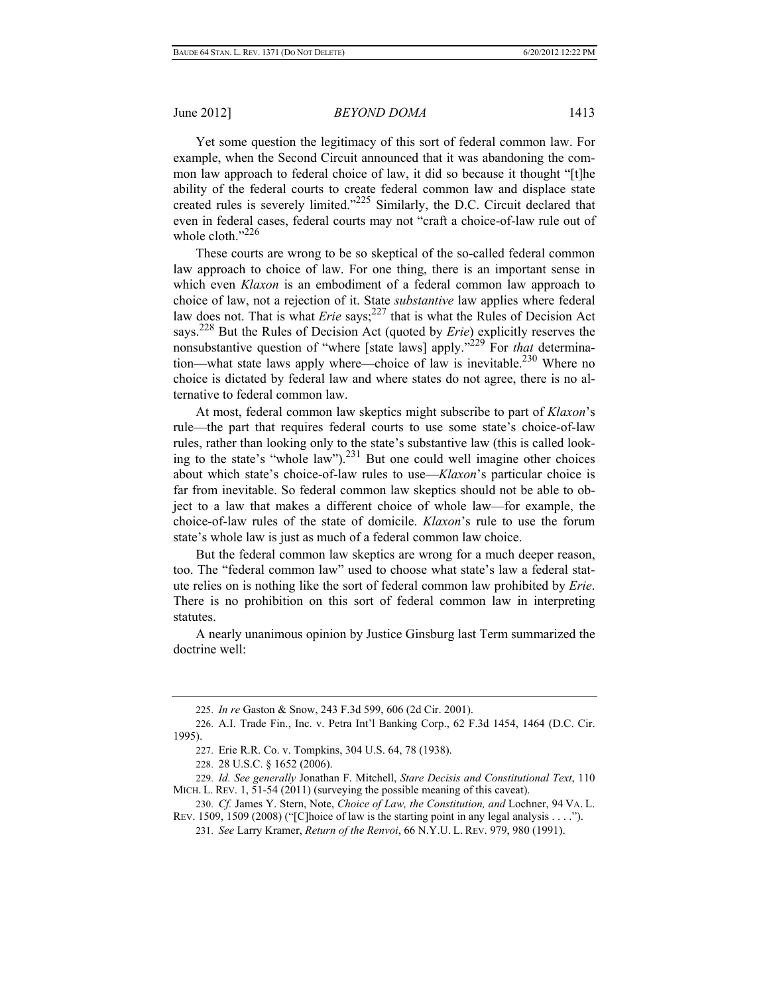Yet some question the legitimacy of this sort of federal common law. For example, when the Second Circuit announced that it was abandoning the common law approach to federal choice of law, it did so because it thought "[t]he ability of the federal courts to create federal common law and displace state created rules is severely limited."<sup>225</sup> Similarly, the D.C. Circuit declared that even in federal cases, federal courts may not "craft a choice-of-law rule out of whole cloth. $^{3226}$ 

These courts are wrong to be so skeptical of the so-called federal common law approach to choice of law. For one thing, there is an important sense in which even *Klaxon* is an embodiment of a federal common law approach to choice of law, not a rejection of it. State *substantive* law applies where federal law does not. That is what *Erie* says;<sup>227</sup> that is what the Rules of Decision Act says.228 But the Rules of Decision Act (quoted by *Erie*) explicitly reserves the nonsubstantive question of "where [state laws] apply."229 For *that* determination—what state laws apply where—choice of law is inevitable.<sup>230</sup> Where no choice is dictated by federal law and where states do not agree, there is no alternative to federal common law.

At most, federal common law skeptics might subscribe to part of *Klaxon*'s rule—the part that requires federal courts to use some state's choice-of-law rules, rather than looking only to the state's substantive law (this is called looking to the state's "whole law"). $^{231}$  But one could well imagine other choices about which state's choice-of-law rules to use—*Klaxon*'s particular choice is far from inevitable. So federal common law skeptics should not be able to object to a law that makes a different choice of whole law—for example, the choice-of-law rules of the state of domicile. *Klaxon*'s rule to use the forum state's whole law is just as much of a federal common law choice.

But the federal common law skeptics are wrong for a much deeper reason, too. The "federal common law" used to choose what state's law a federal statute relies on is nothing like the sort of federal common law prohibited by *Erie*. There is no prohibition on this sort of federal common law in interpreting statutes.

A nearly unanimous opinion by Justice Ginsburg last Term summarized the doctrine well:

<sup>225.</sup> *In re* Gaston & Snow, 243 F.3d 599, 606 (2d Cir. 2001).

<sup>226.</sup> A.I. Trade Fin., Inc. v. Petra Int'l Banking Corp., 62 F.3d 1454, 1464 (D.C. Cir. 1995).

<sup>227.</sup> Erie R.R. Co. v. Tompkins, 304 U.S. 64, 78 (1938).

<sup>228. 28</sup> U.S.C. § 1652 (2006).

<sup>229.</sup> *Id. See generally* Jonathan F. Mitchell, *Stare Decisis and Constitutional Text*, 110 MICH. L. REV. 1, 51-54 (2011) (surveying the possible meaning of this caveat).

<sup>230.</sup> *Cf.* James Y. Stern, Note, *Choice of Law, the Constitution, and* Lochner, 94 VA. L. REV. 1509, 1509 (2008) ("[C]hoice of law is the starting point in any legal analysis . . . .").

<sup>231.</sup> *See* Larry Kramer, *Return of the Renvoi*, 66 N.Y.U. L. REV. 979, 980 (1991).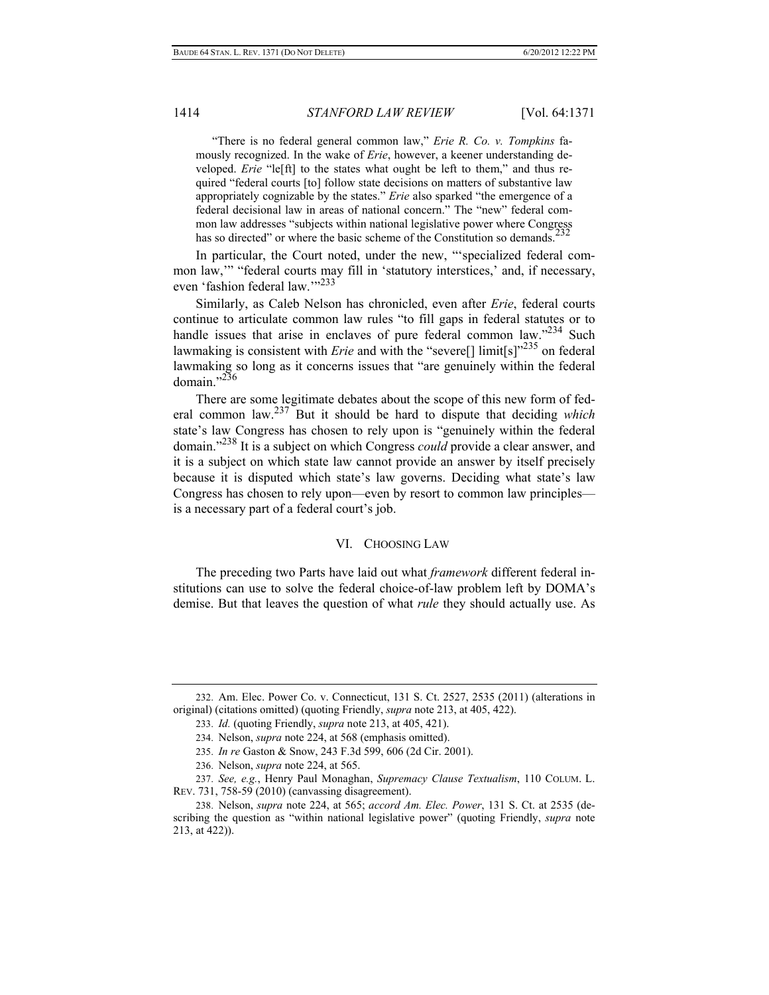"There is no federal general common law," *Erie R. Co. v. Tompkins* famously recognized. In the wake of *Erie*, however, a keener understanding developed. *Erie* "le[ft] to the states what ought be left to them," and thus required "federal courts [to] follow state decisions on matters of substantive law appropriately cognizable by the states." *Erie* also sparked "the emergence of a federal decisional law in areas of national concern." The "new" federal common law addresses "subjects within national legislative power where Congress has so directed" or where the basic scheme of the Constitution so demands.<sup>2</sup>

In particular, the Court noted, under the new, "'specialized federal common law,'" "federal courts may fill in 'statutory interstices,' and, if necessary, even 'fashion federal law.'"<sup>233</sup>

Similarly, as Caleb Nelson has chronicled, even after *Erie*, federal courts continue to articulate common law rules "to fill gaps in federal statutes or to handle issues that arise in enclaves of pure federal common law."<sup>234</sup> Such lawmaking is consistent with *Erie* and with the "severe<sup>[]</sup> limit<sup>[s]"235</sup> on federal lawmaking so long as it concerns issues that "are genuinely within the federal domain $^{1,236}$ 

There are some legitimate debates about the scope of this new form of federal common law.237 But it should be hard to dispute that deciding *which* state's law Congress has chosen to rely upon is "genuinely within the federal domain."238 It is a subject on which Congress *could* provide a clear answer, and it is a subject on which state law cannot provide an answer by itself precisely because it is disputed which state's law governs. Deciding what state's law Congress has chosen to rely upon—even by resort to common law principles is a necessary part of a federal court's job.

#### VI. CHOOSING LAW

The preceding two Parts have laid out what *framework* different federal institutions can use to solve the federal choice-of-law problem left by DOMA's demise. But that leaves the question of what *rule* they should actually use. As

<sup>232.</sup> Am. Elec. Power Co. v. Connecticut, 131 S. Ct. 2527, 2535 (2011) (alterations in original) (citations omitted) (quoting Friendly, *supra* note 213, at 405, 422).

<sup>233.</sup> *Id.* (quoting Friendly, *supra* note 213, at 405, 421).

<sup>234.</sup> Nelson, *supra* note 224, at 568 (emphasis omitted).

<sup>235.</sup> *In re* Gaston & Snow, 243 F.3d 599, 606 (2d Cir. 2001).

<sup>236.</sup> Nelson, *supra* note 224, at 565.

<sup>237.</sup> *See, e.g.*, Henry Paul Monaghan, *Supremacy Clause Textualism*, 110 COLUM. L. REV. 731, 758-59 (2010) (canvassing disagreement).

<sup>238.</sup> Nelson, *supra* note 224, at 565; *accord Am. Elec. Power*, 131 S. Ct. at 2535 (describing the question as "within national legislative power" (quoting Friendly, *supra* note 213, at 422)).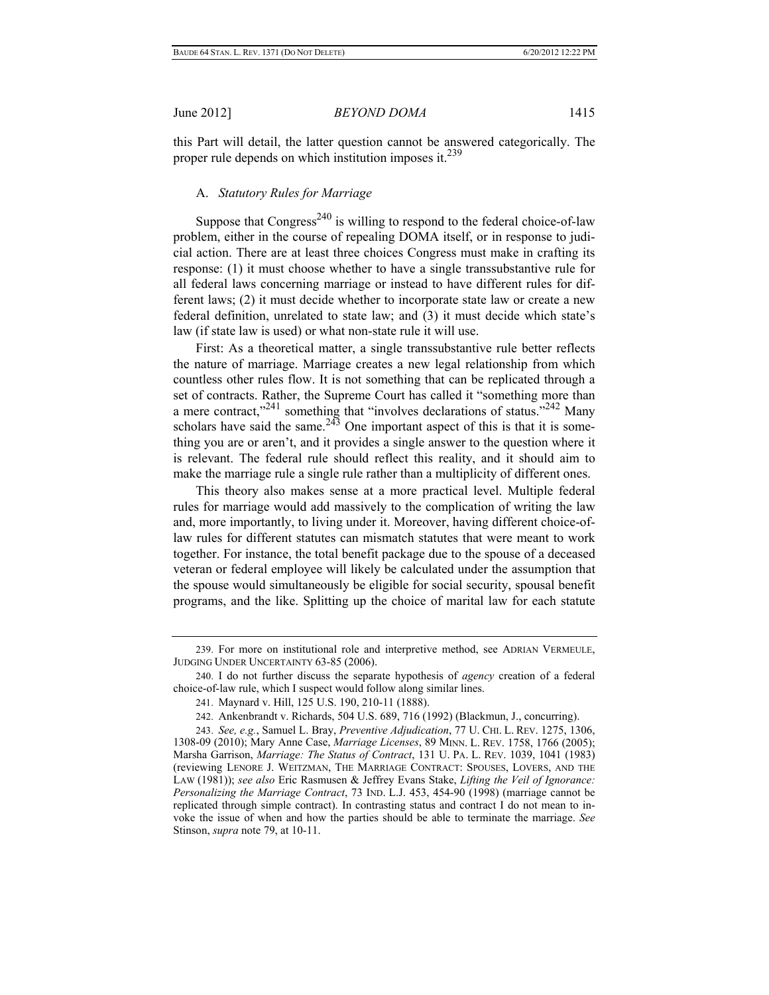this Part will detail, the latter question cannot be answered categorically. The proper rule depends on which institution imposes it. $^{239}$ 

## A. *Statutory Rules for Marriage*

Suppose that Congress<sup>240</sup> is willing to respond to the federal choice-of-law problem, either in the course of repealing DOMA itself, or in response to judicial action. There are at least three choices Congress must make in crafting its response: (1) it must choose whether to have a single transsubstantive rule for all federal laws concerning marriage or instead to have different rules for different laws; (2) it must decide whether to incorporate state law or create a new federal definition, unrelated to state law; and (3) it must decide which state's law (if state law is used) or what non-state rule it will use.

First: As a theoretical matter, a single transsubstantive rule better reflects the nature of marriage. Marriage creates a new legal relationship from which countless other rules flow. It is not something that can be replicated through a set of contracts. Rather, the Supreme Court has called it "something more than a mere contract,"<sup>241</sup> something that "involves declarations of status."<sup>242</sup> Many scholars have said the same.<sup>243</sup> One important aspect of this is that it is something you are or aren't, and it provides a single answer to the question where it is relevant. The federal rule should reflect this reality, and it should aim to make the marriage rule a single rule rather than a multiplicity of different ones.

This theory also makes sense at a more practical level. Multiple federal rules for marriage would add massively to the complication of writing the law and, more importantly, to living under it. Moreover, having different choice-oflaw rules for different statutes can mismatch statutes that were meant to work together. For instance, the total benefit package due to the spouse of a deceased veteran or federal employee will likely be calculated under the assumption that the spouse would simultaneously be eligible for social security, spousal benefit programs, and the like. Splitting up the choice of marital law for each statute

<sup>239.</sup> For more on institutional role and interpretive method, see ADRIAN VERMEULE, JUDGING UNDER UNCERTAINTY 63-85 (2006).

<sup>240.</sup> I do not further discuss the separate hypothesis of *agency* creation of a federal choice-of-law rule, which I suspect would follow along similar lines.

<sup>241.</sup> Maynard v. Hill, 125 U.S. 190, 210-11 (1888).

<sup>242.</sup> Ankenbrandt v. Richards, 504 U.S. 689, 716 (1992) (Blackmun, J., concurring).

<sup>243.</sup> *See, e.g.*, Samuel L. Bray, *Preventive Adjudication*, 77 U. CHI. L. REV. 1275, 1306, 1308-09 (2010); Mary Anne Case, *Marriage Licenses*, 89 MINN. L. REV. 1758, 1766 (2005); Marsha Garrison, *Marriage: The Status of Contract*, 131 U. PA. L. REV. 1039, 1041 (1983) (reviewing LENORE J. WEITZMAN, THE MARRIAGE CONTRACT: SPOUSES, LOVERS, AND THE LAW (1981)); *see also* Eric Rasmusen & Jeffrey Evans Stake, *Lifting the Veil of Ignorance: Personalizing the Marriage Contract*, 73 IND. L.J. 453, 454-90 (1998) (marriage cannot be replicated through simple contract). In contrasting status and contract I do not mean to invoke the issue of when and how the parties should be able to terminate the marriage. *See* Stinson, *supra* note 79, at 10-11.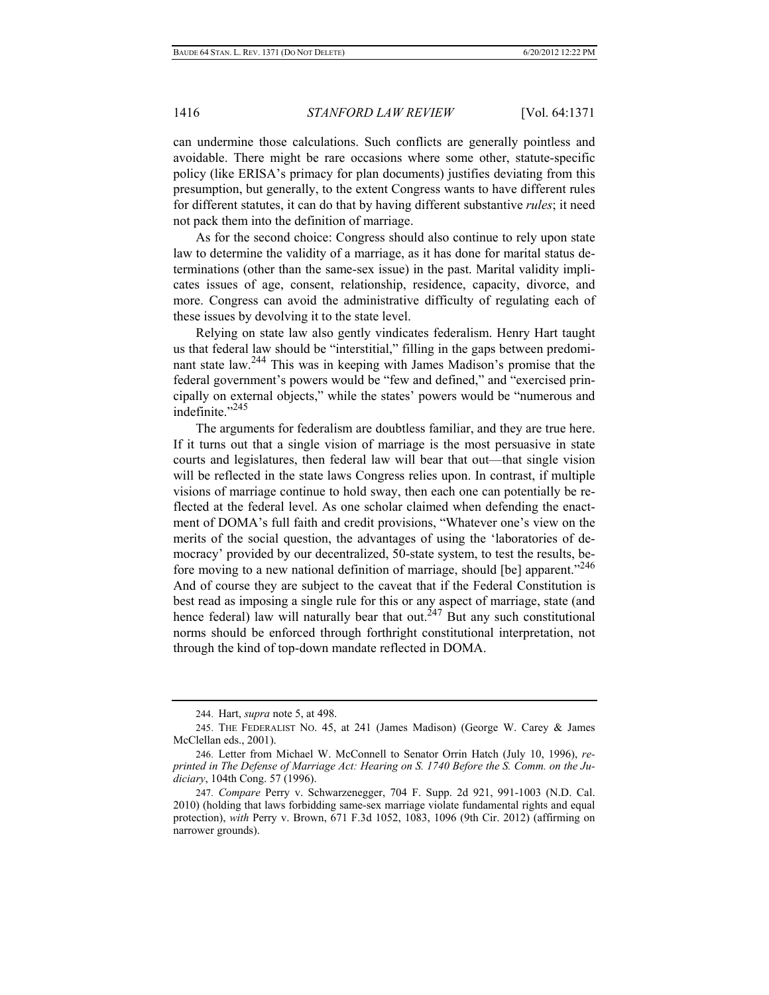can undermine those calculations. Such conflicts are generally pointless and avoidable. There might be rare occasions where some other, statute-specific policy (like ERISA's primacy for plan documents) justifies deviating from this presumption, but generally, to the extent Congress wants to have different rules for different statutes, it can do that by having different substantive *rules*; it need not pack them into the definition of marriage.

As for the second choice: Congress should also continue to rely upon state law to determine the validity of a marriage, as it has done for marital status determinations (other than the same-sex issue) in the past. Marital validity implicates issues of age, consent, relationship, residence, capacity, divorce, and more. Congress can avoid the administrative difficulty of regulating each of these issues by devolving it to the state level.

Relying on state law also gently vindicates federalism. Henry Hart taught us that federal law should be "interstitial," filling in the gaps between predominant state law.244 This was in keeping with James Madison's promise that the federal government's powers would be "few and defined," and "exercised principally on external objects," while the states' powers would be "numerous and indefinite<sup>"245</sup>

The arguments for federalism are doubtless familiar, and they are true here. If it turns out that a single vision of marriage is the most persuasive in state courts and legislatures, then federal law will bear that out—that single vision will be reflected in the state laws Congress relies upon. In contrast, if multiple visions of marriage continue to hold sway, then each one can potentially be reflected at the federal level. As one scholar claimed when defending the enactment of DOMA's full faith and credit provisions, "Whatever one's view on the merits of the social question, the advantages of using the 'laboratories of democracy' provided by our decentralized, 50-state system, to test the results, before moving to a new national definition of marriage, should [be] apparent."<sup>246</sup> And of course they are subject to the caveat that if the Federal Constitution is best read as imposing a single rule for this or any aspect of marriage, state (and hence federal) law will naturally bear that out.<sup>247</sup> But any such constitutional norms should be enforced through forthright constitutional interpretation, not through the kind of top-down mandate reflected in DOMA.

<sup>244.</sup> Hart, *supra* note 5, at 498.

<sup>245.</sup> THE FEDERALIST NO. 45, at 241 (James Madison) (George W. Carey & James McClellan eds., 2001).

<sup>246.</sup> Letter from Michael W. McConnell to Senator Orrin Hatch (July 10, 1996), *reprinted in The Defense of Marriage Act: Hearing on S. 1740 Before the S. Comm. on the Judiciary*, 104th Cong. 57 (1996).

<sup>247.</sup> *Compare* Perry v. Schwarzenegger, 704 F. Supp. 2d 921, 991-1003 (N.D. Cal. 2010) (holding that laws forbidding same-sex marriage violate fundamental rights and equal protection), *with* Perry v. Brown, 671 F.3d 1052, 1083, 1096 (9th Cir. 2012) (affirming on narrower grounds).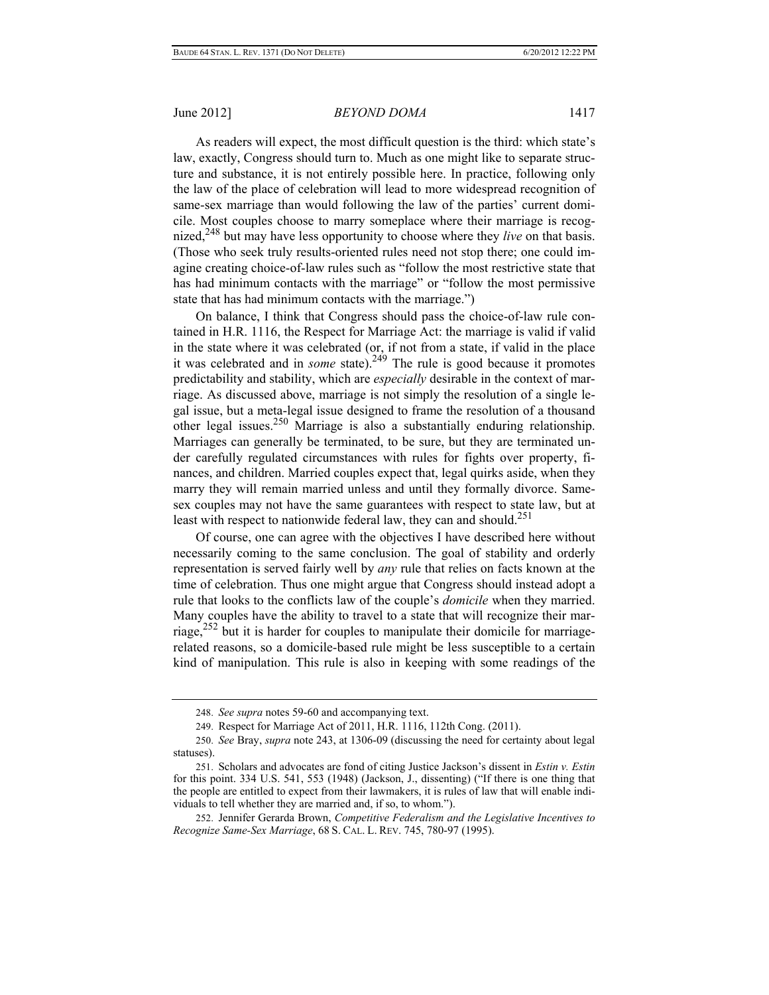As readers will expect, the most difficult question is the third: which state's law, exactly, Congress should turn to. Much as one might like to separate structure and substance, it is not entirely possible here. In practice, following only the law of the place of celebration will lead to more widespread recognition of same-sex marriage than would following the law of the parties' current domicile. Most couples choose to marry someplace where their marriage is recognized,<sup>248</sup> but may have less opportunity to choose where they *live* on that basis. (Those who seek truly results-oriented rules need not stop there; one could imagine creating choice-of-law rules such as "follow the most restrictive state that has had minimum contacts with the marriage" or "follow the most permissive state that has had minimum contacts with the marriage.")

On balance, I think that Congress should pass the choice-of-law rule contained in H.R. 1116, the Respect for Marriage Act: the marriage is valid if valid in the state where it was celebrated (or, if not from a state, if valid in the place it was celebrated and in *some* state).<sup>249</sup> The rule is good because it promotes predictability and stability, which are *especially* desirable in the context of marriage. As discussed above, marriage is not simply the resolution of a single legal issue, but a meta-legal issue designed to frame the resolution of a thousand other legal issues.<sup>250</sup> Marriage is also a substantially enduring relationship. Marriages can generally be terminated, to be sure, but they are terminated under carefully regulated circumstances with rules for fights over property, finances, and children. Married couples expect that, legal quirks aside, when they marry they will remain married unless and until they formally divorce. Samesex couples may not have the same guarantees with respect to state law, but at least with respect to nationwide federal law, they can and should.<sup>251</sup>

Of course, one can agree with the objectives I have described here without necessarily coming to the same conclusion. The goal of stability and orderly representation is served fairly well by *any* rule that relies on facts known at the time of celebration. Thus one might argue that Congress should instead adopt a rule that looks to the conflicts law of the couple's *domicile* when they married. Many couples have the ability to travel to a state that will recognize their marriage,<sup>252</sup> but it is harder for couples to manipulate their domicile for marriagerelated reasons, so a domicile-based rule might be less susceptible to a certain kind of manipulation. This rule is also in keeping with some readings of the

<sup>248.</sup> *See supra* notes 59-60 and accompanying text.

<sup>249.</sup> Respect for Marriage Act of 2011, H.R. 1116, 112th Cong. (2011).

<sup>250.</sup> *See* Bray, *supra* note 243, at 1306-09 (discussing the need for certainty about legal statuses).

<sup>251.</sup> Scholars and advocates are fond of citing Justice Jackson's dissent in *Estin v. Estin* for this point. 334 U.S. 541, 553 (1948) (Jackson, J., dissenting) ("If there is one thing that the people are entitled to expect from their lawmakers, it is rules of law that will enable individuals to tell whether they are married and, if so, to whom.").

<sup>252.</sup> Jennifer Gerarda Brown, *Competitive Federalism and the Legislative Incentives to Recognize Same-Sex Marriage*, 68 S. CAL. L. REV. 745, 780-97 (1995).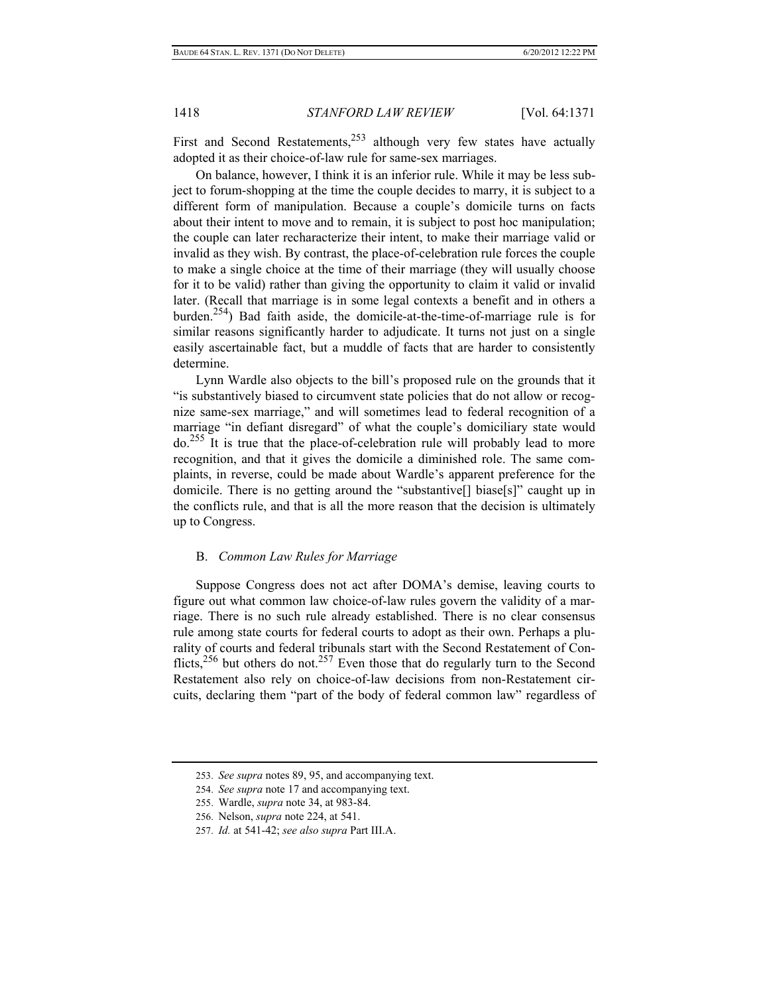First and Second Restatements,  $253$  although very few states have actually adopted it as their choice-of-law rule for same-sex marriages.

On balance, however, I think it is an inferior rule. While it may be less subject to forum-shopping at the time the couple decides to marry, it is subject to a different form of manipulation. Because a couple's domicile turns on facts about their intent to move and to remain, it is subject to post hoc manipulation; the couple can later recharacterize their intent, to make their marriage valid or invalid as they wish. By contrast, the place-of-celebration rule forces the couple to make a single choice at the time of their marriage (they will usually choose for it to be valid) rather than giving the opportunity to claim it valid or invalid later. (Recall that marriage is in some legal contexts a benefit and in others a burden.<sup>254</sup>) Bad faith aside, the domicile-at-the-time-of-marriage rule is for similar reasons significantly harder to adjudicate. It turns not just on a single easily ascertainable fact, but a muddle of facts that are harder to consistently determine.

Lynn Wardle also objects to the bill's proposed rule on the grounds that it "is substantively biased to circumvent state policies that do not allow or recognize same-sex marriage," and will sometimes lead to federal recognition of a marriage "in defiant disregard" of what the couple's domiciliary state would do.255 It is true that the place-of-celebration rule will probably lead to more recognition, and that it gives the domicile a diminished role. The same complaints, in reverse, could be made about Wardle's apparent preference for the domicile. There is no getting around the "substantive[] biase[s]" caught up in the conflicts rule, and that is all the more reason that the decision is ultimately up to Congress.

#### B. *Common Law Rules for Marriage*

Suppose Congress does not act after DOMA's demise, leaving courts to figure out what common law choice-of-law rules govern the validity of a marriage. There is no such rule already established. There is no clear consensus rule among state courts for federal courts to adopt as their own. Perhaps a plurality of courts and federal tribunals start with the Second Restatement of Conflicts,<sup>256</sup> but others do not.<sup>257</sup> Even those that do regularly turn to the Second Restatement also rely on choice-of-law decisions from non-Restatement circuits, declaring them "part of the body of federal common law" regardless of

<sup>253.</sup> *See supra* notes 89, 95, and accompanying text.

<sup>254.</sup> *See supra* note 17 and accompanying text.

<sup>255.</sup> Wardle, *supra* note 34, at 983-84.

<sup>256.</sup> Nelson, *supra* note 224, at 541.

<sup>257.</sup> *Id.* at 541-42; *see also supra* Part III.A.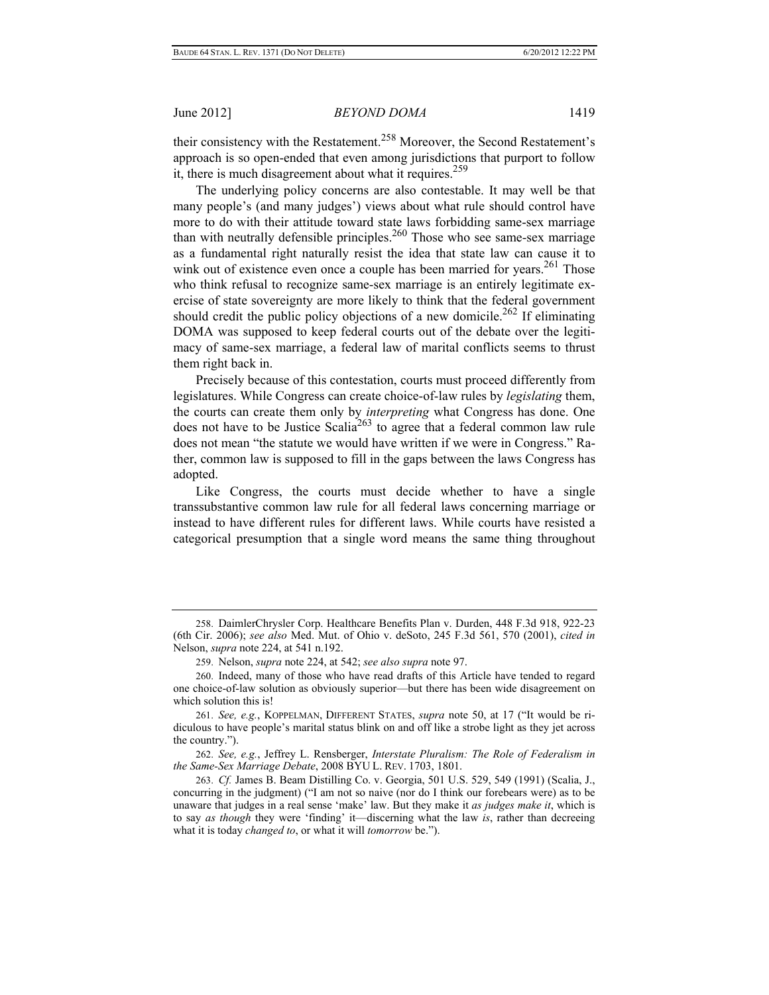their consistency with the Restatement.<sup>258</sup> Moreover, the Second Restatement's approach is so open-ended that even among jurisdictions that purport to follow it, there is much disagreement about what it requires.<sup>259</sup>

The underlying policy concerns are also contestable. It may well be that many people's (and many judges') views about what rule should control have more to do with their attitude toward state laws forbidding same-sex marriage than with neutrally defensible principles.<sup>260</sup> Those who see same-sex marriage as a fundamental right naturally resist the idea that state law can cause it to wink out of existence even once a couple has been married for years.<sup>261</sup> Those who think refusal to recognize same-sex marriage is an entirely legitimate exercise of state sovereignty are more likely to think that the federal government should credit the public policy objections of a new domicile.<sup>262</sup> If eliminating DOMA was supposed to keep federal courts out of the debate over the legitimacy of same-sex marriage, a federal law of marital conflicts seems to thrust them right back in.

Precisely because of this contestation, courts must proceed differently from legislatures. While Congress can create choice-of-law rules by *legislating* them, the courts can create them only by *interpreting* what Congress has done. One does not have to be Justice Scalia<sup>263</sup> to agree that a federal common law rule does not mean "the statute we would have written if we were in Congress." Rather, common law is supposed to fill in the gaps between the laws Congress has adopted.

Like Congress, the courts must decide whether to have a single transsubstantive common law rule for all federal laws concerning marriage or instead to have different rules for different laws. While courts have resisted a categorical presumption that a single word means the same thing throughout

262. *See, e.g.*, Jeffrey L. Rensberger, *Interstate Pluralism: The Role of Federalism in the Same-Sex Marriage Debate*, 2008 BYU L. REV. 1703, 1801.

<sup>258.</sup> DaimlerChrysler Corp. Healthcare Benefits Plan v. Durden, 448 F.3d 918, 922-23 (6th Cir. 2006); *see also* Med. Mut. of Ohio v. deSoto, 245 F.3d 561, 570 (2001), *cited in* Nelson, *supra* note 224, at 541 n.192.

<sup>259.</sup> Nelson, *supra* note 224, at 542; *see also supra* note 97.

<sup>260.</sup> Indeed, many of those who have read drafts of this Article have tended to regard one choice-of-law solution as obviously superior—but there has been wide disagreement on which solution this is!

<sup>261.</sup> *See, e.g.*, KOPPELMAN, DIFFERENT STATES, *supra* note 50, at 17 ("It would be ridiculous to have people's marital status blink on and off like a strobe light as they jet across the country.").

<sup>263.</sup> *Cf.* James B. Beam Distilling Co. v. Georgia, 501 U.S. 529, 549 (1991) (Scalia, J., concurring in the judgment) ("I am not so naive (nor do I think our forebears were) as to be unaware that judges in a real sense 'make' law. But they make it *as judges make it*, which is to say *as though* they were 'finding' it—discerning what the law *is*, rather than decreeing what it is today *changed to*, or what it will *tomorrow* be.").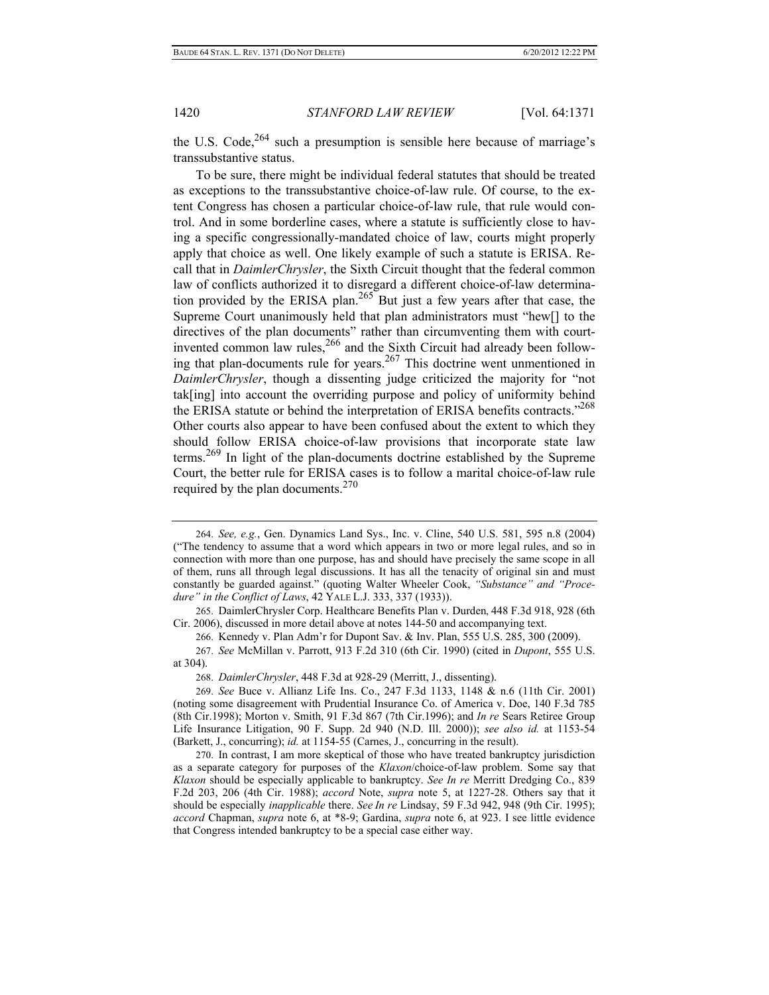the U.S. Code,  $264$  such a presumption is sensible here because of marriage's transsubstantive status.

To be sure, there might be individual federal statutes that should be treated as exceptions to the transsubstantive choice-of-law rule. Of course, to the extent Congress has chosen a particular choice-of-law rule, that rule would control. And in some borderline cases, where a statute is sufficiently close to having a specific congressionally-mandated choice of law, courts might properly apply that choice as well. One likely example of such a statute is ERISA. Recall that in *DaimlerChrysler*, the Sixth Circuit thought that the federal common law of conflicts authorized it to disregard a different choice-of-law determination provided by the ERISA plan.<sup>265</sup> But just a few years after that case, the Supreme Court unanimously held that plan administrators must "hew[] to the directives of the plan documents" rather than circumventing them with courtinvented common law rules,  $266$  and the Sixth Circuit had already been following that plan-documents rule for years.<sup>267</sup> This doctrine went unmentioned in *DaimlerChrysler*, though a dissenting judge criticized the majority for "not tak[ing] into account the overriding purpose and policy of uniformity behind the ERISA statute or behind the interpretation of ERISA benefits contracts."<sup>268</sup> Other courts also appear to have been confused about the extent to which they should follow ERISA choice-of-law provisions that incorporate state law terms.269 In light of the plan-documents doctrine established by the Supreme Court, the better rule for ERISA cases is to follow a marital choice-of-law rule required by the plan documents.  $270$ 

<sup>264.</sup> *See, e.g.*, Gen. Dynamics Land Sys., Inc. v. Cline, 540 U.S. 581, 595 n.8 (2004) ("The tendency to assume that a word which appears in two or more legal rules, and so in connection with more than one purpose, has and should have precisely the same scope in all of them, runs all through legal discussions. It has all the tenacity of original sin and must constantly be guarded against." (quoting Walter Wheeler Cook, *"Substance" and "Procedure" in the Conflict of Laws*, 42 YALE L.J. 333, 337 (1933)).

<sup>265.</sup> DaimlerChrysler Corp. Healthcare Benefits Plan v. Durden, 448 F.3d 918, 928 (6th Cir. 2006), discussed in more detail above at notes 144-50 and accompanying text.

<sup>266.</sup> Kennedy v. Plan Adm'r for Dupont Sav. & Inv. Plan, 555 U.S. 285, 300 (2009).

<sup>267.</sup> *See* McMillan v. Parrott, 913 F.2d 310 (6th Cir. 1990) (cited in *Dupont*, 555 U.S. at 304).

<sup>268.</sup> *DaimlerChrysler*, 448 F.3d at 928-29 (Merritt, J., dissenting).

<sup>269.</sup> *See* Buce v. Allianz Life Ins. Co., 247 F.3d 1133, 1148 & n.6 (11th Cir. 2001) (noting some disagreement with Prudential Insurance Co. of America v. Doe, 140 F.3d 785 (8th Cir.1998); Morton v. Smith, 91 F.3d 867 (7th Cir.1996); and *In re* Sears Retiree Group Life Insurance Litigation, 90 F. Supp. 2d 940 (N.D. Ill. 2000)); *see also id.* at 1153-54 (Barkett, J., concurring); *id.* at 1154-55 (Carnes, J., concurring in the result).

<sup>270.</sup> In contrast, I am more skeptical of those who have treated bankruptcy jurisdiction as a separate category for purposes of the *Klaxon*/choice-of-law problem. Some say that *Klaxon* should be especially applicable to bankruptcy. *See In re* Merritt Dredging Co., 839 F.2d 203, 206 (4th Cir. 1988); *accord* Note, *supra* note 5, at 1227-28. Others say that it should be especially *inapplicable* there. *See In re* Lindsay, 59 F.3d 942, 948 (9th Cir. 1995); *accord* Chapman, *supra* note 6, at \*8-9; Gardina, *supra* note 6, at 923. I see little evidence that Congress intended bankruptcy to be a special case either way.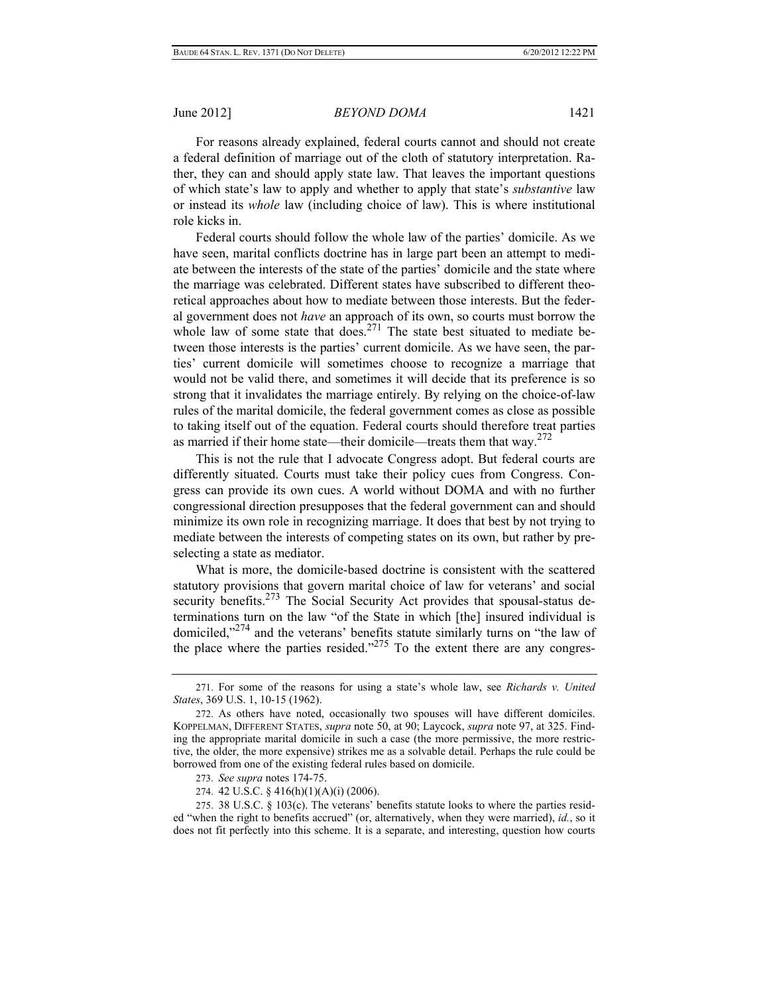For reasons already explained, federal courts cannot and should not create a federal definition of marriage out of the cloth of statutory interpretation. Rather, they can and should apply state law. That leaves the important questions of which state's law to apply and whether to apply that state's *substantive* law or instead its *whole* law (including choice of law). This is where institutional role kicks in.

Federal courts should follow the whole law of the parties' domicile. As we have seen, marital conflicts doctrine has in large part been an attempt to mediate between the interests of the state of the parties' domicile and the state where the marriage was celebrated. Different states have subscribed to different theoretical approaches about how to mediate between those interests. But the federal government does not *have* an approach of its own, so courts must borrow the whole law of some state that does.<sup>271</sup> The state best situated to mediate between those interests is the parties' current domicile. As we have seen, the parties' current domicile will sometimes choose to recognize a marriage that would not be valid there, and sometimes it will decide that its preference is so strong that it invalidates the marriage entirely. By relying on the choice-of-law rules of the marital domicile, the federal government comes as close as possible to taking itself out of the equation. Federal courts should therefore treat parties as married if their home state—their domicile—treats them that way. $272$ 

This is not the rule that I advocate Congress adopt. But federal courts are differently situated. Courts must take their policy cues from Congress. Congress can provide its own cues. A world without DOMA and with no further congressional direction presupposes that the federal government can and should minimize its own role in recognizing marriage. It does that best by not trying to mediate between the interests of competing states on its own, but rather by preselecting a state as mediator.

What is more, the domicile-based doctrine is consistent with the scattered statutory provisions that govern marital choice of law for veterans' and social security benefits.<sup>273</sup> The Social Security Act provides that spousal-status determinations turn on the law "of the State in which [the] insured individual is domiciled,"274 and the veterans' benefits statute similarly turns on "the law of the place where the parties resided." $275$  To the extent there are any congres-

<sup>271.</sup> For some of the reasons for using a state's whole law, see *Richards v. United States*, 369 U.S. 1, 10-15 (1962).

<sup>272.</sup> As others have noted, occasionally two spouses will have different domiciles. KOPPELMAN, DIFFERENT STATES, *supra* note 50, at 90; Laycock, *supra* note 97, at 325. Finding the appropriate marital domicile in such a case (the more permissive, the more restrictive, the older, the more expensive) strikes me as a solvable detail. Perhaps the rule could be borrowed from one of the existing federal rules based on domicile.

<sup>273.</sup> *See supra* notes 174-75.

<sup>274. 42</sup> U.S.C. § 416(h)(1)(A)(i) (2006).

<sup>275. 38</sup> U.S.C. § 103(c). The veterans' benefits statute looks to where the parties resided "when the right to benefits accrued" (or, alternatively, when they were married), *id.*, so it does not fit perfectly into this scheme. It is a separate, and interesting, question how courts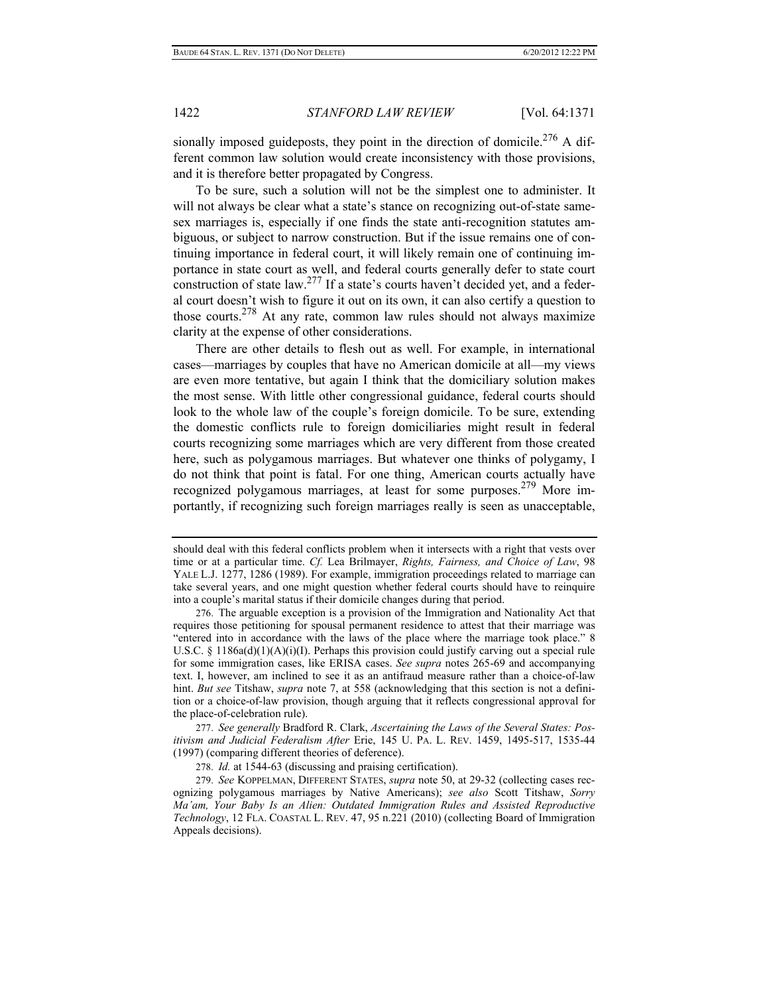sionally imposed guideposts, they point in the direction of domicile.<sup>276</sup> A different common law solution would create inconsistency with those provisions, and it is therefore better propagated by Congress.

To be sure, such a solution will not be the simplest one to administer. It will not always be clear what a state's stance on recognizing out-of-state samesex marriages is, especially if one finds the state anti-recognition statutes ambiguous, or subject to narrow construction. But if the issue remains one of continuing importance in federal court, it will likely remain one of continuing importance in state court as well, and federal courts generally defer to state court construction of state law.<sup>277</sup> If a state's courts haven't decided yet, and a federal court doesn't wish to figure it out on its own, it can also certify a question to those courts.278 At any rate, common law rules should not always maximize clarity at the expense of other considerations.

There are other details to flesh out as well. For example, in international cases—marriages by couples that have no American domicile at all—my views are even more tentative, but again I think that the domiciliary solution makes the most sense. With little other congressional guidance, federal courts should look to the whole law of the couple's foreign domicile. To be sure, extending the domestic conflicts rule to foreign domiciliaries might result in federal courts recognizing some marriages which are very different from those created here, such as polygamous marriages. But whatever one thinks of polygamy, I do not think that point is fatal. For one thing, American courts actually have recognized polygamous marriages, at least for some purposes.279 More importantly, if recognizing such foreign marriages really is seen as unacceptable,

277. *See generally* Bradford R. Clark, *Ascertaining the Laws of the Several States: Positivism and Judicial Federalism After* Erie, 145 U. PA. L. REV. 1459, 1495-517, 1535-44 (1997) (comparing different theories of deference).

278. *Id.* at 1544-63 (discussing and praising certification).

279. *See* KOPPELMAN, DIFFERENT STATES, *supra* note 50, at 29-32 (collecting cases recognizing polygamous marriages by Native Americans); *see also* Scott Titshaw, *Sorry Ma'am, Your Baby Is an Alien: Outdated Immigration Rules and Assisted Reproductive Technology*, 12 FLA. COASTAL L. REV. 47, 95 n.221 (2010) (collecting Board of Immigration Appeals decisions).

should deal with this federal conflicts problem when it intersects with a right that vests over time or at a particular time. *Cf.* Lea Brilmayer, *Rights, Fairness, and Choice of Law*, 98 YALE L.J. 1277, 1286 (1989). For example, immigration proceedings related to marriage can take several years, and one might question whether federal courts should have to reinquire into a couple's marital status if their domicile changes during that period.

<sup>276.</sup> The arguable exception is a provision of the Immigration and Nationality Act that requires those petitioning for spousal permanent residence to attest that their marriage was "entered into in accordance with the laws of the place where the marriage took place." 8 U.S.C. § 1186a(d)(1)(A)(i)(I). Perhaps this provision could justify carving out a special rule for some immigration cases, like ERISA cases. *See supra* notes 265-69 and accompanying text. I, however, am inclined to see it as an antifraud measure rather than a choice-of-law hint. *But see* Titshaw, *supra* note 7, at 558 (acknowledging that this section is not a definition or a choice-of-law provision, though arguing that it reflects congressional approval for the place-of-celebration rule).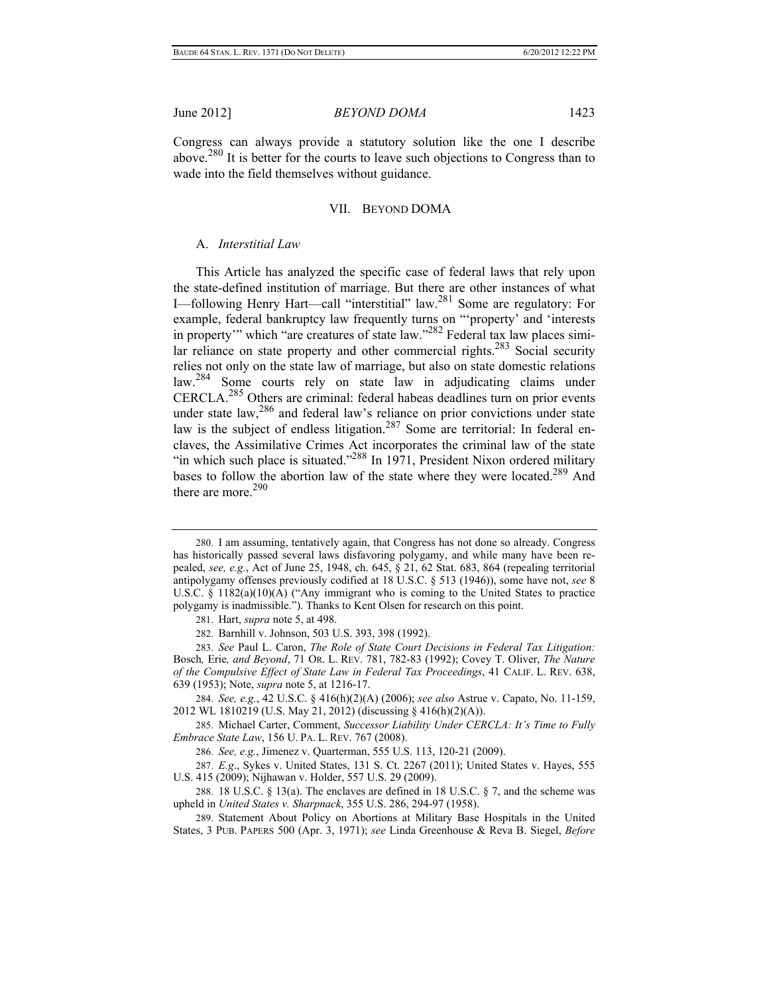Congress can always provide a statutory solution like the one I describe above.280 It is better for the courts to leave such objections to Congress than to wade into the field themselves without guidance.

#### VII. BEYOND DOMA

## A. *Interstitial Law*

This Article has analyzed the specific case of federal laws that rely upon the state-defined institution of marriage. But there are other instances of what I—following Henry Hart—call "interstitial" law.281 Some are regulatory: For example, federal bankruptcy law frequently turns on "'property' and 'interests in property'" which "are creatures of state law."282 Federal tax law places similar reliance on state property and other commercial rights.<sup>283</sup> Social security relies not only on the state law of marriage, but also on state domestic relations law.284 Some courts rely on state law in adjudicating claims under CERCLA.285 Others are criminal: federal habeas deadlines turn on prior events under state law,<sup>286</sup> and federal law's reliance on prior convictions under state law is the subject of endless litigation.<sup>287</sup> Some are territorial: In federal enclaves, the Assimilative Crimes Act incorporates the criminal law of the state "in which such place is situated."<sup>288</sup> In 1971, President Nixon ordered military bases to follow the abortion law of the state where they were located.<sup>289</sup> And there are more. $290$ 

284. *See, e.g.*, 42 U.S.C. § 416(h)(2)(A) (2006); *see also* Astrue v. Capato, No. 11-159, 2012 WL 1810219 (U.S. May 21, 2012) (discussing § 416(h)(2)(A)).

285. Michael Carter, Comment, *Successor Liability Under CERCLA: It's Time to Fully Embrace State Law*, 156 U. PA. L. REV. 767 (2008).

286. *See, e.g.*, Jimenez v. Quarterman, 555 U.S. 113, 120-21 (2009).

287. *E.g*., Sykes v. United States, 131 S. Ct. 2267 (2011); United States v. Hayes, 555 U.S. 415 (2009); Nijhawan v. Holder, 557 U.S. 29 (2009).

288. 18 U.S.C. § 13(a). The enclaves are defined in 18 U.S.C. § 7, and the scheme was upheld in *United States v. Sharpnack*, 355 U.S. 286, 294-97 (1958).

<sup>280.</sup> I am assuming, tentatively again, that Congress has not done so already. Congress has historically passed several laws disfavoring polygamy, and while many have been repealed, *see, e.g.*, Act of June 25, 1948, ch. 645, § 21, 62 Stat. 683, 864 (repealing territorial antipolygamy offenses previously codified at 18 U.S.C. § 513 (1946)), some have not, *see* 8 U.S.C. § 1182(a)(10)(A) ("Any immigrant who is coming to the United States to practice polygamy is inadmissible."). Thanks to Kent Olsen for research on this point.

<sup>281.</sup> Hart, *supra* note 5, at 498.

<sup>282.</sup> Barnhill v. Johnson, 503 U.S. 393, 398 (1992).

<sup>283.</sup> *See* Paul L. Caron, *The Role of State Court Decisions in Federal Tax Litigation:*  Bosch*,* Erie*, and Beyond*, 71 OR. L. REV. 781, 782-83 (1992); Covey T. Oliver, *The Nature of the Compulsive Effect of State Law in Federal Tax Proceedings*, 41 CALIF. L. REV. 638, 639 (1953); Note, *supra* note 5, at 1216-17.

<sup>289.</sup> Statement About Policy on Abortions at Military Base Hospitals in the United States, 3 PUB. PAPERS 500 (Apr. 3, 1971); *see* Linda Greenhouse & Reva B. Siegel, *Before*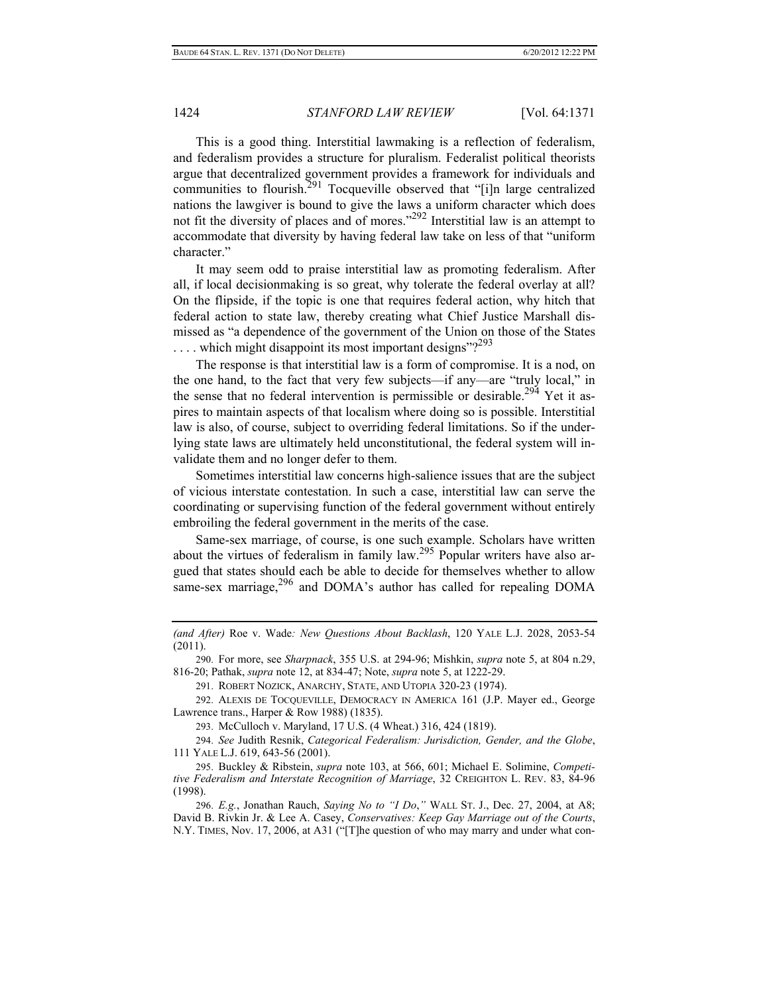This is a good thing. Interstitial lawmaking is a reflection of federalism, and federalism provides a structure for pluralism. Federalist political theorists argue that decentralized government provides a framework for individuals and communities to flourish.<sup>291</sup> Tocqueville observed that "[i]n large centralized nations the lawgiver is bound to give the laws a uniform character which does not fit the diversity of places and of mores."<sup>292</sup> Interstitial law is an attempt to accommodate that diversity by having federal law take on less of that "uniform character."

It may seem odd to praise interstitial law as promoting federalism. After all, if local decisionmaking is so great, why tolerate the federal overlay at all? On the flipside, if the topic is one that requires federal action, why hitch that federal action to state law, thereby creating what Chief Justice Marshall dismissed as "a dependence of the government of the Union on those of the States  $\dots$  which might disappoint its most important designs"?<sup>293</sup>

The response is that interstitial law is a form of compromise. It is a nod, on the one hand, to the fact that very few subjects—if any—are "truly local," in the sense that no federal intervention is permissible or desirable.<sup>294</sup> Yet it aspires to maintain aspects of that localism where doing so is possible. Interstitial law is also, of course, subject to overriding federal limitations. So if the underlying state laws are ultimately held unconstitutional, the federal system will invalidate them and no longer defer to them.

Sometimes interstitial law concerns high-salience issues that are the subject of vicious interstate contestation. In such a case, interstitial law can serve the coordinating or supervising function of the federal government without entirely embroiling the federal government in the merits of the case.

Same-sex marriage, of course, is one such example. Scholars have written about the virtues of federalism in family law.295 Popular writers have also argued that states should each be able to decide for themselves whether to allow same-sex marriage,<sup>296</sup> and DOMA's author has called for repealing DOMA

290. For more, see *Sharpnack*, 355 U.S. at 294-96; Mishkin, *supra* note 5, at 804 n.29, 816-20; Pathak, *supra* note 12, at 834-47; Note, *supra* note 5, at 1222-29.

291. ROBERT NOZICK, ANARCHY, STATE, AND UTOPIA 320-23 (1974).

292. ALEXIS DE TOCQUEVILLE, DEMOCRACY IN AMERICA 161 (J.P. Mayer ed., George Lawrence trans., Harper & Row 1988) (1835).

293. McCulloch v. Maryland, 17 U.S. (4 Wheat.) 316, 424 (1819).

294. *See* Judith Resnik, *Categorical Federalism: Jurisdiction, Gender, and the Globe*, 111 YALE L.J. 619, 643-56 (2001).

295. Buckley & Ribstein, *supra* note 103, at 566, 601; Michael E. Solimine, *Competitive Federalism and Interstate Recognition of Marriage*, 32 CREIGHTON L. REV. 83, 84-96 (1998).

296. *E.g.*, Jonathan Rauch, *Saying No to "I Do*,*"* WALL ST. J., Dec. 27, 2004, at A8; David B. Rivkin Jr. & Lee A. Casey, *Conservatives: Keep Gay Marriage out of the Courts*, N.Y. TIMES, Nov. 17, 2006, at A31 ("[T]he question of who may marry and under what con-

*<sup>(</sup>and After)* Roe v. Wade*: New Questions About Backlash*, 120 YALE L.J. 2028, 2053-54 (2011).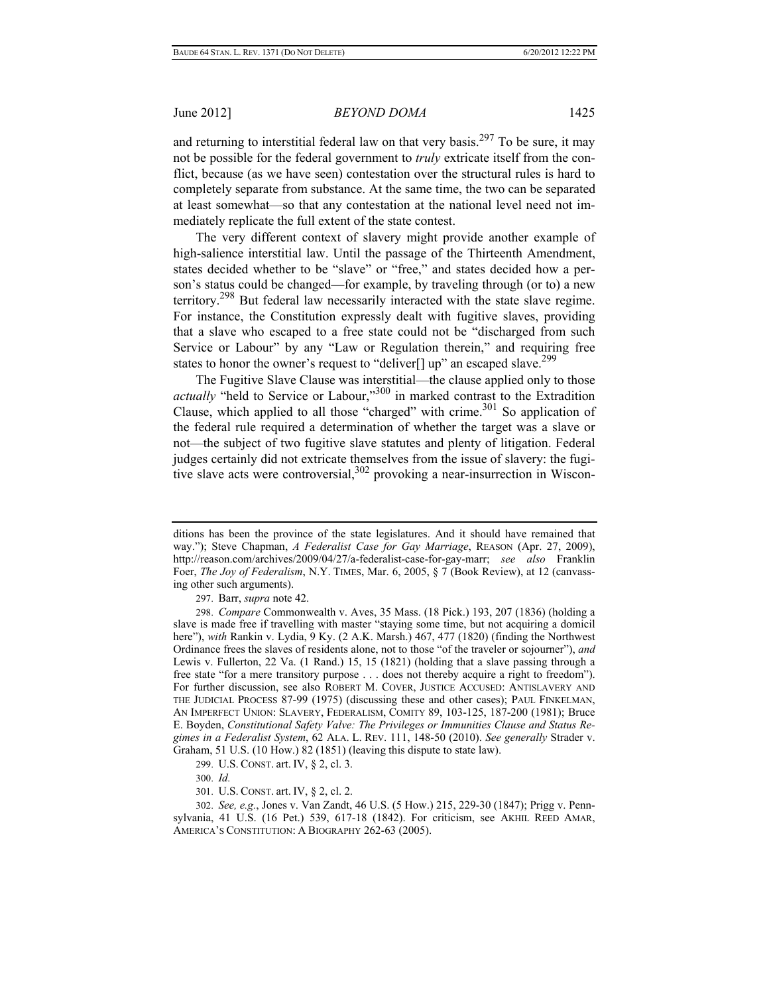and returning to interstitial federal law on that very basis.<sup>297</sup> To be sure, it may not be possible for the federal government to *truly* extricate itself from the conflict, because (as we have seen) contestation over the structural rules is hard to completely separate from substance. At the same time, the two can be separated at least somewhat—so that any contestation at the national level need not immediately replicate the full extent of the state contest.

The very different context of slavery might provide another example of high-salience interstitial law. Until the passage of the Thirteenth Amendment, states decided whether to be "slave" or "free," and states decided how a person's status could be changed—for example, by traveling through (or to) a new territory.298 But federal law necessarily interacted with the state slave regime. For instance, the Constitution expressly dealt with fugitive slaves, providing that a slave who escaped to a free state could not be "discharged from such Service or Labour" by any "Law or Regulation therein," and requiring free states to honor the owner's request to "deliver<sup>[]</sup> up" an escaped slave.<sup>299</sup>

The Fugitive Slave Clause was interstitial—the clause applied only to those *actually* "held to Service or Labour,"<sup>300</sup> in marked contrast to the Extradition Clause, which applied to all those "charged" with crime. $301$  So application of the federal rule required a determination of whether the target was a slave or not—the subject of two fugitive slave statutes and plenty of litigation. Federal judges certainly did not extricate themselves from the issue of slavery: the fugitive slave acts were controversial,<sup>302</sup> provoking a near-insurrection in Wiscon-

297. Barr, *supra* note 42.

299. U.S. CONST. art. IV, § 2, cl. 3.

300. *Id.*

301. U.S. CONST. art. IV, § 2, cl. 2.

ditions has been the province of the state legislatures. And it should have remained that way."); Steve Chapman, *A Federalist Case for Gay Marriage*, REASON (Apr. 27, 2009), http://reason.com/archives/2009/04/27/a-federalist-case-for-gay-marr; *see also* Franklin Foer, *The Joy of Federalism*, N.Y. TIMES, Mar. 6, 2005, § 7 (Book Review), at 12 (canvassing other such arguments).

<sup>298.</sup> *Compare* Commonwealth v. Aves, 35 Mass. (18 Pick.) 193, 207 (1836) (holding a slave is made free if travelling with master "staying some time, but not acquiring a domicil here"), *with* Rankin v. Lydia, 9 Ky. (2 A.K. Marsh.) 467, 477 (1820) (finding the Northwest Ordinance frees the slaves of residents alone, not to those "of the traveler or sojourner"), *and* Lewis v. Fullerton, 22 Va. (1 Rand.) 15, 15 (1821) (holding that a slave passing through a free state "for a mere transitory purpose . . . does not thereby acquire a right to freedom"). For further discussion, see also ROBERT M. COVER, JUSTICE ACCUSED: ANTISLAVERY AND THE JUDICIAL PROCESS 87-99 (1975) (discussing these and other cases); PAUL FINKELMAN, AN IMPERFECT UNION: SLAVERY, FEDERALISM, COMITY 89, 103-125, 187-200 (1981); Bruce E. Boyden, *Constitutional Safety Valve: The Privileges or Immunities Clause and Status Regimes in a Federalist System*, 62 ALA. L. REV. 111, 148-50 (2010). *See generally* Strader v. Graham, 51 U.S. (10 How.) 82 (1851) (leaving this dispute to state law).

<sup>302.</sup> *See, e.g.*, Jones v. Van Zandt, 46 U.S. (5 How.) 215, 229-30 (1847); Prigg v. Pennsylvania, 41 U.S. (16 Pet.) 539, 617-18 (1842). For criticism, see AKHIL REED AMAR, AMERICA'S CONSTITUTION: A BIOGRAPHY 262-63 (2005).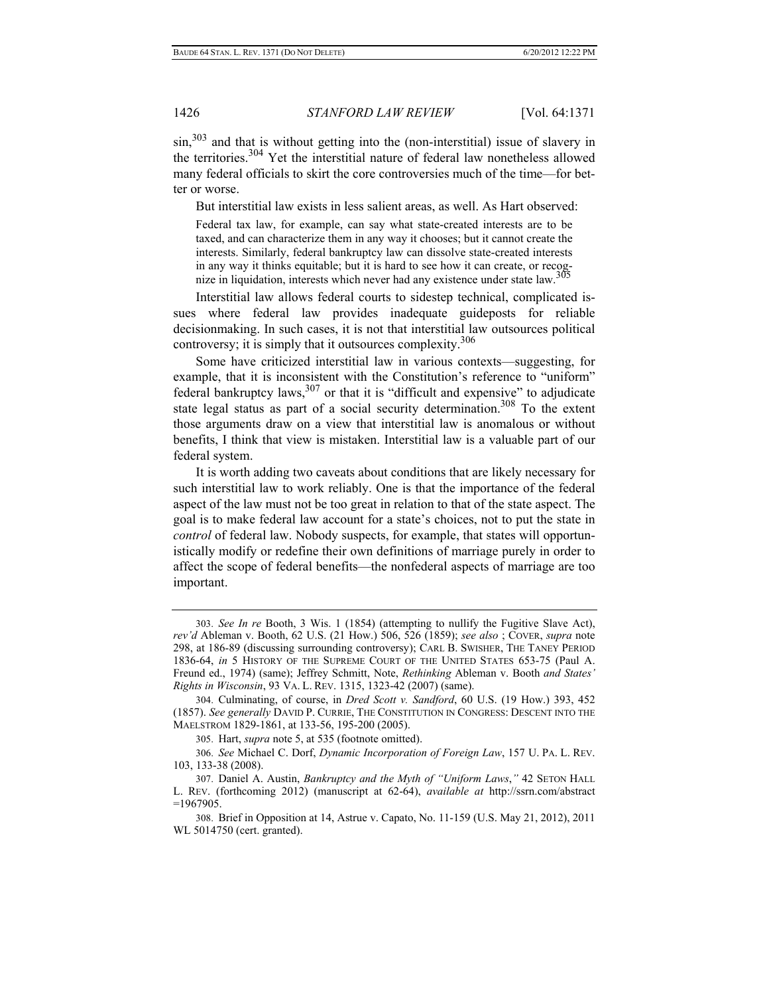sin,<sup>303</sup> and that is without getting into the (non-interstitial) issue of slavery in the territories.304 Yet the interstitial nature of federal law nonetheless allowed many federal officials to skirt the core controversies much of the time—for better or worse.

But interstitial law exists in less salient areas, as well. As Hart observed:

Federal tax law, for example, can say what state-created interests are to be taxed, and can characterize them in any way it chooses; but it cannot create the interests. Similarly, federal bankruptcy law can dissolve state-created interests in any way it thinks equitable; but it is hard to see how it can create, or recog-nize in liquidation, interests which never had any existence under state law.305

Interstitial law allows federal courts to sidestep technical, complicated issues where federal law provides inadequate guideposts for reliable decisionmaking. In such cases, it is not that interstitial law outsources political controversy; it is simply that it outsources complexity.306

Some have criticized interstitial law in various contexts—suggesting, for example, that it is inconsistent with the Constitution's reference to "uniform" federal bankruptcy laws, $307$  or that it is "difficult and expensive" to adjudicate state legal status as part of a social security determination.<sup>308</sup> To the extent those arguments draw on a view that interstitial law is anomalous or without benefits, I think that view is mistaken. Interstitial law is a valuable part of our federal system.

It is worth adding two caveats about conditions that are likely necessary for such interstitial law to work reliably. One is that the importance of the federal aspect of the law must not be too great in relation to that of the state aspect. The goal is to make federal law account for a state's choices, not to put the state in *control* of federal law. Nobody suspects, for example, that states will opportunistically modify or redefine their own definitions of marriage purely in order to affect the scope of federal benefits—the nonfederal aspects of marriage are too important.

<sup>303.</sup> *See In re* Booth, 3 Wis. 1 (1854) (attempting to nullify the Fugitive Slave Act), *rev'd* Ableman v. Booth, 62 U.S. (21 How.) 506, 526 (1859); *see also* ; COVER, *supra* note 298, at 186-89 (discussing surrounding controversy); CARL B. SWISHER, THE TANEY PERIOD 1836-64, *in* 5 HISTORY OF THE SUPREME COURT OF THE UNITED STATES 653-75 (Paul A. Freund ed., 1974) (same); Jeffrey Schmitt, Note, *Rethinking* Ableman v. Booth *and States' Rights in Wisconsin*, 93 VA. L. REV. 1315, 1323-42 (2007) (same).

<sup>304.</sup> Culminating, of course, in *Dred Scott v. Sandford*, 60 U.S. (19 How.) 393, 452 (1857). *See generally* DAVID P. CURRIE, THE CONSTITUTION IN CONGRESS: DESCENT INTO THE MAELSTROM 1829-1861, at 133-56, 195-200 (2005).

<sup>305.</sup> Hart, *supra* note 5, at 535 (footnote omitted).

<sup>306.</sup> *See* Michael C. Dorf, *Dynamic Incorporation of Foreign Law*, 157 U. PA. L. REV. 103, 133-38 (2008).

<sup>307.</sup> Daniel A. Austin, *Bankruptcy and the Myth of "Uniform Laws*,*"* 42 SETON HALL L. REV. (forthcoming 2012) (manuscript at 62-64), *available at* http://ssrn.com/abstract  $=1967905$ .

<sup>308.</sup> Brief in Opposition at 14, Astrue v. Capato, No. 11-159 (U.S. May 21, 2012), 2011 WL 5014750 (cert. granted).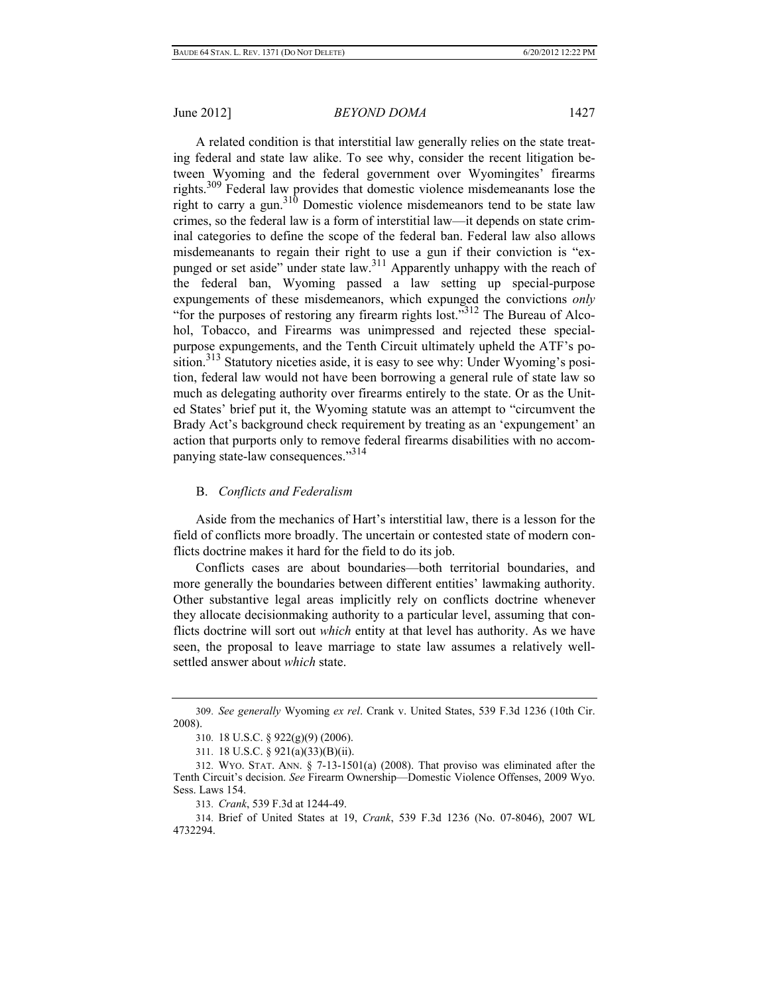A related condition is that interstitial law generally relies on the state treating federal and state law alike. To see why, consider the recent litigation between Wyoming and the federal government over Wyomingites' firearms rights.309 Federal law provides that domestic violence misdemeanants lose the right to carry a gun.<sup>310</sup> Domestic violence misdemeanors tend to be state law crimes, so the federal law is a form of interstitial law—it depends on state criminal categories to define the scope of the federal ban. Federal law also allows misdemeanants to regain their right to use a gun if their conviction is "expunged or set aside" under state law.<sup>311</sup> Apparently unhappy with the reach of the federal ban, Wyoming passed a law setting up special-purpose expungements of these misdemeanors, which expunged the convictions *only* "for the purposes of restoring any firearm rights lost."312 The Bureau of Alcohol, Tobacco, and Firearms was unimpressed and rejected these specialpurpose expungements, and the Tenth Circuit ultimately upheld the ATF's position.<sup>313</sup> Statutory niceties aside, it is easy to see why: Under Wyoming's position, federal law would not have been borrowing a general rule of state law so much as delegating authority over firearms entirely to the state. Or as the United States' brief put it, the Wyoming statute was an attempt to "circumvent the Brady Act's background check requirement by treating as an 'expungement' an action that purports only to remove federal firearms disabilities with no accompanying state-law consequences."<sup>314</sup>

#### B. *Conflicts and Federalism*

Aside from the mechanics of Hart's interstitial law, there is a lesson for the field of conflicts more broadly. The uncertain or contested state of modern conflicts doctrine makes it hard for the field to do its job.

Conflicts cases are about boundaries—both territorial boundaries, and more generally the boundaries between different entities' lawmaking authority. Other substantive legal areas implicitly rely on conflicts doctrine whenever they allocate decisionmaking authority to a particular level, assuming that conflicts doctrine will sort out *which* entity at that level has authority. As we have seen, the proposal to leave marriage to state law assumes a relatively wellsettled answer about *which* state.

313. *Crank*, 539 F.3d at 1244-49.

<sup>309.</sup> *See generally* Wyoming *ex rel*. Crank v. United States, 539 F.3d 1236 (10th Cir. 2008).

<sup>310. 18</sup> U.S.C. § 922(g)(9) (2006).

<sup>311. 18</sup> U.S.C. § 921(a)(33)(B)(ii).

<sup>312.</sup> WYO. STAT. ANN. § 7-13-1501(a) (2008). That proviso was eliminated after the Tenth Circuit's decision. *See* Firearm Ownership—Domestic Violence Offenses, 2009 Wyo. Sess. Laws 154.

<sup>314.</sup> Brief of United States at 19, *Crank*, 539 F.3d 1236 (No. 07-8046), 2007 WL 4732294.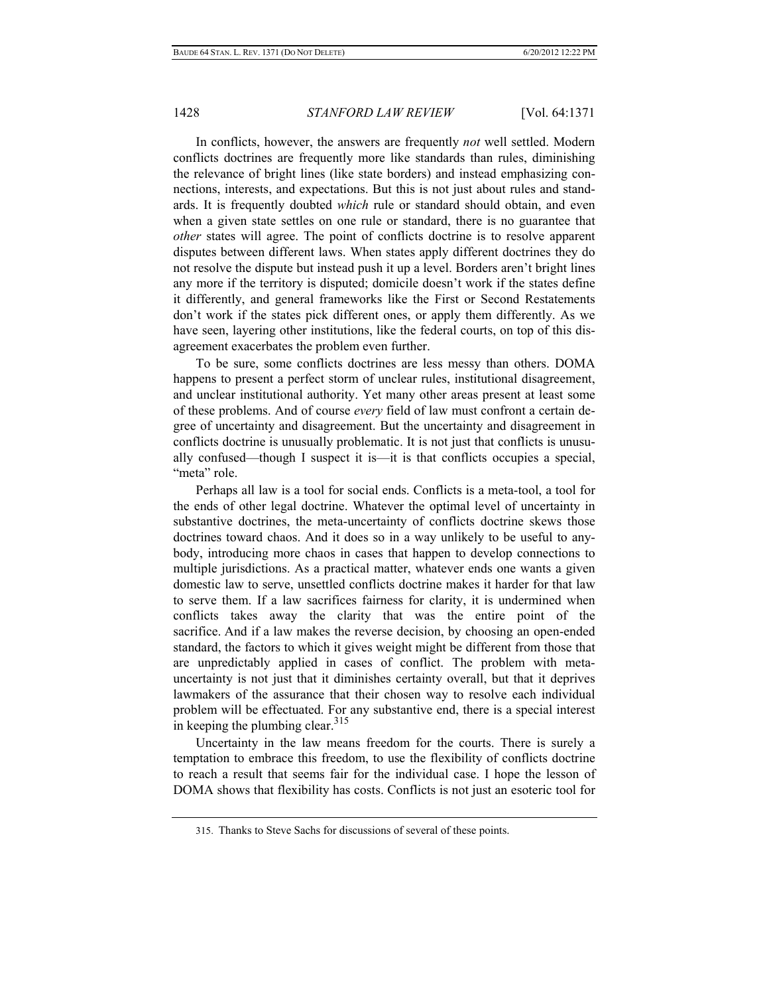In conflicts, however, the answers are frequently *not* well settled. Modern conflicts doctrines are frequently more like standards than rules, diminishing the relevance of bright lines (like state borders) and instead emphasizing connections, interests, and expectations. But this is not just about rules and standards. It is frequently doubted *which* rule or standard should obtain, and even when a given state settles on one rule or standard, there is no guarantee that *other* states will agree. The point of conflicts doctrine is to resolve apparent disputes between different laws. When states apply different doctrines they do not resolve the dispute but instead push it up a level. Borders aren't bright lines any more if the territory is disputed; domicile doesn't work if the states define it differently, and general frameworks like the First or Second Restatements don't work if the states pick different ones, or apply them differently. As we have seen, layering other institutions, like the federal courts, on top of this disagreement exacerbates the problem even further.

To be sure, some conflicts doctrines are less messy than others. DOMA happens to present a perfect storm of unclear rules, institutional disagreement, and unclear institutional authority. Yet many other areas present at least some of these problems. And of course *every* field of law must confront a certain degree of uncertainty and disagreement. But the uncertainty and disagreement in conflicts doctrine is unusually problematic. It is not just that conflicts is unusually confused—though I suspect it is—it is that conflicts occupies a special, "meta" role.

Perhaps all law is a tool for social ends. Conflicts is a meta-tool, a tool for the ends of other legal doctrine. Whatever the optimal level of uncertainty in substantive doctrines, the meta-uncertainty of conflicts doctrine skews those doctrines toward chaos. And it does so in a way unlikely to be useful to anybody, introducing more chaos in cases that happen to develop connections to multiple jurisdictions. As a practical matter, whatever ends one wants a given domestic law to serve, unsettled conflicts doctrine makes it harder for that law to serve them. If a law sacrifices fairness for clarity, it is undermined when conflicts takes away the clarity that was the entire point of the sacrifice. And if a law makes the reverse decision, by choosing an open-ended standard, the factors to which it gives weight might be different from those that are unpredictably applied in cases of conflict. The problem with metauncertainty is not just that it diminishes certainty overall, but that it deprives lawmakers of the assurance that their chosen way to resolve each individual problem will be effectuated. For any substantive end, there is a special interest in keeping the plumbing clear.  $315$ 

Uncertainty in the law means freedom for the courts. There is surely a temptation to embrace this freedom, to use the flexibility of conflicts doctrine to reach a result that seems fair for the individual case. I hope the lesson of DOMA shows that flexibility has costs. Conflicts is not just an esoteric tool for

<sup>315.</sup> Thanks to Steve Sachs for discussions of several of these points.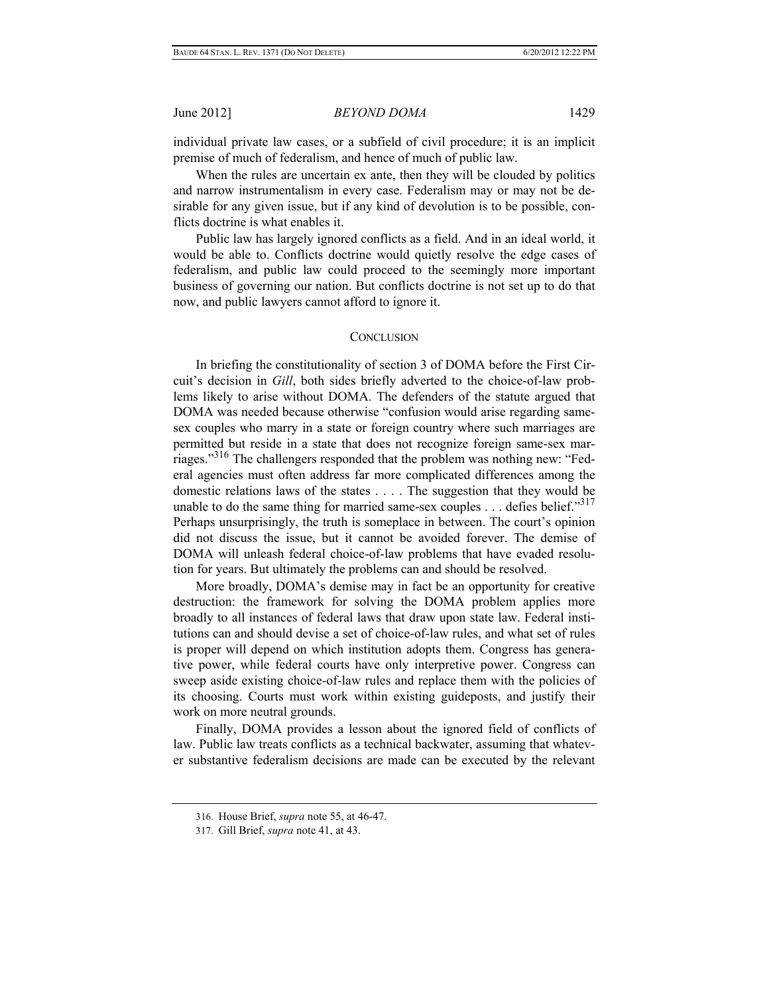individual private law cases, or a subfield of civil procedure; it is an implicit premise of much of federalism, and hence of much of public law.

When the rules are uncertain ex ante, then they will be clouded by politics and narrow instrumentalism in every case. Federalism may or may not be desirable for any given issue, but if any kind of devolution is to be possible, conflicts doctrine is what enables it.

 Public law has largely ignored conflicts as a field. And in an ideal world, it would be able to. Conflicts doctrine would quietly resolve the edge cases of federalism, and public law could proceed to the seemingly more important business of governing our nation. But conflicts doctrine is not set up to do that now, and public lawyers cannot afford to ignore it.

#### **CONCLUSION**

In briefing the constitutionality of section 3 of DOMA before the First Circuit's decision in *Gill*, both sides briefly adverted to the choice-of-law problems likely to arise without DOMA. The defenders of the statute argued that DOMA was needed because otherwise "confusion would arise regarding samesex couples who marry in a state or foreign country where such marriages are permitted but reside in a state that does not recognize foreign same-sex marriages."316 The challengers responded that the problem was nothing new: "Federal agencies must often address far more complicated differences among the domestic relations laws of the states . . . . The suggestion that they would be unable to do the same thing for married same-sex couples . . . defies belief."317 Perhaps unsurprisingly, the truth is someplace in between. The court's opinion did not discuss the issue, but it cannot be avoided forever. The demise of DOMA will unleash federal choice-of-law problems that have evaded resolution for years. But ultimately the problems can and should be resolved.

More broadly, DOMA's demise may in fact be an opportunity for creative destruction: the framework for solving the DOMA problem applies more broadly to all instances of federal laws that draw upon state law. Federal institutions can and should devise a set of choice-of-law rules, and what set of rules is proper will depend on which institution adopts them. Congress has generative power, while federal courts have only interpretive power. Congress can sweep aside existing choice-of-law rules and replace them with the policies of its choosing. Courts must work within existing guideposts, and justify their work on more neutral grounds.

Finally, DOMA provides a lesson about the ignored field of conflicts of law. Public law treats conflicts as a technical backwater, assuming that whatever substantive federalism decisions are made can be executed by the relevant

<sup>316.</sup> House Brief, *supra* note 55, at 46-47.

<sup>317.</sup> Gill Brief, *supra* note 41, at 43.